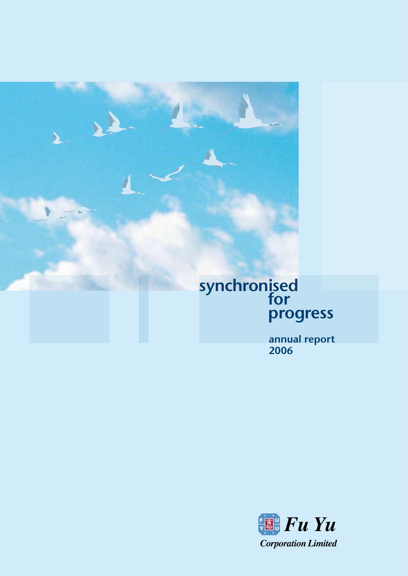

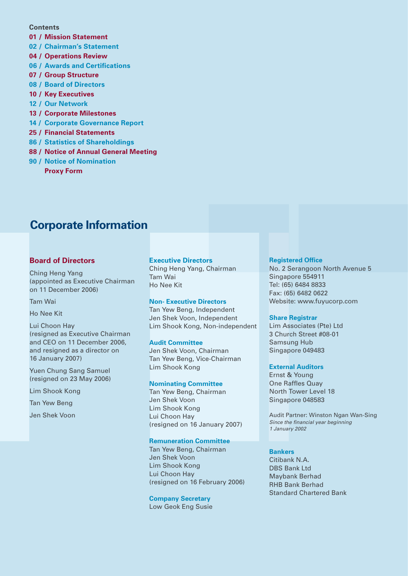## **Contents**

## **01 / Mission Statement**

- **02 / Chairman's Statement**
- **04 / Operations Review**
- **06 / Awards and Certifications**
- **07 / Group Structure**
- **08 / Board of Directors**
- **10 / Key Executives**
- **12 / Our Network**

## **13 / Corporate Milestones**

- **14 / Corporate Governance Report**
- **25 / Financial Statements**
- **86 / Statistics of Shareholdings**
- **88 / Notice of Annual General Meeting**
- **90 / Notice of Nomination Proxy Form**

## **Corporate Information**

## **Board of Directors**

Ching Heng Yang (appointed as Executive Chairman on 11 December 2006)

Tam Wai

Ho Nee Kit

Lui Choon Hay (resigned as Executive Chairman and CEO on 11 December 2006, and resigned as a director on 16 January 2007)

Yuen Chung Sang Samuel (resigned on 23 May 2006)

Lim Shook Kong

Tan Yew Beng

Jen Shek Voon

## **Executive Directors**

Ching Heng Yang, Chairman Tam Wai Ho Nee Kit

## **Non- Executive Directors**

Tan Yew Beng, Independent Jen Shek Voon, Independent Lim Shook Kong, Non-independent

## **Audit Committee**

Jen Shek Voon, Chairman Tan Yew Beng, Vice-Chairman Lim Shook Kong

## **Nominating Committee**

Tan Yew Beng, Chairman Jen Shek Voon Lim Shook Kong Lui Choon Hay (resigned on 16 January 2007)

## **Remuneration Committee**

Tan Yew Beng, Chairman Jen Shek Voon Lim Shook Kong Lui Choon Hay (resigned on 16 February 2006)

**Company Secretary** Low Geok Eng Susie

## **Registered Office**

No. 2 Serangoon North Avenue 5 Singapore 554911 Tel: (65) 6484 8833 Fax: (65) 6482 0622 Website: www.fuyucorp.com

## **Share Registrar**

Lim Associates (Pte) Ltd 3 Church Street #08-01 Samsung Hub Singapore 049483

## **External Auditors**

Ernst & Young One Raffles Quay North Tower Level 18 Singapore 048583

Audit Partner: Winston Ngan Wan-Sing *Since the financial year beginning 1 January 2002*

## **Bankers**

Citibank N.A. DBS Bank Ltd Maybank Berhad RHB Bank Berhad Standard Chartered Bank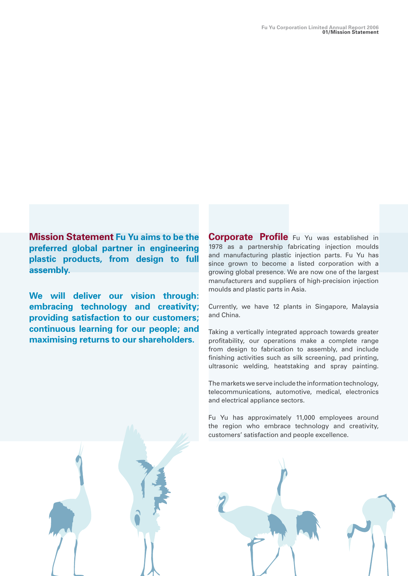**Mission Statement Fu Yu aims to be the preferred global partner in engineering plastic products, from design to full assembly.**

**We will deliver our vision through: embracing technology and creativity; providing satisfaction to our customers; continuous learning for our people; and maximising returns to our shareholders.**

**Corporate Profile** Fu Yu was established in 1978 as a partnership fabricating injection moulds and manufacturing plastic injection parts. Fu Yu has since grown to become a listed corporation with a growing global presence. We are now one of the largest manufacturers and suppliers of high-precision injection moulds and plastic parts in Asia.

Currently, we have 12 plants in Singapore, Malaysia and China.

Taking a vertically integrated approach towards greater profitability, our operations make a complete range from design to fabrication to assembly, and include finishing activities such as silk screening, pad printing, ultrasonic welding, heatstaking and spray painting.

The markets we serve include the information technology, telecommunications, automotive, medical, electronics and electrical appliance sectors.

Fu Yu has approximately 11,000 employees around the region who embrace technology and creativity, customers' satisfaction and people excellence.

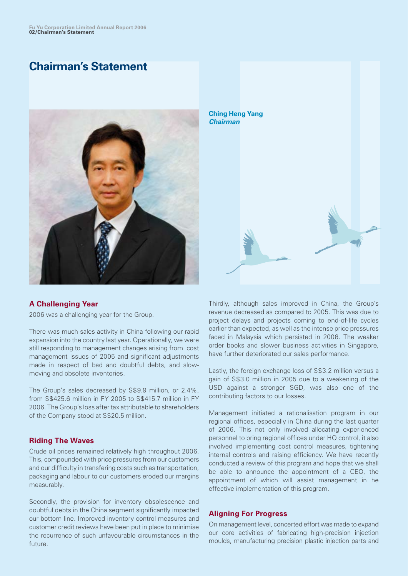## **Chairman's Statement**





## **A Challenging Year**

2006 was a challenging year for the Group.

There was much sales activity in China following our rapid expansion into the country last year. Operationally, we were still responding to management changes arising from cost management issues of 2005 and significant adjustments made in respect of bad and doubtful debts, and slowmoving and obsolete inventories.

The Group's sales decreased by S\$9.9 million, or 2.4%, from S\$425.6 million in FY 2005 to S\$415.7 million in FY 2006. The Group's loss after tax attributable to shareholders of the Company stood at S\$20.5 million.

## **Riding The Waves**

Crude oil prices remained relatively high throughout 2006. This, compounded with price pressures from our customers and our difficulty in transfering costs such as transportation, packaging and labour to our customers eroded our margins measurably.

Secondly, the provision for inventory obsolescence and doubtful debts in the China segment significantly impacted our bottom line. Improved inventory control measures and customer credit reviews have been put in place to minimise the recurrence of such unfavourable circumstances in the future.

Thirdly, although sales improved in China, the Group's revenue decreased as compared to 2005. This was due to project delays and projects coming to end-of-life cycles earlier than expected, as well as the intense price pressures faced in Malaysia which persisted in 2006. The weaker order books and slower business activities in Singapore, have further deteriorated our sales performance.

Lastly, the foreign exchange loss of S\$3.2 million versus a gain of S\$3.0 million in 2005 due to a weakening of the USD against a stronger SGD, was also one of the contributing factors to our losses.

Management initiated a rationalisation program in our regional offices, especially in China during the last quarter of 2006. This not only involved allocating experienced personnel to bring regional offices under HQ control, it also involved implementing cost control measures, tightening internal controls and raising efficiency. We have recently conducted a review of this program and hope that we shall be able to announce the appointment of a CEO, the appointment of which will assist management in he effective implementation of this program.

## **Aligning For Progress**

On management level, concerted effort was made to expand our core activities of fabricating high-precision injection moulds, manufacturing precision plastic injection parts and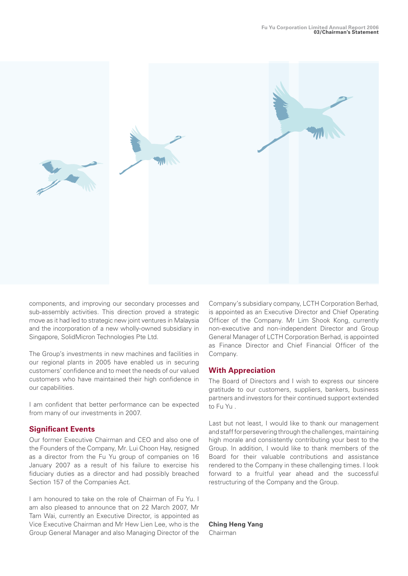

components, and improving our secondary processes and sub-assembly activities. This direction proved a strategic move as it had led to strategic new joint ventures in Malaysia and the incorporation of a new wholly-owned subsidiary in Singapore, SolidMicron Technologies Pte Ltd.

The Group's investments in new machines and facilities in our regional plants in 2005 have enabled us in securing customers' confidence and to meet the needs of our valued customers who have maintained their high confidence in our capabilities.

I am confident that better performance can be expected from many of our investments in 2007.

## **Significant Events**

Our former Executive Chairman and CEO and also one of the Founders of the Company, Mr. Lui Choon Hay, resigned as a director from the Fu Yu group of companies on 16 January 2007 as a result of his failure to exercise his fiduciary duties as a director and had possibly breached Section 157 of the Companies Act.

I am honoured to take on the role of Chairman of Fu Yu. I am also pleased to announce that on 22 March 2007, Mr Tam Wai, currently an Executive Director, is appointed as Vice Executive Chairman and Mr Hew Lien Lee, who is the Group General Manager and also Managing Director of the

Company's subsidiary company, LCTH Corporation Berhad, is appointed as an Executive Director and Chief Operating Officer of the Company. Mr Lim Shook Kong, currently non-executive and non-independent Director and Group General Manager of LCTH Corporation Berhad, is appointed as Finance Director and Chief Financial Officer of the Company.

## **With Appreciation**

The Board of Directors and I wish to express our sincere gratitude to our customers, suppliers, bankers, business partners and investors for their continued support extended to Fu Yu .

Last but not least, I would like to thank our management and staff for persevering through the challenges, maintaining high morale and consistently contributing your best to the Group. In addition, I would like to thank members of the Board for their valuable contributions and assistance rendered to the Company in these challenging times. I look forward to a fruitful year ahead and the successful restructuring of the Company and the Group.

**Ching Heng Yang** Chairman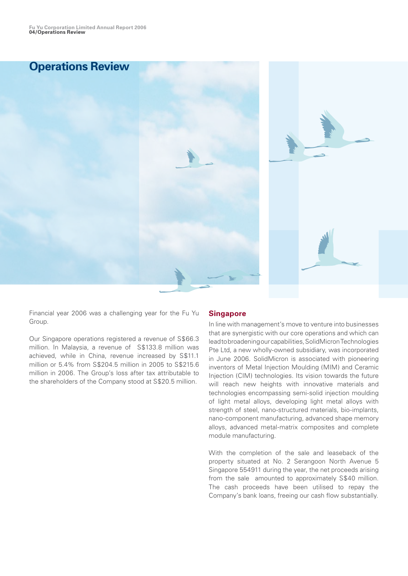## **Operations Review**



Financial year 2006 was a challenging year for the Fu Yu Group.

Our Singapore operations registered a revenue of S\$66.3 million. In Malaysia, a revenue of S\$133.8 million was achieved, while in China, revenue increased by S\$11.1 million or 5.4% from S\$204.5 million in 2005 to S\$215.6 million in 2006. The Group's loss after tax attributable to the shareholders of the Company stood at S\$20.5 million.

## **Singapore**

In line with management's move to venture into businesses that are synergistic with our core operations and which can lead to broadening our capabilities, SolidMicron Technologies Pte Ltd, a new wholly-owned subsidiary, was incorporated in June 2006. SolidMicron is associated with pioneering inventors of Metal Injection Moulding (MIM) and Ceramic Injection (CIM) technologies. Its vision towards the future will reach new heights with innovative materials and technologies encompassing semi-solid injection moulding of light metal alloys, developing light metal alloys with strength of steel, nano-structured materials, bio-implants, nano-component manufacturing, advanced shape memory alloys, advanced metal-matrix composites and complete module manufacturing.

With the completion of the sale and leaseback of the property situated at No. 2 Serangoon North Avenue 5 Singapore 554911 during the year, the net proceeds arising from the sale amounted to approximately S\$40 million. The cash proceeds have been utilised to repay the Company's bank loans, freeing our cash flow substantially.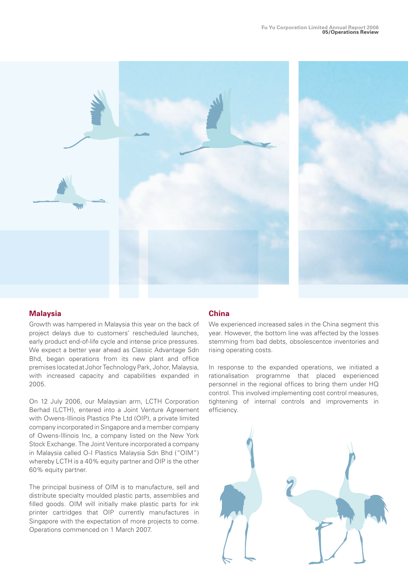

## **Malaysia**

Growth was hampered in Malaysia this year on the back of project delays due to customers' rescheduled launches, early product end-of-life cycle and intense price pressures. We expect a better year ahead as Classic Advantage Sdn Bhd, began operations from its new plant and office premises located at Johor Technology Park, Johor, Malaysia, with increased capacity and capabilities expanded in 2005.

On 12 July 2006, our Malaysian arm, LCTH Corporation Berhad (LCTH), entered into a Joint Venture Agreement with Owens-Illinois Plastics Pte Ltd (OIP), a private limited company incorporated in Singapore and a member company of Owens-Illinois Inc, a company listed on the New York Stock Exchange. The Joint Venture incorporated a company in Malaysia called O-I Plastics Malaysia Sdn Bhd ("OIM") whereby LCTH is a 40% equity partner and OIP is the other 60% equity partner.

The principal business of OIM is to manufacture, sell and distribute specialty moulded plastic parts, assemblies and filled goods. OIM will initially make plastic parts for ink printer cartridges that OIP currently manufactures in Singapore with the expectation of more projects to come. Operations commenced on 1 March 2007.

## **China**

We experienced increased sales in the China segment this year. However, the bottom line was affected by the losses stemming from bad debts, obsolescentce inventories and rising operating costs.

In response to the expanded operations, we initiated a rationalisation programme that placed experienced personnel in the regional offices to bring them under HQ control. This involved implementing cost control measures, tightening of internal controls and improvements in efficiency.

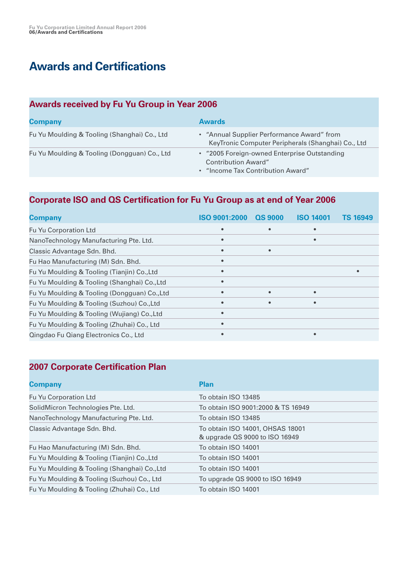# **Awards and Certifications**

## **Awards received by Fu Yu Group in Year 2006**

| <b>Company</b>                               | <b>Awards</b>                                                                                                   |
|----------------------------------------------|-----------------------------------------------------------------------------------------------------------------|
| Fu Yu Moulding & Tooling (Shanghai) Co., Ltd | • "Annual Supplier Performance Award" from<br>KeyTronic Computer Peripherals (Shanghai) Co., Ltd                |
| Fu Yu Moulding & Tooling (Dongguan) Co., Ltd | • "2005 Foreign-owned Enterprise Outstanding<br><b>Contribution Award"</b><br>• "Income Tax Contribution Award" |

## **Corporate ISO and QS Certification for Fu Yu Group as at end of Year 2006**

| <b>Company</b>                               | ISO 9001:2000 | <b>QS 9000</b> | ISO 14001 | <b>TS 16949</b> |
|----------------------------------------------|---------------|----------------|-----------|-----------------|
| Fu Yu Corporation Ltd                        | $\bullet$     | $\bullet$      |           |                 |
| NanoTechnology Manufacturing Pte. Ltd.       |               |                |           |                 |
| Classic Advantage Sdn. Bhd.                  |               | $\bullet$      |           |                 |
| Fu Hao Manufacturing (M) Sdn. Bhd.           |               |                |           |                 |
| Fu Yu Moulding & Tooling (Tianjin) Co., Ltd  |               |                |           |                 |
| Fu Yu Moulding & Tooling (Shanghai) Co., Ltd |               |                |           |                 |
| Fu Yu Moulding & Tooling (Dongguan) Co., Ltd |               | $\bullet$      |           |                 |
| Fu Yu Moulding & Tooling (Suzhou) Co., Ltd   |               |                |           |                 |
| Fu Yu Moulding & Tooling (Wujiang) Co., Ltd  |               |                |           |                 |
| Fu Yu Moulding & Tooling (Zhuhai) Co., Ltd   |               |                |           |                 |
| Qingdao Fu Qiang Electronics Co., Ltd        |               |                |           |                 |

## **2007 Corporate Certification Plan**

| <b>Company</b>                               | <b>Plan</b>                                                        |
|----------------------------------------------|--------------------------------------------------------------------|
| Fu Yu Corporation Ltd                        | To obtain ISO 13485                                                |
| SolidMicron Technologies Pte. Ltd.           | To obtain ISO 9001:2000 & TS 16949                                 |
| NanoTechnology Manufacturing Pte. Ltd.       | To obtain ISO 13485                                                |
| Classic Advantage Sdn. Bhd.                  | To obtain ISO 14001, OHSAS 18001<br>& upgrade QS 9000 to ISO 16949 |
| Fu Hao Manufacturing (M) Sdn. Bhd.           | To obtain ISO 14001                                                |
| Fu Yu Moulding & Tooling (Tianjin) Co., Ltd  | To obtain ISO 14001                                                |
| Fu Yu Moulding & Tooling (Shanghai) Co., Ltd | To obtain ISO 14001                                                |
| Fu Yu Moulding & Tooling (Suzhou) Co., Ltd   | To upgrade QS 9000 to ISO 16949                                    |
| Fu Yu Moulding & Tooling (Zhuhai) Co., Ltd   | To obtain ISO 14001                                                |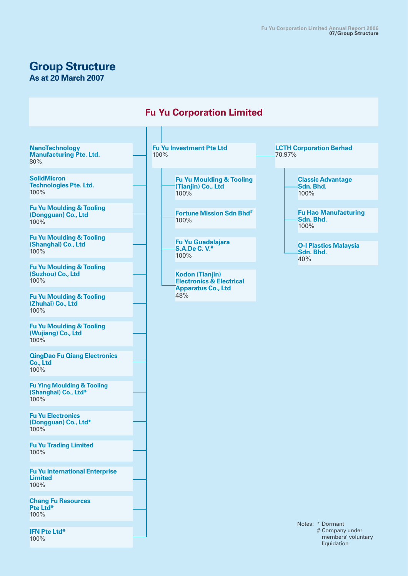## **Group Structure As at 20 March 2007**

| <b>Fu Yu Corporation Limited</b>                                      |  |      |                                                                                            |           |                                                                          |
|-----------------------------------------------------------------------|--|------|--------------------------------------------------------------------------------------------|-----------|--------------------------------------------------------------------------|
|                                                                       |  |      |                                                                                            |           |                                                                          |
| <b>NanoTechnology</b><br><b>Manufacturing Pte. Ltd.</b><br>80%        |  | 100% | <b>Fu Yu Investment Pte Ltd</b>                                                            | $-70.97%$ | <b>LCTH Corporation Berhad</b>                                           |
| <b>SolidMicron</b><br><b>Technologies Pte. Ltd.</b><br>100%           |  |      | <b>Fu Yu Moulding &amp; Tooling</b><br>(Tianjin) Co., Ltd<br>100%                          |           | <b>Classic Advantage</b><br><b>Sdn. Bhd.</b><br>100%                     |
| <b>Fu Yu Moulding &amp; Tooling</b><br>(Dongguan) Co., Ltd<br>100%    |  |      | <b>Fortune Mission Sdn Bhd#</b><br>100%                                                    |           | <b>Fu Hao Manufacturing</b><br>Sdn. Bhd.<br>100%                         |
| <b>Fu Yu Moulding &amp; Tooling</b><br>(Shanghai) Co., Ltd<br>100%    |  |      | <b>Fu Yu Guadalajara</b><br><b>S.A.De C. V.</b> #<br>100%                                  |           | <b>O-I Plastics Malaysia</b><br>Sdn. Bhd.<br>40%                         |
| <b>Fu Yu Moulding &amp; Tooling</b><br>(Suzhou) Co., Ltd<br>100%      |  |      | <b>Kodon (Tianjin)</b><br><b>Electronics &amp; Electrical</b><br><b>Apparatus Co., Ltd</b> |           |                                                                          |
| <b>Fu Yu Moulding &amp; Tooling</b><br>(Zhuhai) Co., Ltd<br>100%      |  |      | 48%                                                                                        |           |                                                                          |
| <b>Fu Yu Moulding &amp; Tooling</b><br>(Wujiang) Co., Ltd<br>100%     |  |      |                                                                                            |           |                                                                          |
| <b>QingDao Fu Qiang Electronics</b><br>Co., Ltd<br>100%               |  |      |                                                                                            |           |                                                                          |
| <b>Fu Ying Moulding &amp; Tooling</b><br>(Shanghai) Co., Ltd*<br>100% |  |      |                                                                                            |           |                                                                          |
| <b>Fu Yu Electronics</b><br>(Dongguan) Co., Ltd*<br>100%              |  |      |                                                                                            |           |                                                                          |
| <b>Fu Yu Trading Limited</b><br>100%                                  |  |      |                                                                                            |           |                                                                          |
| <b>Fu Yu International Enterprise</b><br><b>Limited</b><br>100%       |  |      |                                                                                            |           |                                                                          |
| <b>Chang Fu Resources</b><br>Pte Ltd*<br>100%                         |  |      |                                                                                            |           |                                                                          |
| <b>IFN Pte Ltd*</b><br>100%                                           |  |      |                                                                                            |           | Notes: * Dormant<br># Company under<br>members' voluntary<br>liquidation |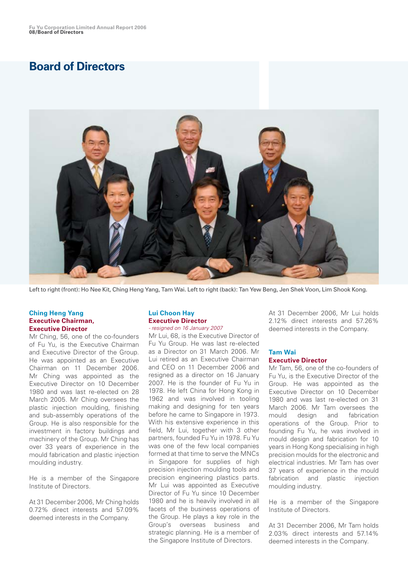## **Board of Directors**



Left to right (front): Ho Nee Kit, Ching Heng Yang, Tam Wai. Left to right (back): Tan Yew Beng, Jen Shek Voon, Lim Shook Kong.

### **Ching Heng Yang Executive Chairman, Executive Director**

Mr Ching, 56, one of the co-founders of Fu Yu, is the Executive Chairman and Executive Director of the Group. He was appointed as an Executive Chairman on 11 December 2006. Mr Ching was appointed as the Executive Director on 10 December 1980 and was last re-elected on 28 March 2005. Mr Ching oversees the plastic injection moulding, finishing and sub-assembly operations of the Group. He is also responsible for the investment in factory buildings and machinery of the Group. Mr Ching has over 33 years of experience in the mould fabrication and plastic injection moulding industry.

He is a member of the Singapore Institute of Directors.

At 31 December 2006, Mr Ching holds 0.72% direct interests and 57.09% deemed interests in the Company.

#### **Lui Choon Hay Executive Director** *- resigned on 16 January 2007*

Mr Lui, 68, is the Executive Director of Fu Yu Group. He was last re-elected as a Director on 31 March 2006. Mr Lui retired as an Executive Chairman and CEO on 11 December 2006 and resigned as a director on 16 January 2007. He is the founder of Fu Yu in 1978. He left China for Hong Kong in 1962 and was involved in tooling making and designing for ten years before he came to Singapore in 1973. With his extensive experience in this field, Mr Lui, together with 3 other partners, founded Fu Yu in 1978. Fu Yu was one of the few local companies formed at that time to serve the MNCs in Singapore for supplies of high precision injection moulding tools and precision engineering plastics parts. Mr Lui was appointed as Executive Director of Fu Yu since 10 December 1980 and he is heavily involved in all facets of the business operations of the Group. He plays a key role in the Group's overseas business and strategic planning. He is a member of the Singapore Institute of Directors.

At 31 December 2006, Mr Lui holds 2.12% direct interests and 57.26% deemed interests in the Company.

**Tam Wai Executive Director**

Mr Tam, 56, one of the co-founders of Fu Yu, is the Executive Director of the Group. He was appointed as the Executive Director on 10 December 1980 and was last re-elected on 31 March 2006. Mr Tam oversees the mould design and fabrication operations of the Group. Prior to founding Fu Yu, he was involved in mould design and fabrication for 10 years in Hong Kong specialising in high precision moulds for the electronic and electrical industries. Mr Tam has over 37 years of experience in the mould fabrication and plastic injection moulding industry.

He is a member of the Singapore Institute of Directors.

At 31 December 2006, Mr Tam holds 2.03% direct interests and 57.14% deemed interests in the Company.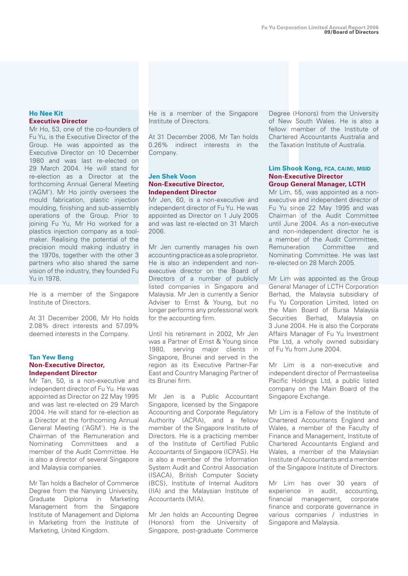## **Ho Nee Kit Executive Director**

Mr Ho, 53, one of the co-founders of Fu Yu, is the Executive Director of the Group. He was appointed as the Executive Director on 10 December 1980 and was last re-elected on 29 March 2004. He will stand for re-election as a Director at the forthcoming Annual General Meeting ('AGM'). Mr Ho jointly oversees the mould fabrication, plastic injection moulding, finishing and sub-assembly operations of the Group. Prior to joining Fu Yu, Mr Ho worked for a plastics injection company as a toolmaker. Realising the potential of the precision mould making industry in the 1970s, together with the other 3 partners who also shared the same vision of the industry, they founded Fu Yu in 1978.

He is a member of the Singapore Institute of Directors.

At 31 December 2006, Mr Ho holds 2.08% direct interests and 57.09% deemed interests in the Company.

## **Tan Yew Beng Non-Executive Director, Independent Director**

Mr Tan, 50, is a non-executive and independent director of Fu Yu. He was appointed as Director on 22 May 1995 and was last re-elected on 29 March 2004. He will stand for re-election as a Director at the forthcoming Annual General Meeting ('AGM'). He is the Chairman of the Remuneration and Nominating Committees and a member of the Audit Committee. He is also a director of several Singapore and Malaysia companies.

Mr Tan holds a Bachelor of Commerce Degree from the Nanyang University, Graduate Diploma in Marketing Management from the Singapore Institute of Management and Diploma in Marketing from the Institute of Marketing, United Kingdom.

He is a member of the Singapore Institute of Directors.

At 31 December 2006, Mr Tan holds 0.26% indirect interests in the Company.

## **Jen Shek Voon Non-Executive Director, Independent Director**

Mr Jen, 60, is a non-executive and independent director of Fu Yu. He was appointed as Director on 1 July 2005 and was last re-elected on 31 March 2006.

Mr Jen currently manages his own accounting practice as a sole proprietor. He is also an independent and nonexecutive director on the Board of Directors of a number of publicly listed companies in Singapore and Malaysia. Mr Jen is currently a Senior Adviser to Ernst & Young, but no longer performs any professional work for the accounting firm.

Until his retirement in 2002, Mr Jen was a Partner of Ernst & Young since 1980, serving major clients in Singapore, Brunei and served in the region as its Executive Partner-Far East and Country Managing Partner of its Brunei firm.

Mr Jen is a Public Accountant Singapore, licensed by the Singapore Accounting and Corporate Regulatory Authority (ACRA), and a fellow member of the Singapore Institute of Directors. He is a practicing member of the Institute of Certified Public Accountants of Singapore (ICPAS). He is also a member of the Information System Audit and Control Association (ISACA), British Computer Society (BCS), Institute of Internal Auditors (IIA) and the Malaysian Institute of Accountants (MIA).

Mr Jen holds an Accounting Degree (Honors) from the University of Singapore, post-graduate Commerce Degree (Honors) from the University of New South Wales. He is also a fellow member of the Institute of Chartered Accountants Australia and the Taxation Institute of Australia.

#### **Lim Shook Kong, FCA, CA(M), MSID Non-Executive Director Group General Manager, LCTH**

Mr Lim, 55, was appointed as a nonexecutive and independent director of Fu Yu since 22 May 1995 and was Chairman of the Audit Committee until June 2004. As a non-executive and non-independent director he is a member of the Audit Committee, Remuneration Committee and Nominating Committee. He was last re-elected on 28 March 2005.

Mr Lim was appointed as the Group General Manager of LCTH Corporation Berhad, the Malaysia subsidiary of Fu Yu Corporation Limited, listed on the Main Board of Bursa Malaysia Securities Berhad, Malaysia on 3 June 2004. He is also the Corporate Affairs Manager of Fu Yu Investment Pte Ltd, a wholly owned subsidiary of Fu Yu from June 2004.

Mr Lim is a non-executive and independent director of Permasteelisa Pacific Holdings Ltd, a public listed company on the Main Board of the Singapore Exchange.

Mr Lim is a Fellow of the Institute of Chartered Accountants England and Wales, a member of the Faculty of Finance and Management, Institute of Chartered Accountants England and Wales, a member of the Malaysian Institute of Accountants and a member of the Singapore Institute of Directors.

Mr Lim has over 30 years of experience in audit, accounting, financial management, corporate finance and corporate governance in various companies / industries in Singapore and Malaysia.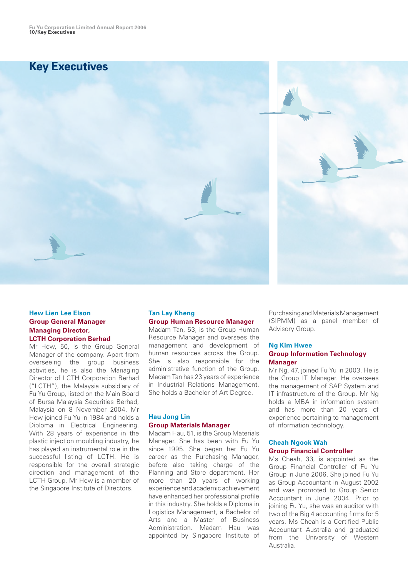## **Key Executives**



## **Hew Lien Lee Elson Group General Manager Managing Director, LCTH Corporation Berhad**

Mr Hew, 50, is the Group General Manager of the company. Apart from overseeing the group business activities, he is also the Managing Director of LCTH Corporation Berhad ("LCTH"), the Malaysia subsidiary of Fu Yu Group, listed on the Main Board of Bursa Malaysia Securities Berhad, Malaysia on 8 November 2004. Mr Hew joined Fu Yu in 1984 and holds a Diploma in Electrical Engineering. With 28 years of experience in the plastic injection moulding industry, he has played an instrumental role in the successful listing of LCTH. He is responsible for the overall strategic direction and management of the LCTH Group. Mr Hew is a member of the Singapore Institute of Directors.

## **Tan Lay Kheng Group Human Resource Manager**

Madam Tan, 53, is the Group Human Resource Manager and oversees the management and development of human resources across the Group. She is also responsible for the administrative function of the Group. Madam Tan has 23 years of experience in Industrial Relations Management. She holds a Bachelor of Art Degree.

## **Hau Jong Lin Group Materials Manager**

Madam Hau, 51, is the Group Materials Manager. She has been with Fu Yu since 1995. She began her Fu Yu career as the Purchasing Manager, before also taking charge of the Planning and Store department. Her more than 20 years of working experience and academic achievement have enhanced her professional profile in this industry. She holds a Diploma in Logistics Management, a Bachelor of Arts and a Master of Business Administration. Madam Hau was appointed by Singapore Institute of

Purchasing and Materials Management (SIPMM) as a panel member of Advisory Group.

### **Ng Kim Hwee Group Information Technology Manager**

Mr Ng, 47, joined Fu Yu in 2003. He is the Group IT Manager. He oversees the management of SAP System and IT infrastructure of the Group. Mr Ng holds a MBA in information system and has more than 20 years of experience pertaining to management of information technology.

## **Cheah Ngook Wah Group Financial Controller**

Ms Cheah, 33, is appointed as the Group Financial Controller of Fu Yu Group in June 2006. She joined Fu Yu as Group Accountant in August 2002 and was promoted to Group Senior Accountant in June 2004. Prior to joining Fu Yu, she was an auditor with two of the Big 4 accounting firms for 5 years. Ms Cheah is a Certified Public Accountant Australia and graduated from the University of Western Australia.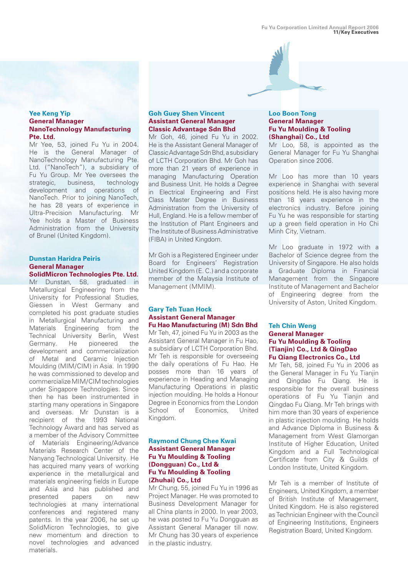### **Yee Keng Yip General Manager NanoTechnology Manufacturing Pte. Ltd.**

Mr Yee, 53, joined Fu Yu in 2004. He is the General Manager of NanoTechnology Manufacturing Pte. Ltd. ("NanoTech"), a subsidiary of Fu Yu Group. Mr Yee oversees the strategic, business, technology development and operations of NanoTech. Prior to joining NanoTech, he has 28 years of experience in Ultra-Precision Manufacturing. Mr Yee holds a Master of Business Administration from the University of Brunel (United Kingdom).

#### **Dunstan Haridra Peiris General Manager SolidMicron Technologies Pte. Ltd.**

Mr Dunstan, 58, graduated in Metallurgical Engineering from the University for Professional Studies, Giessen in West Germany and completed his post graduate studies in Metallurgical Manufacturing and Materials Engineering from the Technical University Berlin, West Germany. He pioneered the development and commercialization of Metal and Ceramic Injection Moulding (MIM/CIM) in Asia. In 1990 he was commissioned to develop and commercialize MIM/CIM technologies under Singapore Technologies. Since then he has been instrumented in starting many operations in Singapore and overseas. Mr Dunstan is a recipient of the 1993 National Technology Award and has served as a member of the Advisory Committee of Materials Engineering/Advance Materials Research Center of the Nanyang Technological University. He has acquired many years of working experience in the metallurgical and materials engineering fields in Europe and Asia and has published and presented papers on new technologies at many international conferences and registered many patents. In the year 2006, he set up SolidMicron Technologies, to give new momentum and direction to novel technologies and advanced materials.

### **Goh Guey Shen Vincent Assistant General Manager Classic Advantage Sdn Bhd**

Mr Goh, 46, joined Fu Yu in 2002. He is the Assistant General Manager of Classic Advantage Sdn Bhd, a subsidiary of LCTH Corporation Bhd. Mr Goh has more than 21 years of experience in managing Manufacturing Operation and Business Unit. He holds a Degree in Electrical Engineering and First Class Master Degree in Business Administration from the University of Hull, England. He is a fellow member of the Institution of Plant Engineers and The Institute of Business Administrative (FIBA) in United Kingdom.

Mr Goh is a Registered Engineer under Board for Engineers' Registration United Kingdom (E. C.) and a corporate member of the Malaysia Institute of Management (MMIM).

### **Gary Teh Tuan Hock Assistant General Manager Fu Hao Manufacturing (M) Sdn Bhd**

Mr Teh, 47, joined Fu Yu in 2003 as the Assistant General Manager in Fu Hao, a subsidiary of LCTH Corporation Bhd. Mr Teh is responsible for overseeing the daily operations of Fu Hao. He posses more than 16 years of experience in Heading and Managing Manufacturing Operations in plastic injection moulding. He holds a Honour Degree in Economics from the London School of Economics, United Kingdom.

### **Raymond Chung Chee Kwai Assistant General Manager Fu Yu Moulding & Tooling (Dongguan) Co., Ltd & Fu Yu Moulding & Tooling (Zhuhai) Co., Ltd**

Mr Chung, 55, joined Fu Yu in 1996 as Project Manager. He was promoted to Business Development Manager for all China plants in 2000. In year 2003, he was posted to Fu Yu Dongguan as Assistant General Manager till now. Mr Chung has 30 years of experience in the plastic industry.

### **Loo Boon Tong General Manager Fu Yu Moulding & Tooling (Shanghai) Co., Ltd**

Mr Loo, 58, is appointed as the General Manager for Fu Yu Shanghai Operation since 2006.

Mr Loo has more than 10 years experience in Shanghai with several positions held. He is also having more than 18 years experience in the electronics industry. Before joining Fu Yu he was responsible for starting up a green field operation in Ho Chi Minh City, Vietnam.

Mr Loo graduate in 1972 with a Bachelor of Science degree from the University of Singapore. He also holds a Graduate Diploma in Financial Management from the Singapore Institute of Management and Bachelor of Engineering degree from the University of Aston, United Kingdom.

#### **Teh Chin Weng General Manager Fu Yu Moulding & Tooling (Tianjin) Co., Ltd & QingDao Fu Qiang Electronics Co., Ltd**

Mr Teh, 58, joined Fu Yu in 2006 as the General Manager in Fu Yu Tianjin and Qingdao Fu Qiang. He is responsible for the overall business operations of Fu Yu Tianjin and Qingdao Fu Qiang. Mr Teh brings with him more than 30 years of experience in plastic injection moulding. He holds and Advance Diploma in Business & Management from West Glamorgan Institute of Higher Education, United Kingdom and a Full Technological Certificate from City & Guilds of London Institute, United Kingdom.

Mr Teh is a member of Institute of Engineers, United Kingdom, a member of British Institute of Management, United Kingdom. He is also registered as Technician Engineer with the Council of Engineering Institutions, Engineers Registration Board, United Kingdom.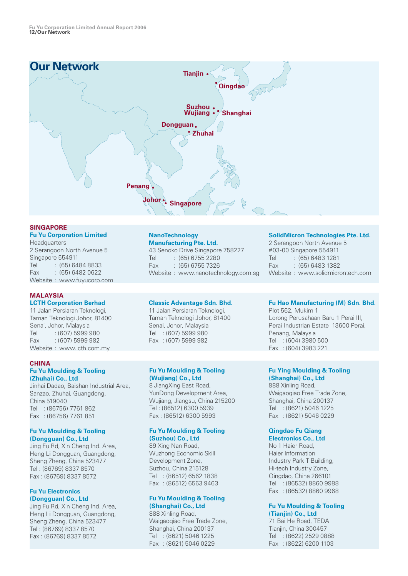

### **SINGAPORE**

**Fu Yu Corporation Limited Headquarters** 

2 Serangoon North Avenue 5 Singapore 554911 Tel : (65) 6484 8833 Fax : (65) 6482 0622 Website : www.fuyucorp.com

## **MALAYSIA**

**LCTH Corporation Berhad**

11 Jalan Persiaran Teknologi, Taman Teknologi Johor, 81400 Senai, Johor, Malaysia Tel : (607) 5999 980 Fax : (607) 5999 982 Website : www.lcth.com.my

## **CHINA**

#### **Fu Yu Moulding & Tooling (Zhuhai) Co., Ltd**

Jinhai Dadao, Baishan Industrial Area, Sanzao, Zhuhai, Guangdong, China 519040 Tel : (86756) 7761 862 Fax : (86756) 7761 851

#### **Fu Yu Moulding & Tooling (Dongguan) Co., Ltd**

Jing Fu Rd, Xin Cheng Ind. Area, Heng Li Dongguan, Guangdong, Sheng Zheng, China 523477 Tel : (86769) 8337 8570 Fax : (86769) 8337 8572

## **Fu Yu Electronics (Dongguan) Co., Ltd**

Jing Fu Rd, Xin Cheng Ind. Area, Heng Li Dongguan, Guangdong, Sheng Zheng, China 523477 Tel : (86769) 8337 8570 Fax : (86769) 8337 8572

## **NanoTechnology Manufacturing Pte. Ltd.**

43 Senoko Drive Singapore 758227<br>Tel (65) 6755 2280  $: (65) 6755 2280$ Fax : (65) 6755 7326 Website : www.nanotechnology.com.sg

## **Classic Advantage Sdn. Bhd.**

11 Jalan Persiaran Teknologi, Taman Teknologi Johor, 81400 Senai, Johor, Malaysia Tel : (607) 5999 980 Fax : (607) 5999 982

## **Fu Yu Moulding & Tooling (Wujiang) Co., Ltd**

8 JiangXing East Road, YunDong Development Area, Wujiang, Jiangsu, China 215200 Tel : (86512) 6300 5939 Fax : (86512) 6300 5993

## **Fu Yu Moulding & Tooling**

**(Suzhou) Co., Ltd**

89 Xing Nan Road, Wuzhong Economic Skill Development Zone, Suzhou, China 215128 Tel : (86512) 6562 1838 Fax : (86512) 6563 9463

## **Fu Yu Moulding & Tooling (Shanghai) Co., Ltd**

888 Xinling Road, Waigaoqiao Free Trade Zone, Shanghai, China 200137 Tel : (8621) 5046 1225 Fax : (8621) 5046 0229

### **SolidMicron Technologies Pte. Ltd.**

2 Serangoon North Avenue 5 #03-00 Singapore 554911<br>Tel (65) 6483 1281  $: (65) 6483 1281$ Fax : (65) 6483 1382 Website : www.solidmicrontech.com

### **Fu Hao Manufacturing (M) Sdn. Bhd.**

Plot 562, Mukim 1 Lorong Perusahaan Baru 1 Perai III, Perai Industrian Estate 13600 Perai, Penang, Malaysia Tel : (604) 3980 500 Fax : (604) 3983 221

## **Fu Ying Moulding & Tooling (Shanghai) Co., Ltd**

888 Xinling Road, Waigaoqiao Free Trade Zone, Shanghai, China 200137 Tel : (8621) 5046 1225 Fax : (8621) 5046 0229

#### **Qingdao Fu Qiang Electronics Co., Ltd**

No 1 Haier Road, Haier Information Industry Park T Building, Hi-tech Industry Zone, Qingdao, China 266101 Tel : (86532) 8860 9988 Fax : (86532) 8860 9968

## **Fu Yu Moulding & Tooling (Tianjin) Co., Ltd**

71 Bai He Road, TEDA Tianjin, China 300457 Tel : (8622) 2529 0888 Fax : (8622) 6200 1103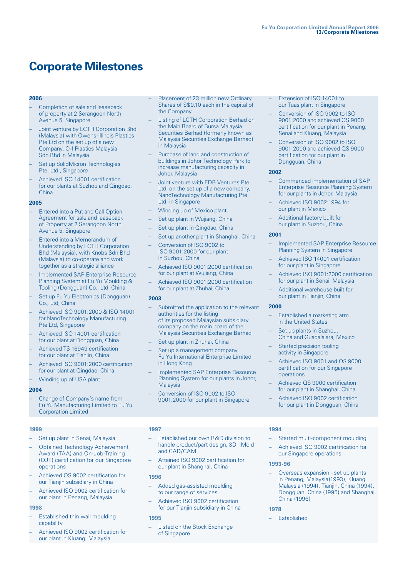# **Corporate Milestones**

#### **2006**

- Completion of sale and leaseback of property at 2 Serangoon North Avenue 5, Singapore
- Joint venture by LCTH Corporation Bhd (Malaysia) with Owens-Illinois Plastics Pte Ltd on the set up of a new Company, O-I Plastics Malaysia Sdn Bhd in Malaysia
- Set up SolidMicron Technologies Pte. Ltd., Singapore
- Achieved ISO 14001 certification for our plants at Suzhou and Qingdao, China

#### **2005**

- **Entered into a Put and Call Option** Agreement for sale and leaseback of Property at 2 Serangoon North Avenue 5, Singapore
- Entered into a Memorandum of Understanding by LCTH Corporation Bhd (Malaysia), with Knobs Sdn Bhd (Malaysia) to co-operate and work together as a strategic alliance
- Implemented SAP Enterprise Resource Planning System at Fu Yu Moulding & Tooling (Dongguan) Co., Ltd, China
- Set up Fu Yu Electronics (Dongguan) Co., Ltd, China
- Achieved ISO 9001:2000 & ISO 14001 for NanoTechnology Manufacturing Pte Ltd, Singapore
- Achieved ISO 14001 certification for our plant at Dongguan, China
- Achieved TS 16949 certification for our plant at Tianjin, China
- Achieved ISO 9001:2000 certification for our plant at Qingdao, China
- Winding up of USA plant

#### **2004**

Change of Company's name from Fu Yu Manufacturing Limited to Fu Yu Corporation Limited

#### **1999**

- Set up plant in Senai, Malaysia
- Obtained Technology Achievement Award (TAA) and On-Job-Training (OJT) certification for our Singapore operations
- Achieved QS 9002 certification for our Tianjin subsidiary in China
- Achieved ISO 9002 certification for our plant in Penang, Malaysia

#### **1998**

- Established thin wall moulding capability
- Achieved ISO 9002 certification for our plant in Kluang, Malaysia
- Placement of 23 million new Ordinary Shares of S\$0.10 each in the capital of the Company
- Listing of LCTH Corporation Berhad on the Main Board of Bursa Malaysia Securities Berhad (formerly known as Malaysia Securities Exchange Berhad) in Malaysia
- Purchase of land and construction of buildings in Johor Technology Park to increase manufacturing capacity in Johor, Malaysia
- Joint venture with EDB Ventures Pte. Ltd. on the set up of a new company, NanoTechnology Manufacturing Pte. Ltd. in Singapore
- Winding up of Mexico plant
- Set up plant in Wujiang, China
- Set up plant in Qingdao, China
- Set up another plant in Shanghai, China
- Conversion of ISO 9002 to ISO 9001:2000 for our plant in Suzhou, China
- Achieved ISO 9001:2000 certification for our plant at Wujiang, China
- Achieved ISO 9001:2000 certification for our plant at Zhuhai, China

#### **2003**

- Submitted the application to the relevant authorities for the listing of its proposed Malaysian subsidiary company on the main board of the Malaysia Securities Exchange Berhad
- Set up plant in Zhuhai, China
- Set up a management company, Fu Yu International Enterprise Limited in Hong Kong
- Implemented SAP Enterprise Resource Planning System for our plants in Johor, Malaysia
- Conversion of ISO 9002 to ISO 9001:2000 for our plant in Singapore
- Extension of ISO 14001 to our Tuas plant in Singapore
- Conversion of ISO 9002 to ISO 9001:2000 and achieved QS 9000 certification for our plant in Penang, Senai and Kluang, Malaysia
- Conversion of ISO 9002 to ISO 9001:2000 and achieved QS 9000 certification for our plant in Dongguan, China

#### **2002**

- Commenced implementation of SAP Enterprise Resource Planning System for our plants in Johor, Malaysia
- Achieved ISO 9002:1994 for our plant in Mexico
- Additional factory built for our plant in Suzhou, China

#### **2001**

- Implemented SAP Enterprise Resource Planning System in Singapore
- Achieved ISO 14001 certification for our plant in Singapore
- Achieved ISO 9001:2000 certification for our plant in Senai, Malaysia
- Additional warehouse built for our plant in Tianjin, China

#### **2000**

- Established a marketing arm in the United States
- Set up plants in Suzhou, China and Guadalajara, Mexico
- Started precision tooling activity in Singapore
- Achieved ISO 9001 and QS 9000 certification for our Singapore operations
- Achieved QS 9000 certification for our plant in Shanghai, China
- Achieved ISO 9002 certification for our plant in Dongguan, China

- Started multi-component moulding
- Achieved ISO 9002 certification for our Singapore operations

#### **1993-96**

**1994**

– Overseas expansion - set up plants in Penang, Malaysia(1993), Kluang, Malaysia (1994), Tianjin, China (1994), Dongguan, China (1995) and Shanghai, China (1996)

#### **1978**

– Established

- Established our own R&D division to
- handle product/part design, 3D, IMold and CAD/CAM
- Attained ISO 9002 certification for our plant in Shanghai, China

### **1996**

**1997**

- Added gas-assisted moulding to our range of services
- Achieved ISO 9002 certification for our Tianjin subsidiary in China

#### **1995**

Listed on the Stock Exchange of Singapore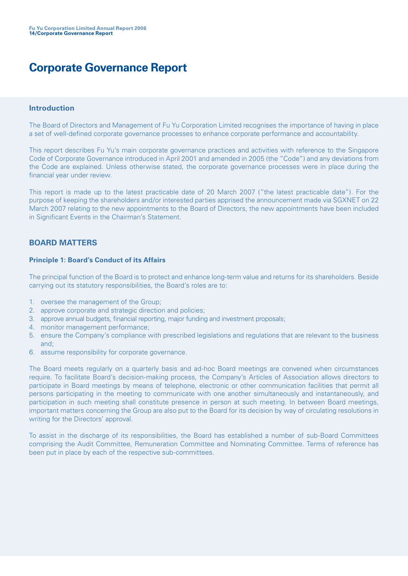## **Introduction**

The Board of Directors and Management of Fu Yu Corporation Limited recognises the importance of having in place a set of well-defined corporate governance processes to enhance corporate performance and accountability.

This report describes Fu Yu's main corporate governance practices and activities with reference to the Singapore Code of Corporate Governance introduced in April 2001 and amended in 2005 (the "Code") and any deviations from the Code are explained. Unless otherwise stated, the corporate governance processes were in place during the financial year under review.

This report is made up to the latest practicable date of 20 March 2007 ("the latest practicable date"). For the purpose of keeping the shareholders and/or interested parties apprised the announcement made via SGXNET on 22 March 2007 relating to the new appointments to the Board of Directors, the new appointments have been included in Significant Events in the Chairman's Statement.

## **BOARD MATTERS**

### **Principle 1: Board's Conduct of its Affairs**

The principal function of the Board is to protect and enhance long-term value and returns for its shareholders. Beside carrying out its statutory responsibilities, the Board's roles are to:

- 1. oversee the management of the Group;
- 2. approve corporate and strategic direction and policies;
- 3. approve annual budgets, financial reporting, major funding and investment proposals;
- 4. monitor management performance;
- 5. ensure the Company's compliance with prescribed legislations and regulations that are relevant to the business and;
- 6. assume responsibility for corporate governance.

The Board meets regularly on a quarterly basis and ad-hoc Board meetings are convened when circumstances require. To facilitate Board's decision-making process, the Company's Articles of Association allows directors to participate in Board meetings by means of telephone, electronic or other communication facilities that permit all persons participating in the meeting to communicate with one another simultaneously and instantaneously, and participation in such meeting shall constitute presence in person at such meeting. In between Board meetings, important matters concerning the Group are also put to the Board for its decision by way of circulating resolutions in writing for the Directors' approval.

To assist in the discharge of its responsibilities, the Board has established a number of sub-Board Committees comprising the Audit Committee, Remuneration Committee and Nominating Committee. Terms of reference has been put in place by each of the respective sub-committees.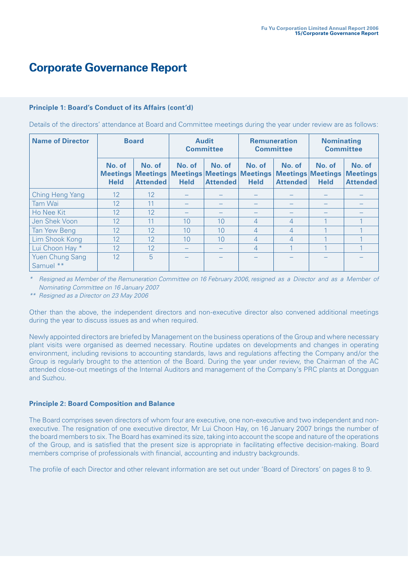## **Principle 1: Board's Conduct of its Affairs (cont'd)**

Details of the directors' attendance at Board and Committee meetings during the year under review are as follows:

| <b>Name of Director</b>             |                                          | <b>Board</b>              | <b>Audit</b><br><b>Committee</b>                                          |                           | <b>Remuneration</b><br><b>Committee</b> |                           | <b>Nominating</b><br><b>Committee</b>             |                                              |
|-------------------------------------|------------------------------------------|---------------------------|---------------------------------------------------------------------------|---------------------------|-----------------------------------------|---------------------------|---------------------------------------------------|----------------------------------------------|
|                                     | No. of<br><b>Meetings</b><br><b>Held</b> | No. of<br><b>Attended</b> | No. of<br><b>Meetings   Meetings   Meetings   Meetings</b><br><b>Held</b> | No. of<br><b>Attended</b> | No. of<br><b>Held</b>                   | No. of<br><b>Attended</b> | No. of<br><b>Meetings Meetings</b><br><b>Held</b> | No. of<br><b>Meetings</b><br><b>Attended</b> |
| Ching Heng Yang                     | 12                                       | 12                        |                                                                           |                           |                                         |                           |                                                   |                                              |
| Tam Wai                             | 12                                       | 11                        |                                                                           |                           |                                         |                           |                                                   |                                              |
| Ho Nee Kit                          | 12                                       | 12                        |                                                                           |                           |                                         |                           |                                                   |                                              |
| Jen Shek Voon                       | 12                                       | 11                        | 10                                                                        | 10 <sup>°</sup>           | $\overline{4}$                          | 4                         |                                                   |                                              |
| <b>Tan Yew Beng</b>                 | 12                                       | 12                        | 10                                                                        | 10                        | $\overline{4}$                          | $\overline{4}$            |                                                   |                                              |
| Lim Shook Kong                      | 12                                       | 12                        | 10                                                                        | 10                        | 4                                       | 4                         |                                                   |                                              |
| Lui Choon Hay *                     | 12                                       | 12                        |                                                                           |                           | $\overline{4}$                          |                           |                                                   |                                              |
| <b>Yuen Chung Sang</b><br>Samuel ** | 12                                       | 5                         |                                                                           |                           |                                         |                           |                                                   |                                              |

Resigned as Member of the Remuneration Committee on 16 February 2006, resigned as a Director and as a Member of  *Nominating Committee on 16 January 2007*

*\*\* Resigned as a Director on 23 May 2006*

Other than the above, the independent directors and non-executive director also convened additional meetings during the year to discuss issues as and when required.

Newly appointed directors are briefed by Management on the business operations of the Group and where necessary plant visits were organised as deemed necessary. Routine updates on developments and changes in operating environment, including revisions to accounting standards, laws and regulations affecting the Company and/or the Group is regularly brought to the attention of the Board. During the year under review, the Chairman of the AC attended close-out meetings of the Internal Auditors and management of the Company's PRC plants at Dongguan and Suzhou.

## **Principle 2: Board Composition and Balance**

The Board comprises seven directors of whom four are executive, one non-executive and two independent and nonexecutive. The resignation of one executive director, Mr Lui Choon Hay, on 16 January 2007 brings the number of the board members to six. The Board has examined its size, taking into account the scope and nature of the operations of the Group, and is satisfied that the present size is appropriate in facilitating effective decision-making. Board members comprise of professionals with financial, accounting and industry backgrounds.

The profile of each Director and other relevant information are set out under 'Board of Directors' on pages 8 to 9.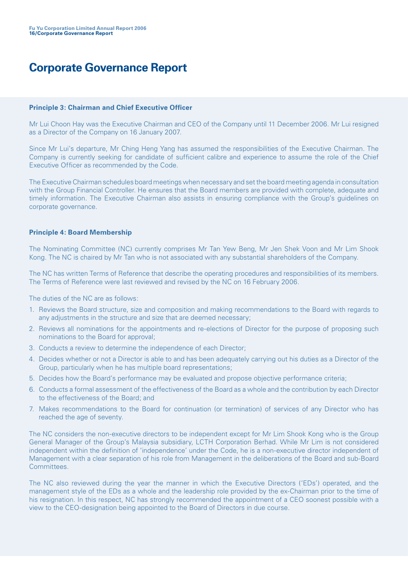## **Principle 3: Chairman and Chief Executive Officer**

Mr Lui Choon Hay was the Executive Chairman and CEO of the Company until 11 December 2006. Mr Lui resigned as a Director of the Company on 16 January 2007.

Since Mr Lui's departure, Mr Ching Heng Yang has assumed the responsibilities of the Executive Chairman. The Company is currently seeking for candidate of sufficient calibre and experience to assume the role of the Chief Executive Officer as recommended by the Code.

The Executive Chairman schedules board meetings when necessary and set the board meeting agenda in consultation with the Group Financial Controller. He ensures that the Board members are provided with complete, adequate and timely information. The Executive Chairman also assists in ensuring compliance with the Group's guidelines on corporate governance.

## **Principle 4: Board Membership**

The Nominating Committee (NC) currently comprises Mr Tan Yew Beng, Mr Jen Shek Voon and Mr Lim Shook Kong. The NC is chaired by Mr Tan who is not associated with any substantial shareholders of the Company.

The NC has written Terms of Reference that describe the operating procedures and responsibilities of its members. The Terms of Reference were last reviewed and revised by the NC on 16 February 2006.

The duties of the NC are as follows:

- 1. Reviews the Board structure, size and composition and making recommendations to the Board with regards to any adjustments in the structure and size that are deemed necessary;
- 2. Reviews all nominations for the appointments and re-elections of Director for the purpose of proposing such nominations to the Board for approval;
- 3. Conducts a review to determine the independence of each Director;
- 4. Decides whether or not a Director is able to and has been adequately carrying out his duties as a Director of the Group, particularly when he has multiple board representations;
- 5. Decides how the Board's performance may be evaluated and propose objective performance criteria;
- 6. Conducts a formal assessment of the effectiveness of the Board as a whole and the contribution by each Director to the effectiveness of the Board; and
- 7. Makes recommendations to the Board for continuation (or termination) of services of any Director who has reached the age of seventy.

The NC considers the non-executive directors to be independent except for Mr Lim Shook Kong who is the Group General Manager of the Group's Malaysia subsidiary, LCTH Corporation Berhad. While Mr Lim is not considered independent within the definition of 'independence' under the Code, he is a non-executive director independent of Management with a clear separation of his role from Management in the deliberations of the Board and sub-Board Committees.

The NC also reviewed during the year the manner in which the Executive Directors ('EDs') operated, and the management style of the EDs as a whole and the leadership role provided by the ex-Chairman prior to the time of his resignation. In this respect, NC has strongly recommended the appointment of a CEO soonest possible with a view to the CEO-designation being appointed to the Board of Directors in due course.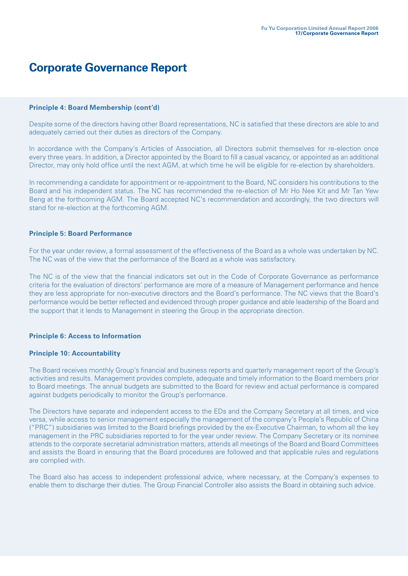## **Principle 4: Board Membership (cont'd)**

Despite some of the directors having other Board representations, NC is satisfied that these directors are able to and adequately carried out their duties as directors of the Company.

In accordance with the Company's Articles of Association, all Directors submit themselves for re-election once every three years. In addition, a Director appointed by the Board to fill a casual vacancy, or appointed as an additional Director, may only hold office until the next AGM, at which time he will be eligible for re-election by shareholders.

In recommending a candidate for appointment or re-appointment to the Board, NC considers his contributions to the Board and his independent status. The NC has recommended the re-election of Mr Ho Nee Kit and Mr Tan Yew Beng at the forthcoming AGM. The Board accepted NC's recommendation and accordingly, the two directors will stand for re-election at the forthcoming AGM.

## **Principle 5: Board Performance**

For the year under review, a formal assessment of the effectiveness of the Board as a whole was undertaken by NC. The NC was of the view that the performance of the Board as a whole was satisfactory.

The NC is of the view that the financial indicators set out in the Code of Corporate Governance as performance criteria for the evaluation of directors' performance are more of a measure of Management performance and hence they are less appropriate for non-executive directors and the Board's performance. The NC views that the Board's performance would be better reflected and evidenced through proper guidance and able leadership of the Board and the support that it lends to Management in steering the Group in the appropriate direction.

## **Principle 6: Access to Information**

## **Principle 10: Accountability**

The Board receives monthly Group's financial and business reports and quarterly management report of the Group's activities and results. Management provides complete, adequate and timely information to the Board members prior to Board meetings. The annual budgets are submitted to the Board for review and actual performance is compared against budgets periodically to monitor the Group's performance.

The Directors have separate and independent access to the EDs and the Company Secretary at all times, and vice versa, while access to senior management especially the management of the company's People's Republic of China ("PRC") subsidiaries was limited to the Board briefings provided by the ex-Executive Chairman, to whom all the key management in the PRC subsidiaries reported to for the year under review. The Company Secretary or its nominee attends to the corporate secretarial administration matters, attends all meetings of the Board and Board Committees and assists the Board in ensuring that the Board procedures are followed and that applicable rules and regulations are complied with.

The Board also has access to independent professional advice, where necessary, at the Company's expenses to enable them to discharge their duties. The Group Financial Controller also assists the Board in obtaining such advice.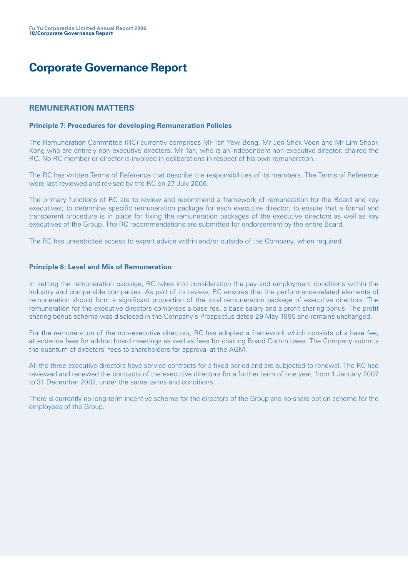## **REMUNERATION MATTERS**

## **Principle 7: Procedures for developing Remuneration Policies**

The Remuneration Committee (RC) currently comprises Mr Tan Yew Beng, Mr Jen Shek Voon and Mr Lim Shook Kong who are entirely non-executive directors. Mr Tan, who is an independent non-executive director, chaired the RC. No RC member or director is involved in deliberations in respect of his own remuneration.

The RC has written Terms of Reference that describe the responsibilities of its members. The Terms of Reference were last reviewed and revised by the RC on 27 July 2006.

The primary functions of RC are to review and recommend a framework of remuneration for the Board and key executives; to determine specific remuneration package for each executive director; to ensure that a formal and transparent procedure is in place for fixing the remuneration packages of the executive directors as well as key executives of the Group. The RC recommendations are submitted for endorsement by the entire Board.

The RC has unrestricted access to expert advice within and/or outside of the Company, when required.

## **Principle 8: Level and Mix of Remuneration**

In setting the remuneration package, RC takes into consideration the pay and employment conditions within the industry and comparable companies. As part of its review, RC ensures that the performance-related elements of remuneration should form a significant proportion of the total remuneration package of executive directors. The remuneration for the executive directors comprises a base fee, a base salary and a profit sharing bonus. The profit sharing bonus scheme was disclosed in the Company's Prospectus dated 29 May 1995 and remains unchanged.

For the remuneration of the non-executive directors, RC has adopted a framework which consists of a base fee, attendance fees for ad-hoc board meetings as well as fees for chairing Board Committees. The Company submits the quantum of directors' fees to shareholders for approval at the AGM.

All the three executive directors have service contracts for a fixed period and are subjected to renewal. The RC had reviewed and renewed the contracts of the executive directors for a further term of one year, from 1 January 2007 to 31 December 2007, under the same terms and conditions.

There is currently no long-term incentive scheme for the directors of the Group and no share option scheme for the employees of the Group.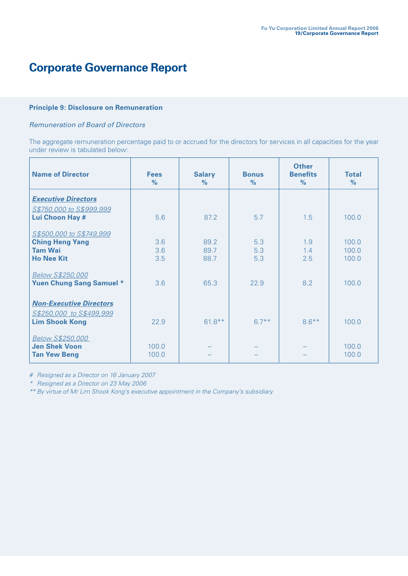## **Principle 9: Disclosure on Remuneration**

## *Remuneration of Board of Directors*

The aggregate remuneration percentage paid to or accrued for the directors for services in all capacities for the year under review is tabulated below:

| <b>Name of Director</b>                                         | <b>Fees</b><br>$\frac{9}{6}$ | <b>Salary</b><br>$\%$ | <b>Bonus</b><br>$\%$ | <b>Other</b><br><b>Benefits</b><br>$\%$ | <b>Total</b><br>$\%$ |
|-----------------------------------------------------------------|------------------------------|-----------------------|----------------------|-----------------------------------------|----------------------|
| <b>Executive Directors</b>                                      |                              |                       |                      |                                         |                      |
| S\$750,000 to S\$999,999<br>Lui Choon Hay #                     | 5.6                          | 87.2                  | 5.7                  | 1.5                                     | 100.0                |
| S\$500,000 to S\$749,999                                        |                              |                       |                      |                                         |                      |
| <b>Ching Heng Yang</b><br><b>Tam Wai</b>                        | 3.6<br>3.6                   | 89.2                  | 5.3<br>5.3           | 1.9<br>1.4                              | 100.0                |
| <b>Ho Nee Kit</b>                                               | 3.5                          | 89.7<br>88.7          | 5.3                  | 2.5                                     | 100.0<br>100.0       |
| Below S\$250,000<br><b>Yuen Chung Sang Samuel *</b>             | 3.6                          | 65.3                  | 22.9                 | 8.2                                     | 100.0                |
| <b>Non-Executive Directors</b>                                  |                              |                       |                      |                                         |                      |
| S\$250,000 to S\$499,999<br><b>Lim Shook Kong</b>               | 22.9                         | $61.8***$             | $6.7***$             | $8.6***$                                | 100.0                |
| Below S\$250,000<br><b>Jen Shek Voon</b><br><b>Tan Yew Beng</b> | 100.0<br>100.0               |                       |                      |                                         | 100.0<br>100.0       |

*# Resigned as a Director on 16 January 2007*

*\* Resigned as a Director on 23 May 2006*

*\*\* By virtue of Mr Lim Shook Kong's executive appointment in the Company's subsidiary*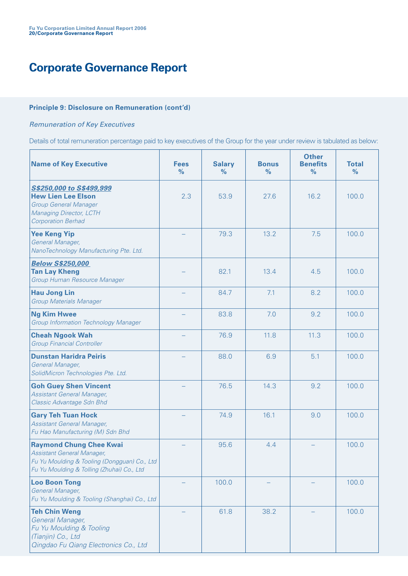## **Principle 9: Disclosure on Remuneration (cont'd)**

## *Remuneration of Key Executives*

Details of total remuneration percentage paid to key executives of the Group for the year under review is tabulated as below:

| <b>Name of Key Executive</b>                                                                                                                               | <b>Fees</b><br>$\%$ | <b>Salary</b><br>$\%$ | <b>Bonus</b><br>$\%$ | <b>Other</b><br><b>Benefits</b><br>$\%$ | <b>Total</b><br>$\%$ |
|------------------------------------------------------------------------------------------------------------------------------------------------------------|---------------------|-----------------------|----------------------|-----------------------------------------|----------------------|
| S\$250,000 to S\$499,999<br><b>Hew Lien Lee Elson</b><br><b>Group General Manager</b><br><b>Managing Director, LCTH</b><br><b>Corporation Berhad</b>       | 2.3                 | 53.9                  | 27.6                 | 16.2                                    | 100.0                |
| <b>Yee Keng Yip</b><br>General Manager,<br>NanoTechnology Manufacturing Pte. Ltd.                                                                          |                     | 79.3                  | 13.2                 | 7.5                                     | 100.0                |
| <b>Below S\$250,000</b><br><b>Tan Lay Kheng</b><br>Group Human Resource Manager                                                                            |                     | 82.1                  | 13.4                 | 4.5                                     | 100.0                |
| <b>Hau Jong Lin</b><br><b>Group Materials Manager</b>                                                                                                      |                     | 84.7                  | 7.1                  | 8.2                                     | 100.0                |
| <b>Ng Kim Hwee</b><br><b>Group Information Technology Manager</b>                                                                                          |                     | 83.8                  | 7.0                  | 9.2                                     | 100.0                |
| <b>Cheah Ngook Wah</b><br><b>Group Financial Controller</b>                                                                                                |                     | 76.9                  | 11.8                 | 11.3                                    | 100.0                |
| <b>Dunstan Haridra Peiris</b><br>General Manager,<br>SolidMicron Technologies Pte. Ltd.                                                                    |                     | 88.0                  | 6.9                  | 5.1                                     | 100.0                |
| <b>Goh Guey Shen Vincent</b><br>Assistant General Manager,<br>Classic Advantage Sdn Bhd                                                                    |                     | 76.5                  | 14.3                 | 9.2                                     | 100.0                |
| <b>Gary Teh Tuan Hock</b><br>Assistant General Manager,<br>Fu Hao Manufacturing (M) Sdn Bhd                                                                |                     | 74.9                  | 16.1                 | 9.0                                     | 100.0                |
| <b>Raymond Chung Chee Kwai</b><br>Assistant General Manager,<br>Fu Yu Moulding & Tooling (Dongguan) Co., Ltd<br>Fu Yu Moulding & Tolling (Zhuhai) Co., Ltd |                     | 95.6                  | 4.4                  |                                         | 100.0                |
| <b>Loo Boon Tong</b><br>General Manager,<br>Fu Yu Moulding & Tooling (Shanghai) Co., Ltd                                                                   |                     | 100.0                 |                      |                                         | 100.0                |
| <b>Teh Chin Weng</b><br>General Manager,<br>Fu Yu Moulding & Tooling<br>(Tianjin) Co., Ltd<br>Qingdao Fu Qiang Electronics Co., Ltd                        |                     | 61.8                  | 38.2                 |                                         | 100.0                |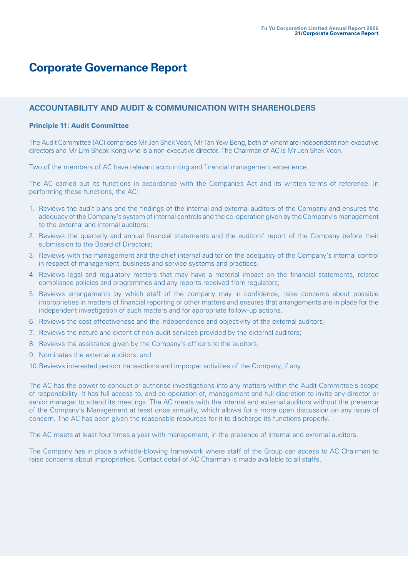## **ACCOUNTABILITY AND AUDIT & COMMUNICATION WITH SHAREHOLDERS**

## **Principle 11: Audit Committee**

The Audit Committee (AC) comprises Mr Jen Shek Voon, Mr Tan Yew Beng, both of whom are independent non-executive directors and Mr Lim Shook Kong who is a non-executive director. The Chairman of AC is Mr Jen Shek Voon.

Two of the members of AC have relevant accounting and financial management experience.

The AC carried out its functions in accordance with the Companies Act and its written terms of reference. In performing those functions, the AC:

- 1. Reviews the audit plans and the findings of the internal and external auditors of the Company and ensures the adequacy of the Company's system of internal controls and the co-operation given by the Company's management to the external and internal auditors;
- 2. Reviews the quarterly and annual financial statements and the auditors' report of the Company before their submission to the Board of Directors:
- 3. Reviews with the management and the chief internal auditor on the adequacy of the Company's internal control in respect of management, business and service systems and practices;
- 4. Reviews legal and regulatory matters that may have a material impact on the financial statements, related compliance policies and programmes and any reports received from regulators;
- 5. Reviews arrangements by which staff of the company may in confidence, raise concerns about possible improprieties in matters of financial reporting or other matters and ensures that arrangements are in place for the independent investigation of such matters and for appropriate follow-up actions.
- 6. Reviews the cost effectiveness and the independence and objectivity of the external auditors;
- 7. Reviews the nature and extent of non-audit services provided by the external auditors;
- 8. Reviews the assistance given by the Company's officers to the auditors;
- 9. Nominates the external auditors; and
- 10. Reviews interested person transactions and improper activities of the Company, if any.

The AC has the power to conduct or authorise investigations into any matters within the Audit Committee's scope of responsibility. It has full access to, and co-operation of, management and full discretion to invite any director or senior manager to attend its meetings. The AC meets with the internal and external auditors without the presence of the Company's Management at least once annually, which allows for a more open discussion on any issue of concern. The AC has been given the reasonable resources for it to discharge its functions properly.

The AC meets at least four times a year with management, in the presence of internal and external auditors.

The Company has in place a whistle-blowing framework where staff of the Group can access to AC Chairman to raise concerns about improprieties. Contact detail of AC Chairman is made available to all staffs.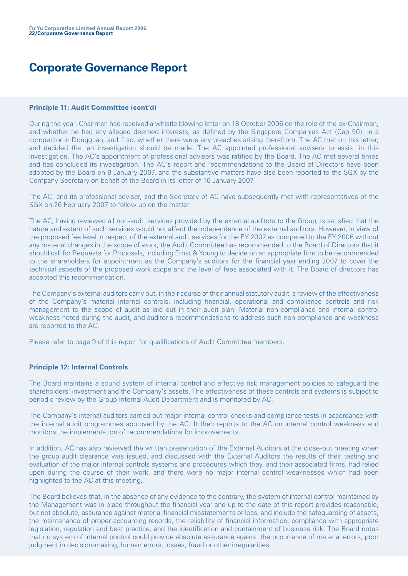## **Principle 11: Audit Committee (cont'd)**

During the year, Chairman had received a whistle blowing letter on 18 October 2006 on the role of the ex-Chairman, and whether he had any alleged deemed interests, as defined by the Singapore Companies Act (Cap 50), in a competitor in Dongguan, and if so, whether there were any breaches arising therefrom. The AC met on this letter, and decided that an investigation should be made. The AC appointed professional advisers to assist in this investigation. The AC's appointment of professional advisers was ratified by the Board. The AC met several times and has concluded its investigation. The AC's report and recommendations to the Board of Directors have been adopted by the Board on 8 January 2007, and the substantive matters have also been reported to the SGX by the Company Secretary on behalf of the Board in its letter of 16 January 2007.

The AC, and its professional adviser, and the Secretary of AC have subsequently met with representatives of the SGX on 26 February 2007 to follow up on the matter.

The AC, having reviewed all non-audit services provided by the external auditors to the Group, is satisfied that the nature and extent of such services would not affect the independence of the external auditors. However, in view of the proposed fee level in respect of the external audit services for the FY 2007 as compared to the FY 2006 without any material changes in the scope of work, the Audit Committee has recommended to the Board of Directors that it should call for Requests for Proposals, including Ernst & Young to decide on an appropriate firm to be recommended to the shareholders for appointment as the Company's auditors for the financial year ending 2007 to cover the technical aspects of the proposed work scope and the level of fees associated with it. The Board of directors has accepted this recommendation.

The Company's external auditors carry out, in their course of their annual statutory audit, a review of the effectiveness of the Company's material internal controls, including financial, operational and compliance controls and risk management to the scope of audit as laid out in their audit plan. Material non-compliance and internal control weakness noted during the audit, and auditor's recommendations to address such non-compliance and weakness are reported to the AC.

Please refer to page 9 of this report for qualifications of Audit Committee members.

## **Principle 12: Internal Controls**

The Board maintains a sound system of internal control and effective risk management policies to safeguard the shareholders' investment and the Company's assets. The effectiveness of these controls and systems is subject to periodic review by the Group Internal Audit Department and is monitored by AC.

The Company's internal auditors carried out major internal control checks and compliance tests in accordance with the internal audit programmes approved by the AC. It then reports to the AC on internal control weakness and monitors the implementation of recommendations for improvements.

In addition, AC has also reviewed the written presentation of the External Auditors at the close-out meeting when the group audit clearance was issued, and discussed with the External Auditors the results of their testing and evaluation of the major internal controls systems and procedures which they, and their associated firms, had relied upon during the course of their work, and there were no major internal control weaknesses which had been highlighted to the AC at this meeting.

The Board believes that, in the absence of any evidence to the contrary, the system of internal control maintained by the Management was in place throughout the financial year and up to the date of this report provides reasonable, but not absolute, assurance against material financial misstatements or loss, and include the safeguarding of assets, the maintenance of proper accounting records, the reliability of financial information, compliance with appropriate legislation, regulation and best practice, and the identification and containment of business risk. The Board notes that no system of internal control could provide absolute assurance against the occurrence of material errors, poor judgment in decision-making, human errors, losses, fraud or other irregularities.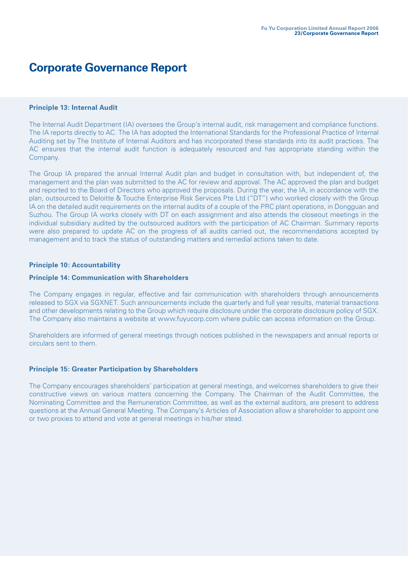## **Principle 13: Internal Audit**

The Internal Audit Department (IA) oversees the Group's internal audit, risk management and compliance functions. The IA reports directly to AC. The IA has adopted the International Standards for the Professional Practice of Internal Auditing set by The Institute of Internal Auditors and has incorporated these standards into its audit practices. The AC ensures that the internal audit function is adequately resourced and has appropriate standing within the Company.

The Group IA prepared the annual Internal Audit plan and budget in consultation with, but independent of, the management and the plan was submitted to the AC for review and approval. The AC approved the plan and budget and reported to the Board of Directors who approved the proposals. During the year, the IA, in accordance with the plan, outsourced to Deloitte & Touche Enterprise Risk Services Pte Ltd ("DT") who worked closely with the Group IA on the detailed audit requirements on the internal audits of a couple of the PRC plant operations, in Dongguan and Suzhou. The Group IA works closely with DT on each assignment and also attends the closeout meetings in the individual subsidiary audited by the outsourced auditors with the participation of AC Chairman. Summary reports were also prepared to update AC on the progress of all audits carried out, the recommendations accepted by management and to track the status of outstanding matters and remedial actions taken to date.

## **Principle 10: Accountability**

## **Principle 14: Communication with Shareholders**

The Company engages in regular, effective and fair communication with shareholders through announcements released to SGX via SGXNET. Such announcements include the quarterly and full year results, material transactions and other developments relating to the Group which require disclosure under the corporate disclosure policy of SGX. The Company also maintains a website at www.fuyucorp.com where public can access information on the Group.

Shareholders are informed of general meetings through notices published in the newspapers and annual reports or circulars sent to them.

## **Principle 15: Greater Participation by Shareholders**

The Company encourages shareholders' participation at general meetings, and welcomes shareholders to give their constructive views on various matters concerning the Company. The Chairman of the Audit Committee, the Nominating Committee and the Remuneration Committee, as well as the external auditors, are present to address questions at the Annual General Meeting. The Company's Articles of Association allow a shareholder to appoint one or two proxies to attend and vote at general meetings in his/her stead.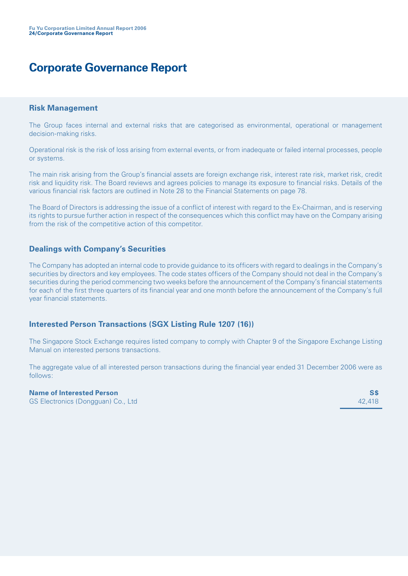## **Risk Management**

The Group faces internal and external risks that are categorised as environmental, operational or management decision-making risks.

Operational risk is the risk of loss arising from external events, or from inadequate or failed internal processes, people or systems.

The main risk arising from the Group's financial assets are foreign exchange risk, interest rate risk, market risk, credit risk and liquidity risk. The Board reviews and agrees policies to manage its exposure to financial risks. Details of the various financial risk factors are outlined in Note 28 to the Financial Statements on page 78.

The Board of Directors is addressing the issue of a conflict of interest with regard to the Ex-Chairman, and is reserving its rights to pursue further action in respect of the consequences which this conflict may have on the Company arising from the risk of the competitive action of this competitor.

## **Dealings with Company's Securities**

The Company has adopted an internal code to provide guidance to its officers with regard to dealings in the Company's securities by directors and key employees. The code states officers of the Company should not deal in the Company's securities during the period commencing two weeks before the announcement of the Company's financial statements for each of the first three quarters of its financial year and one month before the announcement of the Company's full year financial statements.

## **Interested Person Transactions (SGX Listing Rule 1207 (16))**

The Singapore Stock Exchange requires listed company to comply with Chapter 9 of the Singapore Exchange Listing Manual on interested persons transactions.

The aggregate value of all interested person transactions during the financial year ended 31 December 2006 were as follows:

## **Name of Interested Person S\$**

GS Electronics (Dongguan) Co., Ltd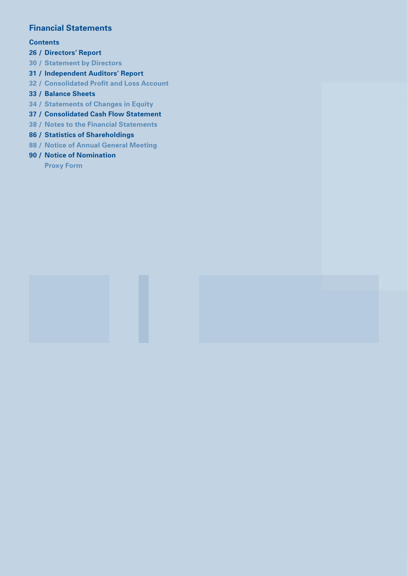## **Financial Statements**

## **Contents**

- **/ Directors' Report**
- **/ Statement by Directors**
- **/ Independent Auditors' Report**
- **/ Consolidated Profit and Loss Account**
- **/ Balance Sheets**
- **/ Statements of Changes in Equity**
- **/ Consolidated Cash Flow Statement**
- **/ Notes to the Financial Statements**
- **/ Statistics of Shareholdings**
- **/ Notice of Annual General Meeting**

## **90 / Notice of Nomination**

 **Proxy Form**

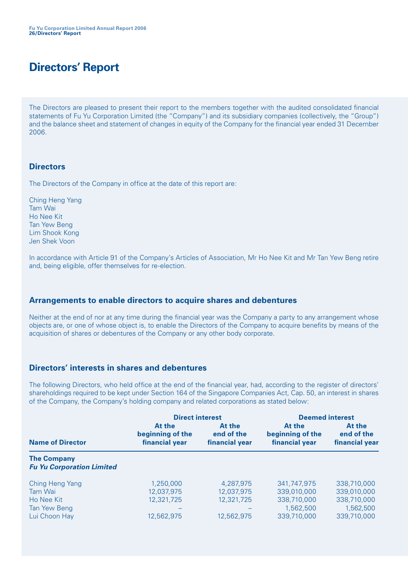The Directors are pleased to present their report to the members together with the audited consolidated financial statements of Fu Yu Corporation Limited (the "Company") and its subsidiary companies (collectively, the "Group") and the balance sheet and statement of changes in equity of the Company for the financial year ended 31 December 2006.

## **Directors**

The Directors of the Company in office at the date of this report are:

Ching Heng Yang Tam Wai Ho Nee Kit Tan Yew Beng Lim Shook Kong Jen Shek Voon

In accordance with Article 91 of the Company's Articles of Association, Mr Ho Nee Kit and Mr Tan Yew Beng retire and, being eligible, offer themselves for re-election.

## **Arrangements to enable directors to acquire shares and debentures**

Neither at the end of nor at any time during the financial year was the Company a party to any arrangement whose objects are, or one of whose object is, to enable the Directors of the Company to acquire benefits by means of the acquisition of shares or debentures of the Company or any other body corporate.

## **Directors' interests in shares and debentures**

The following Directors, who held office at the end of the financial year, had, according to the register of directors' shareholdings required to be kept under Section 164 of the Singapore Companies Act, Cap. 50, an interest in shares of the Company, the Company's holding company and related corporations as stated below:

|                                                                           | <b>Direct interest</b>                              |                                                     | <b>Deemed interest</b>                                                |                                                                       |  |
|---------------------------------------------------------------------------|-----------------------------------------------------|-----------------------------------------------------|-----------------------------------------------------------------------|-----------------------------------------------------------------------|--|
| <b>Name of Director</b>                                                   | At the<br>beginning of the<br>financial year        | At the<br>end of the<br>financial year              | At the<br>beginning of the<br>financial year                          | At the<br>end of the<br>financial year                                |  |
| <b>The Company</b><br><b>Fu Yu Corporation Limited</b>                    |                                                     |                                                     |                                                                       |                                                                       |  |
| Ching Heng Yang<br>Tam Wai<br>Ho Nee Kit<br>Tan Yew Beng<br>Lui Choon Hay | 1,250,000<br>12,037,975<br>12,321,725<br>12,562,975 | 4,287,975<br>12,037,975<br>12,321,725<br>12,562,975 | 341,747,975<br>339,010,000<br>338,710,000<br>1,562,500<br>339,710,000 | 338,710,000<br>339,010,000<br>338,710,000<br>1,562,500<br>339,710,000 |  |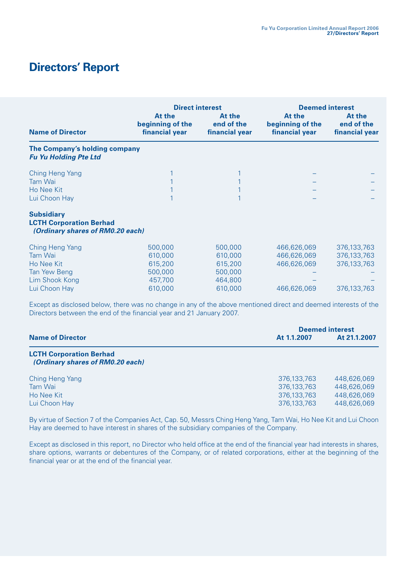|                                                                                             | <b>Direct interest</b>                                         |                                                                | <b>Deemed interest</b>                                   |                                                          |  |
|---------------------------------------------------------------------------------------------|----------------------------------------------------------------|----------------------------------------------------------------|----------------------------------------------------------|----------------------------------------------------------|--|
| <b>Name of Director</b>                                                                     | At the<br>beginning of the<br>financial year                   | At the<br>end of the<br>financial year                         | At the<br>beginning of the<br>financial year             | At the<br>end of the<br>financial year                   |  |
| The Company's holding company<br><b>Fu Yu Holding Pte Ltd</b>                               |                                                                |                                                                |                                                          |                                                          |  |
| Ching Heng Yang<br>Tam Wai<br>Ho Nee Kit<br>Lui Choon Hay                                   |                                                                |                                                                |                                                          |                                                          |  |
| <b>Subsidiary</b><br><b>LCTH Corporation Berhad</b><br>(Ordinary shares of RM0.20 each)     |                                                                |                                                                |                                                          |                                                          |  |
| Ching Heng Yang<br>Tam Wai<br>Ho Nee Kit<br>Tan Yew Beng<br>Lim Shook Kong<br>Lui Choon Hay | 500,000<br>610,000<br>615,200<br>500,000<br>457,700<br>610,000 | 500,000<br>610,000<br>615,200<br>500,000<br>464,800<br>610,000 | 466,626,069<br>466,626,069<br>466,626,069<br>466,626,069 | 376,133,763<br>376,133,763<br>376,133,763<br>376,133,763 |  |

Except as disclosed below, there was no change in any of the above mentioned direct and deemed interests of the Directors between the end of the financial year and 21 January 2007.

|                                                                    |             | <b>Deemed interest</b> |
|--------------------------------------------------------------------|-------------|------------------------|
| <b>Name of Director</b>                                            | At 1.1.2007 | At 21.1.2007           |
| <b>LCTH Corporation Berhad</b><br>(Ordinary shares of RM0.20 each) |             |                        |
| Ching Heng Yang                                                    | 376,133,763 | 448.626.069            |
| Tam Wai                                                            | 376,133,763 | 448,626,069            |
| Ho Nee Kit                                                         | 376,133,763 | 448,626,069            |
| Lui Choon Hay                                                      | 376,133,763 | 448,626,069            |

By virtue of Section 7 of the Companies Act, Cap. 50, Messrs Ching Heng Yang, Tam Wai, Ho Nee Kit and Lui Choon Hay are deemed to have interest in shares of the subsidiary companies of the Company.

Except as disclosed in this report, no Director who held office at the end of the financial year had interests in shares, share options, warrants or debentures of the Company, or of related corporations, either at the beginning of the financial year or at the end of the financial year.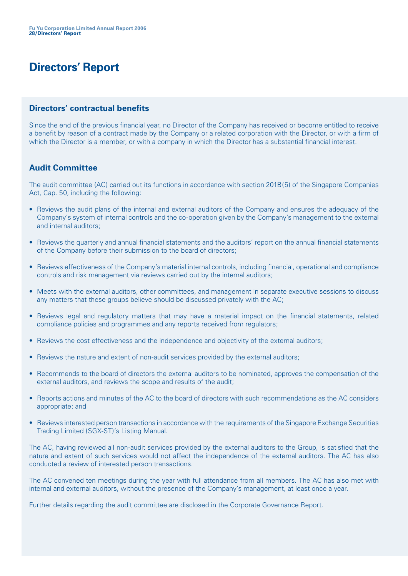## **Directors' contractual benefits**

Since the end of the previous financial year, no Director of the Company has received or become entitled to receive a benefit by reason of a contract made by the Company or a related corporation with the Director, or with a firm of which the Director is a member, or with a company in which the Director has a substantial financial interest.

## **Audit Committee**

The audit committee (AC) carried out its functions in accordance with section 201B(5) of the Singapore Companies Act, Cap. 50, including the following:

- Reviews the audit plans of the internal and external auditors of the Company and ensures the adequacy of the Company's system of internal controls and the co-operation given by the Company's management to the external and internal auditors;
- Reviews the quarterly and annual financial statements and the auditors' report on the annual financial statements of the Company before their submission to the board of directors;
- Reviews effectiveness of the Company's material internal controls, including financial, operational and compliance controls and risk management via reviews carried out by the internal auditors;
- Meets with the external auditors, other committees, and management in separate executive sessions to discuss any matters that these groups believe should be discussed privately with the AC;
- Reviews legal and regulatory matters that may have a material impact on the financial statements, related compliance policies and programmes and any reports received from regulators;
- Reviews the cost effectiveness and the independence and objectivity of the external auditors;
- Reviews the nature and extent of non-audit services provided by the external auditors;
- Recommends to the board of directors the external auditors to be nominated, approves the compensation of the external auditors, and reviews the scope and results of the audit;
- Reports actions and minutes of the AC to the board of directors with such recommendations as the AC considers appropriate; and
- Reviews interested person transactions in accordance with the requirements of the Singapore Exchange Securities Trading Limited (SGX-ST)'s Listing Manual.

The AC, having reviewed all non-audit services provided by the external auditors to the Group, is satisfied that the nature and extent of such services would not affect the independence of the external auditors. The AC has also conducted a review of interested person transactions.

The AC convened ten meetings during the year with full attendance from all members. The AC has also met with internal and external auditors, without the presence of the Company's management, at least once a year.

Further details regarding the audit committee are disclosed in the Corporate Governance Report.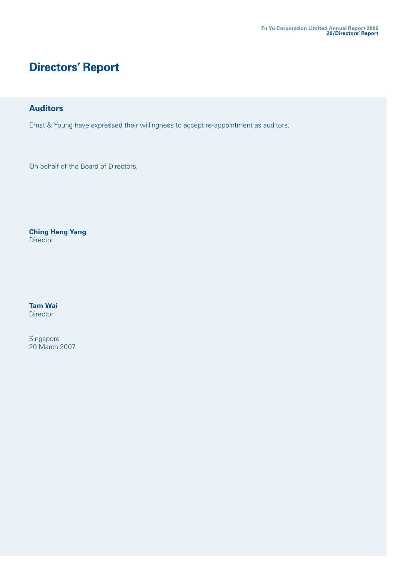## **Auditors**

Ernst & Young have expressed their willingness to accept re-appointment as auditors.

On behalf of the Board of Directors,

**Ching Heng Yang Director** 

**Tam Wai Director** 

Singapore 20 March 2007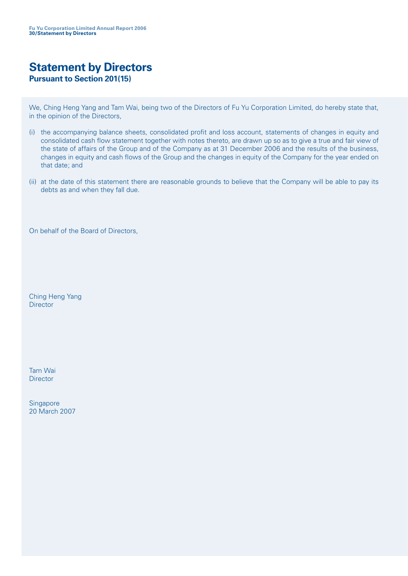## **Statement by Directors Pursuant to Section 201(15)**

We, Ching Heng Yang and Tam Wai, being two of the Directors of Fu Yu Corporation Limited, do hereby state that, in the opinion of the Directors,

- (i) the accompanying balance sheets, consolidated profit and loss account, statements of changes in equity and consolidated cash flow statement together with notes thereto, are drawn up so as to give a true and fair view of the state of affairs of the Group and of the Company as at 31 December 2006 and the results of the business, changes in equity and cash flows of the Group and the changes in equity of the Company for the year ended on that date; and
- (ii) at the date of this statement there are reasonable grounds to believe that the Company will be able to pay its debts as and when they fall due.

On behalf of the Board of Directors,

Ching Heng Yang **Director** 

Tam Wai **Director** 

**Singapore** 20 March 2007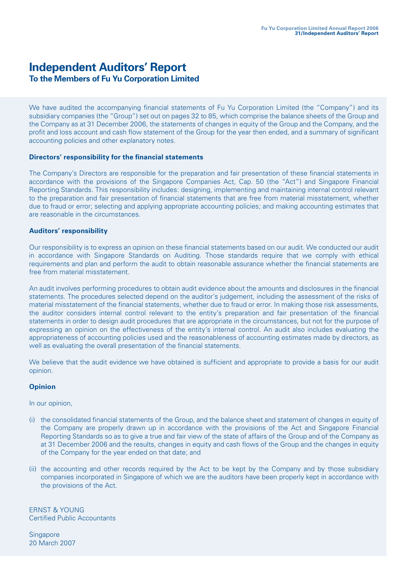## **Independent Auditors' Report To the Members of Fu Yu Corporation Limited**

We have audited the accompanying financial statements of Fu Yu Corporation Limited (the "Company") and its subsidiary companies (the "Group") set out on pages 32 to 85, which comprise the balance sheets of the Group and the Company as at 31 December 2006, the statements of changes in equity of the Group and the Company, and the profit and loss account and cash flow statement of the Group for the year then ended, and a summary of significant accounting policies and other explanatory notes.

## **Directors' responsibility for the financial statements**

The Company's Directors are responsible for the preparation and fair presentation of these financial statements in accordance with the provisions of the Singapore Companies Act, Cap. 50 (the "Act") and Singapore Financial Reporting Standards. This responsibility includes: designing, implementing and maintaining internal control relevant to the preparation and fair presentation of financial statements that are free from material misstatement, whether due to fraud or error; selecting and applying appropriate accounting policies; and making accounting estimates that are reasonable in the circumstances.

## **Auditors' responsibility**

Our responsibility is to express an opinion on these financial statements based on our audit. We conducted our audit in accordance with Singapore Standards on Auditing. Those standards require that we comply with ethical requirements and plan and perform the audit to obtain reasonable assurance whether the financial statements are free from material misstatement.

An audit involves performing procedures to obtain audit evidence about the amounts and disclosures in the financial statements. The procedures selected depend on the auditor's judgement, including the assessment of the risks of material misstatement of the financial statements, whether due to fraud or error. In making those risk assessments, the auditor considers internal control relevant to the entity's preparation and fair presentation of the financial statements in order to design audit procedures that are appropriate in the circumstances, but not for the purpose of expressing an opinion on the effectiveness of the entity's internal control. An audit also includes evaluating the appropriateness of accounting policies used and the reasonableness of accounting estimates made by directors, as well as evaluating the overall presentation of the financial statements.

We believe that the audit evidence we have obtained is sufficient and appropriate to provide a basis for our audit opinion.

## **Opinion**

## In our opinion,

- (i) the consolidated financial statements of the Group, and the balance sheet and statement of changes in equity of the Company are properly drawn up in accordance with the provisions of the Act and Singapore Financial Reporting Standards so as to give a true and fair view of the state of affairs of the Group and of the Company as at 31 December 2006 and the results, changes in equity and cash flows of the Group and the changes in equity of the Company for the year ended on that date; and
- (ii) the accounting and other records required by the Act to be kept by the Company and by those subsidiary companies incorporated in Singapore of which we are the auditors have been properly kept in accordance with the provisions of the Act.

ERNST & YOUNG Certified Public Accountants

**Singapore** 20 March 2007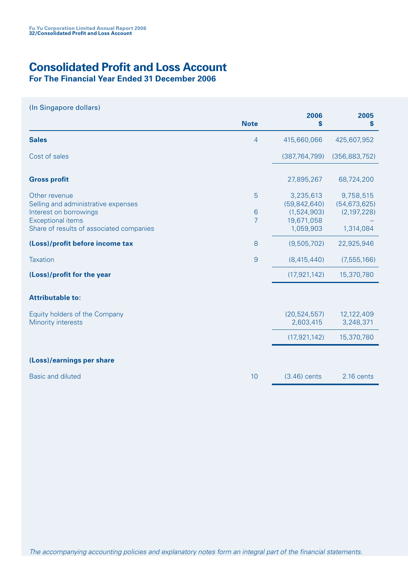# **Consolidated Profit and Loss Account**

**For The Financial Year Ended 31 December 2006**

## (In Singapore dollars)

|                                                                                                                                                        | <b>Note</b>                            | 2006<br>S                                                             | 2005<br>S                                                 |
|--------------------------------------------------------------------------------------------------------------------------------------------------------|----------------------------------------|-----------------------------------------------------------------------|-----------------------------------------------------------|
| <b>Sales</b>                                                                                                                                           | $\overline{4}$                         | 415,660,066                                                           | 425,607,952                                               |
| Cost of sales                                                                                                                                          |                                        | (387,764,799)                                                         | (356, 883, 752)                                           |
| <b>Gross profit</b>                                                                                                                                    |                                        | 27,895,267                                                            | 68,724,200                                                |
| Other revenue<br>Selling and administrative expenses<br>Interest on borrowings<br><b>Exceptional items</b><br>Share of results of associated companies | 5<br>$6\phantom{1}6$<br>$\overline{7}$ | 3,235,613<br>(59, 842, 640)<br>(1,524,903)<br>19,671,058<br>1,059,903 | 9,758,515<br>(54, 673, 625)<br>(2, 197, 228)<br>1,314,084 |
| (Loss)/profit before income tax                                                                                                                        | 8                                      | (9,505,702)                                                           | 22,925,946                                                |
| <b>Taxation</b>                                                                                                                                        | 9                                      | (8,415,440)                                                           | (7,555,166)                                               |
| (Loss)/profit for the year                                                                                                                             |                                        | (17, 921, 142)                                                        | 15,370,780                                                |
| <b>Attributable to:</b>                                                                                                                                |                                        |                                                                       |                                                           |
| Equity holders of the Company<br>Minority interests                                                                                                    |                                        | (20, 524, 557)<br>2,603,415                                           | 12,122,409<br>3,248,371                                   |
|                                                                                                                                                        |                                        | (17, 921, 142)                                                        | 15,370,780                                                |
| (Loss)/earnings per share                                                                                                                              |                                        |                                                                       |                                                           |
| <b>Basic and diluted</b>                                                                                                                               | 10                                     | $(3.46)$ cents                                                        | 2.16 cents                                                |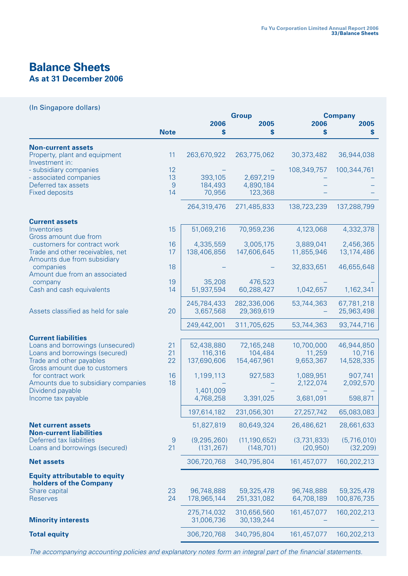## **Balance Sheets As at 31 December 2006**

## (In Singapore dollars)

|                                                                    |                |                       | <b>Group</b>   | <b>Company</b> |             |  |
|--------------------------------------------------------------------|----------------|-----------------------|----------------|----------------|-------------|--|
|                                                                    |                | 2006                  | 2005           | 2006           | 2005        |  |
|                                                                    | <b>Note</b>    | S                     | \$             | \$             | S           |  |
| <b>Non-current assets</b>                                          |                |                       |                |                |             |  |
| Property, plant and equipment<br>Investment in:                    | 11             | 263,670,922           | 263,775,062    | 30,373,482     | 36,944,038  |  |
| - subsidiary companies                                             | 12             |                       |                | 108,349,757    | 100,344,761 |  |
| - associated companies                                             | 13             | 393,105               | 2,697,219      |                |             |  |
| Deferred tax assets                                                | $\overline{9}$ | 184,493               | 4,890,184      |                |             |  |
| <b>Fixed deposits</b>                                              | 14             | 70,956                | 123,368        |                |             |  |
|                                                                    |                | 264,319,476           | 271,485,833    | 138,723,239    | 137,288,799 |  |
| <b>Current assets</b>                                              |                |                       |                |                |             |  |
| Inventories                                                        | 15             | 51,069,216            | 70,959,236     | 4,123,068      | 4,332,378   |  |
| Gross amount due from                                              |                |                       |                |                |             |  |
| customers for contract work                                        | 16             | 4,335,559             | 3,005,175      | 3,889,041      | 2,456,365   |  |
| Trade and other receivables, net                                   | 17             | 138,406,856           | 147,606,645    | 11,855,946     | 13,174,486  |  |
| Amounts due from subsidiary<br>companies                           | 18             |                       |                | 32,833,651     | 46,655,648  |  |
| Amount due from an associated                                      |                |                       |                |                |             |  |
| company                                                            | 19             | 35,208                | 476,523        |                |             |  |
| Cash and cash equivalents                                          | 14             | 51,937,594            | 60,288,427     | 1,042,657      | 1,162,341   |  |
|                                                                    |                | 245,784,433           | 282,336,006    | 53,744,363     | 67,781,218  |  |
| Assets classified as held for sale                                 | 20             | 3,657,568             | 29,369,619     |                | 25,963,498  |  |
|                                                                    |                | 249,442,001           | 311,705,625    | 53,744,363     | 93,744,716  |  |
|                                                                    |                |                       |                |                |             |  |
| <b>Current liabilities</b>                                         | 21             |                       | 72,165,248     | 10,700,000     | 46,944,850  |  |
| Loans and borrowings (unsecured)<br>Loans and borrowings (secured) | 21             | 52,438,880<br>116,316 | 104,484        | 11,259         | 10,716      |  |
| Trade and other payables                                           | 22             | 137,690,606           | 154,467,961    | 9,653,367      | 14,528,335  |  |
| Gross amount due to customers                                      |                |                       |                |                |             |  |
| for contract work                                                  | 16             | 1,199,113             | 927,583        | 1,089,951      | 907,741     |  |
| Amounts due to subsidiary companies                                | 18             |                       |                | 2,122,074      | 2,092,570   |  |
| Dividend payable                                                   |                | 1,401,009             |                |                |             |  |
| Income tax payable                                                 |                | 4,768,258             | 3,391,025      | 3,681,091      | 598,871     |  |
|                                                                    |                | 197,614,182           | 231,056,301    | 27,257,742     | 65,083,083  |  |
| <b>Net current assets</b>                                          |                | 51,827,819            | 80,649,324     | 26,486,621     | 28,661,633  |  |
| <b>Non-current liabilities</b>                                     |                |                       |                |                |             |  |
| Deferred tax liabilities                                           | 9              | (9, 295, 260)         | (11, 190, 652) | (3,731,833)    | (5,716,010) |  |
| Loans and borrowings (secured)                                     | 21             | (131, 267)            | (148, 701)     | (20, 950)      | (32, 209)   |  |
| <b>Net assets</b>                                                  |                | 306,720,768           | 340,795,804    | 161,457,077    | 160,202,213 |  |
| <b>Equity attributable to equity</b>                               |                |                       |                |                |             |  |
| holders of the Company                                             |                |                       |                |                |             |  |
| Share capital                                                      | 23             | 96,748,888            | 59,325,478     | 96,748,888     | 59,325,478  |  |
| <b>Reserves</b>                                                    | 24             | 178,965,144           | 251,331,082    | 64,708,189     | 100,876,735 |  |
|                                                                    |                | 275,714,032           | 310,656,560    | 161,457,077    | 160,202,213 |  |
| <b>Minority interests</b>                                          |                | 31,006,736            | 30,139,244     |                |             |  |
|                                                                    |                |                       |                |                |             |  |
| <b>Total equity</b>                                                |                | 306,720,768           | 340,795,804    | 161,457,077    | 160,202,213 |  |

*The accompanying accounting policies and explanatory notes form an integral part of the financial statements.*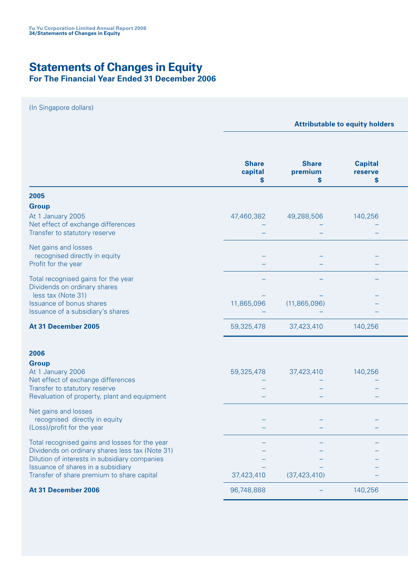## **Statements of Changes in Equity For The Financial Year Ended 31 December 2006**

(In Singapore dollars) 

**Attributable to equity holders** 

|                                                                     | <b>Share</b>             | <b>Share</b>            | <b>Capital</b> |
|---------------------------------------------------------------------|--------------------------|-------------------------|----------------|
|                                                                     | capital<br>\$            | premium<br>$\mathbf{s}$ | reserve<br>\$  |
|                                                                     |                          |                         |                |
| 2005                                                                |                          |                         |                |
| <b>Group</b>                                                        |                          |                         |                |
| At 1 January 2005                                                   | 47,460,382               | 49,288,506              | 140,256        |
| Net effect of exchange differences                                  | $\overline{\phantom{a}}$ |                         |                |
| Transfer to statutory reserve                                       |                          |                         |                |
| Net gains and losses                                                |                          |                         |                |
| recognised directly in equity                                       |                          |                         |                |
| Profit for the year                                                 |                          |                         |                |
| Total recognised gains for the year                                 |                          |                         |                |
| Dividends on ordinary shares                                        |                          |                         |                |
| less tax (Note 31)                                                  | $\overline{\phantom{a}}$ |                         |                |
| Issuance of bonus shares                                            | 11,865,096               | (11,865,096)            |                |
| Issuance of a subsidiary's shares                                   | $\equiv$                 | $\equiv$                |                |
| At 31 December 2005                                                 | 59,325,478               | 37,423,410              | 140,256        |
|                                                                     |                          |                         |                |
|                                                                     |                          |                         |                |
| 2006                                                                |                          |                         |                |
| <b>Group</b>                                                        |                          |                         |                |
| At 1 January 2006                                                   | 59,325,478               | 37,423,410              | 140,256        |
| Net effect of exchange differences<br>Transfer to statutory reserve |                          |                         |                |
| Revaluation of property, plant and equipment                        |                          |                         |                |
|                                                                     |                          |                         |                |
| Net gains and losses                                                |                          |                         |                |
| recognised directly in equity                                       |                          |                         |                |
| (Loss)/profit for the year                                          |                          |                         |                |
| Total recognised gains and losses for the year                      |                          |                         |                |
| Dividends on ordinary shares less tax (Note 31)                     |                          |                         |                |
| Dilution of interests in subsidiary companies                       |                          |                         |                |
| Issuance of shares in a subsidiary                                  |                          |                         |                |
| Transfer of share premium to share capital                          | 37,423,410               | (37, 423, 410)          |                |
| At 31 December 2006                                                 | 96,748,888               | $\qquad \qquad -$       | 140,256        |
|                                                                     |                          |                         |                |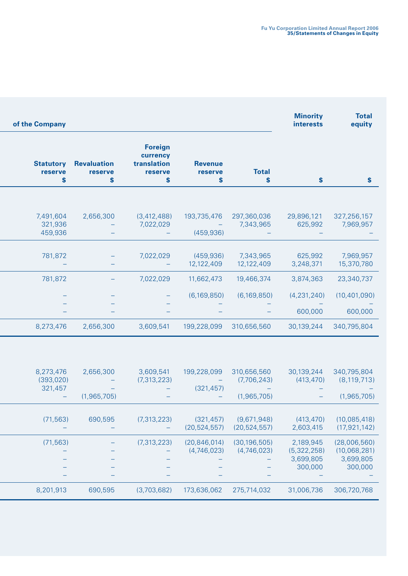| <b>Minority</b><br><b>Total</b><br><b>interests</b><br>equity                                                                                                                                                                                                                                                                        |  |                                                                                         | of the Company                                                        |
|--------------------------------------------------------------------------------------------------------------------------------------------------------------------------------------------------------------------------------------------------------------------------------------------------------------------------------------|--|-----------------------------------------------------------------------------------------|-----------------------------------------------------------------------|
| <b>Foreign</b><br>currency<br>translation<br><b>Revenue</b><br><b>Total</b><br>reserve<br>reserve<br>\$<br>\$<br>\$<br>$$^{\circ}$                                                                                                                                                                                                   |  | Revaluation<br>reserve<br>\$                                                            | <b>Statutory</b><br>reserve<br>\$                                     |
| 193,735,476<br>297,360,036<br>29,896,121<br>327,256,157<br>(3, 412, 488)<br>625,992<br>7,969,957<br>7,022,029<br>7,343,965<br>$\overline{\phantom{m}}$<br>(459, 936)<br>$\overline{\phantom{a}}$<br>$\rightarrow$<br>$\overline{\phantom{m}}$                                                                                        |  | 2,656,300<br>$\overline{\phantom{m}}$<br>$\qquad \qquad -$                              | 7,491,604<br>321,936<br>459,936                                       |
| 7,022,029<br>(459, 936)<br>625,992<br>7,969,957<br>7,343,965<br>12,122,409<br>12,122,409<br>3,248,371<br>15,370,780<br>$\overline{\phantom{a}}$                                                                                                                                                                                      |  | $-$<br>$\overline{\phantom{m}}$                                                         | 781,872<br>$\rightarrow$                                              |
| 7,022,029<br>11,662,473<br>19,466,374<br>3,874,363<br>23,340,737                                                                                                                                                                                                                                                                     |  | $-$                                                                                     | 781,872                                                               |
| (10, 401, 090)<br>(6, 169, 850)<br>(6, 169, 850)<br>(4, 231, 240)                                                                                                                                                                                                                                                                    |  |                                                                                         |                                                                       |
| 600,000<br>600,000                                                                                                                                                                                                                                                                                                                   |  |                                                                                         |                                                                       |
| 3,609,541<br>199,228,099<br>340,795,804<br>310,656,560<br>30,139,244                                                                                                                                                                                                                                                                 |  | 2,656,300                                                                               | 8,273,476                                                             |
| 3,609,541<br>199,228,099<br>310,656,560<br>30,139,244<br>340,795,804<br>(413, 470)<br>(7, 313, 223)<br>(7,706,243)<br>(8, 119, 713)<br>$\hspace{0.1mm}$ $\hspace{0.1mm}$<br>(321, 457)<br>$\sim$ $ \sim$<br>$\overline{\phantom{a}}$<br>$\overline{\phantom{a}}$<br>(1,965,705)<br>(1,965,705)<br>$\sim$<br>$\overline{\phantom{m}}$ |  | 2,656,300<br>$\hspace{0.1mm}-\hspace{0.1mm}$<br>$\overline{\phantom{m}}$<br>(1,965,705) | 8,273,476<br>(393, 020)<br>321,457<br>$\hspace{0.1mm}-\hspace{0.1mm}$ |
| (413, 470)<br>(7, 313, 223)<br>(321, 457)<br>(9,671,948)<br>(10,085,418)<br>(20, 524, 557)<br>2,603,415<br>(20, 524, 557)<br>(17, 921, 142)                                                                                                                                                                                          |  | 690,595<br>$\qquad \qquad -$                                                            | (71, 563)<br>$\overline{\phantom{m}}$                                 |
| (7, 313, 223)<br>(20, 846, 014)<br>(30, 196, 505)<br>2,189,945<br>(28,006,560)<br>(4,746,023)<br>(4,746,023)<br>(5,322,258)<br>(10,068,281)<br>3,699,805<br>3,699,805<br>$\overline{\phantom{a}}$<br>300,000<br>300,000<br>$\overline{\phantom{m}}$                                                                                  |  | $\qquad \qquad -$                                                                       | (71, 563)                                                             |
| (3,703,682)<br>173,636,062 275,714,032<br>31,006,736<br>306,720,768                                                                                                                                                                                                                                                                  |  | 690,595                                                                                 | 8,201,913                                                             |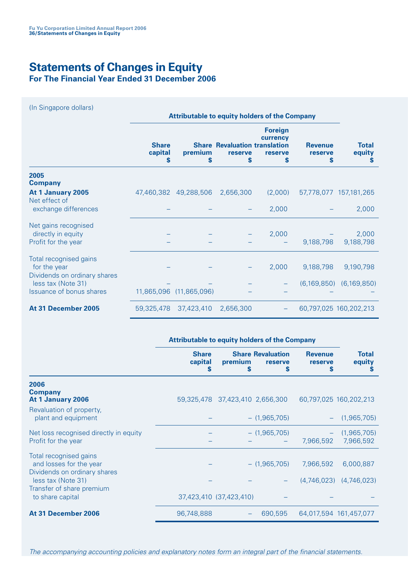## **Statements of Changes in Equity For The Financial Year Ended 31 December 2006**

(In Singapore dollars)

|                                                                   |                              | <b>Attributable to equity holders of the Company</b> |                                                      |                                            |                                |                             |
|-------------------------------------------------------------------|------------------------------|------------------------------------------------------|------------------------------------------------------|--------------------------------------------|--------------------------------|-----------------------------|
|                                                                   | <b>Share</b><br>capital<br>S | premium                                              | <b>Share Revaluation translation</b><br>reserve<br>S | <b>Foreign</b><br>currency<br>reserve<br>S | <b>Revenue</b><br>reserve<br>S | <b>Total</b><br>equity<br>5 |
| 2005<br><b>Company</b>                                            |                              |                                                      |                                                      |                                            |                                |                             |
| At 1 January 2005                                                 |                              | 47,460,382 49,288,506                                | 2,656,300                                            | (2,000)                                    |                                | 57,778,077 157,181,265      |
| Net effect of<br>exchange differences                             |                              |                                                      |                                                      | 2,000                                      |                                | 2,000                       |
| Net gains recognised<br>directly in equity<br>Profit for the year |                              |                                                      |                                                      | 2,000                                      | 9,188,798                      | 2,000<br>9,188,798          |
| Total recognised gains<br>for the year                            |                              |                                                      |                                                      | 2,000                                      | 9,188,798                      | 9,190,798                   |
| Dividends on ordinary shares<br>less tax (Note 31)                |                              |                                                      |                                                      |                                            | (6, 169, 850)                  | (6, 169, 850)               |
| Issuance of bonus shares                                          |                              | 11,865,096 (11,865,096)                              |                                                      |                                            |                                |                             |
| At 31 December 2005                                               | 59,325,478                   | 37,423,410                                           | 2,656,300                                            |                                            |                                | 60,797,025 160,202,213      |

|  | <b>Attributable to equity holders of the Company</b> |  |  |  |  |  |  |
|--|------------------------------------------------------|--|--|--|--|--|--|
|--|------------------------------------------------------|--|--|--|--|--|--|

|                                                               | <b>Share</b><br>capital<br>S | premium<br>S                    | <b>Share Revaluation</b><br>reserve<br>S | <b>Revenue</b><br>reserve<br>S | <b>Total</b><br>equity<br>S |
|---------------------------------------------------------------|------------------------------|---------------------------------|------------------------------------------|--------------------------------|-----------------------------|
| 2006<br><b>Company</b><br>At 1 January 2006                   |                              | 59,325,478 37,423,410 2,656,300 |                                          |                                | 60,797,025 160,202,213      |
| Revaluation of property,<br>plant and equipment               |                              |                                 | $-$ (1,965,705)                          |                                | (1,965,705)                 |
| Net loss recognised directly in equity<br>Profit for the year |                              |                                 | $-$ (1,965,705)                          | 7,966,592                      | (1,965,705)<br>7,966,592    |
| Total recognised gains<br>and losses for the year             |                              |                                 | $-$ (1,965,705)                          | 7,966,592                      | 6,000,887                   |
| Dividends on ordinary shares<br>less tax (Note 31)            |                              |                                 |                                          |                                | $(4,746,023)$ $(4,746,023)$ |
| Transfer of share premium<br>to share capital                 |                              | 37,423,410 (37,423,410)         |                                          |                                |                             |
| At 31 December 2006                                           | 96,748,888                   |                                 | 690,595                                  |                                | 64,017,594 161,457,077      |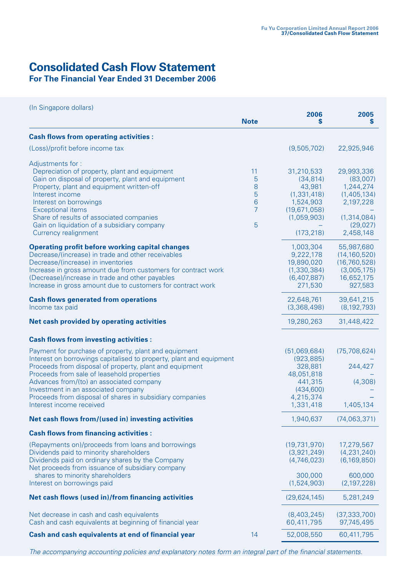# **Consolidated Cash Flow Statement**

**For The Financial Year Ended 31 December 2006**

(In Singapore dollars)

|                                                                                                                                                                                                                                                                                                                                                                                                                  | <b>Note</b>                                                                           | 2006<br>S                                                                                                    | 2005                                                                                                       |
|------------------------------------------------------------------------------------------------------------------------------------------------------------------------------------------------------------------------------------------------------------------------------------------------------------------------------------------------------------------------------------------------------------------|---------------------------------------------------------------------------------------|--------------------------------------------------------------------------------------------------------------|------------------------------------------------------------------------------------------------------------|
| <b>Cash flows from operating activities:</b>                                                                                                                                                                                                                                                                                                                                                                     |                                                                                       |                                                                                                              |                                                                                                            |
| (Loss)/profit before income tax                                                                                                                                                                                                                                                                                                                                                                                  |                                                                                       | (9,505,702)                                                                                                  | 22,925,946                                                                                                 |
| Adjustments for:<br>Depreciation of property, plant and equipment<br>Gain on disposal of property, plant and equipment<br>Property, plant and equipment written-off<br>Interest income<br>Interest on borrowings<br><b>Exceptional items</b><br>Share of results of associated companies<br>Gain on liquidation of a subsidiary company<br>Currency realignment                                                  | 11<br>5<br>8<br>$\overline{5}$<br>$6\phantom{1}6$<br>$\overline{7}$<br>$\overline{5}$ | 31,210,533<br>(34, 814)<br>43,981<br>(1, 331, 418)<br>1,524,903<br>(19,671,058)<br>(1,059,903)<br>(173, 218) | 29,993,336<br>(83,007)<br>1,244,274<br>(1,405,134)<br>2,197,228<br>(1, 314, 084)<br>(29, 027)<br>2,458,148 |
| <b>Operating profit before working capital changes</b><br>Decrease/(increase) in trade and other receivables<br>Decrease/(increase) in inventories<br>Increase in gross amount due from customers for contract work<br>(Decrease)/increase in trade and other payables<br>Increase in gross amount due to customers for contract work                                                                            |                                                                                       | 1,003,304<br>9,222,178<br>19,890,020<br>(1, 330, 384)<br>(6,407,887)<br>271,530                              | 55,987,680<br>(14, 160, 520)<br>(16, 760, 528)<br>(3,005,175)<br>16,652,175<br>927,583                     |
| <b>Cash flows generated from operations</b><br>Income tax paid                                                                                                                                                                                                                                                                                                                                                   |                                                                                       | 22,648,761<br>(3,368,498)                                                                                    | 39,641,215<br>(8, 192, 793)                                                                                |
| Net cash provided by operating activities                                                                                                                                                                                                                                                                                                                                                                        |                                                                                       | 19,280,263                                                                                                   | 31,448,422                                                                                                 |
| <b>Cash flows from investing activities:</b>                                                                                                                                                                                                                                                                                                                                                                     |                                                                                       |                                                                                                              |                                                                                                            |
| Payment for purchase of property, plant and equipment<br>Interest on borrowings capitalised to property, plant and equipment<br>Proceeds from disposal of property, plant and equipment<br>Proceeds from sale of leasehold properties<br>Advances from/(to) an associated company<br>Investment in an associated company<br>Proceeds from disposal of shares in subsidiary companies<br>Interest income received |                                                                                       | (51,069,684)<br>(923, 885)<br>328,881<br>48,051,818<br>441,315<br>(434,600)<br>4,215,374<br>1,331,418        | (75, 708, 624)<br>244,427<br>(4,308)<br>1,405,134                                                          |
| Net cash flows from/(used in) investing activities                                                                                                                                                                                                                                                                                                                                                               |                                                                                       | 1,940,637                                                                                                    | (74,063,371)                                                                                               |
| <b>Cash flows from financing activities:</b>                                                                                                                                                                                                                                                                                                                                                                     |                                                                                       |                                                                                                              |                                                                                                            |
| (Repayments on)/proceeds from loans and borrowings<br>Dividends paid to minority shareholders<br>Dividends paid on ordinary shares by the Company<br>Net proceeds from issuance of subsidiary company<br>shares to minority shareholders                                                                                                                                                                         |                                                                                       | (19,731,970)<br>(3,921,249)<br>(4,746,023)<br>300,000                                                        | 17,279,567<br>(4, 231, 240)<br>(6, 169, 850)<br>600,000                                                    |
| Interest on borrowings paid                                                                                                                                                                                                                                                                                                                                                                                      |                                                                                       | (1,524,903)                                                                                                  | (2, 197, 228)                                                                                              |
| Net cash flows (used in)/from financing activities                                                                                                                                                                                                                                                                                                                                                               |                                                                                       | (29, 624, 145)                                                                                               | 5,281,249                                                                                                  |
| Net decrease in cash and cash equivalents<br>Cash and cash equivalents at beginning of financial year                                                                                                                                                                                                                                                                                                            |                                                                                       | (8,403,245)<br>60,411,795                                                                                    | (37, 333, 700)<br>97,745,495                                                                               |
| Cash and cash equivalents at end of financial year                                                                                                                                                                                                                                                                                                                                                               | 14                                                                                    | 52,008,550                                                                                                   | 60,411,795                                                                                                 |

*The accompanying accounting policies and explanatory notes form an integral part of the financial statements.*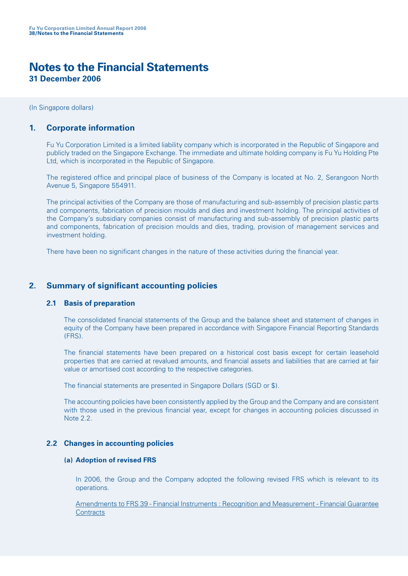(In Singapore dollars)

### **1. Corporate information**

Fu Yu Corporation Limited is a limited liability company which is incorporated in the Republic of Singapore and publicly traded on the Singapore Exchange. The immediate and ultimate holding company is Fu Yu Holding Pte Ltd, which is incorporated in the Republic of Singapore.

The registered office and principal place of business of the Company is located at No. 2, Serangoon North Avenue 5, Singapore 554911.

The principal activities of the Company are those of manufacturing and sub-assembly of precision plastic parts and components, fabrication of precision moulds and dies and investment holding. The principal activities of the Company's subsidiary companies consist of manufacturing and sub-assembly of precision plastic parts and components, fabrication of precision moulds and dies, trading, provision of management services and investment holding.

There have been no significant changes in the nature of these activities during the financial year.

#### **2. Summary of significant accounting policies**

#### **2.1 Basis of preparation**

The consolidated financial statements of the Group and the balance sheet and statement of changes in equity of the Company have been prepared in accordance with Singapore Financial Reporting Standards (FRS).

The financial statements have been prepared on a historical cost basis except for certain leasehold properties that are carried at revalued amounts, and financial assets and liabilities that are carried at fair value or amortised cost according to the respective categories.

The financial statements are presented in Singapore Dollars (SGD or \$).

The accounting policies have been consistently applied by the Group and the Company and are consistent with those used in the previous financial year, except for changes in accounting policies discussed in Note 2.2.

#### **2.2 Changes in accounting policies**

#### **(a) Adoption of revised FRS**

In 2006, the Group and the Company adopted the following revised FRS which is relevant to its operations.

Amendments to FRS 39 - Financial Instruments : Recognition and Measurement - Financial Guarantee **Contracts**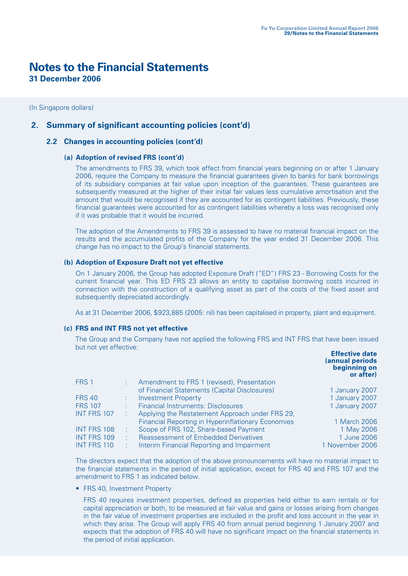(In Singapore dollars)

### **2. Summary of significant accounting policies (cont'd)**

#### **2.2 Changes in accounting policies (cont'd)**

#### **(a) Adoption of revised FRS (cont'd)**

The amendments to FRS 39, which took effect from financial years beginning on or after 1 January 2006, require the Company to measure the financial guarantees given to banks for bank borrowings of its subsidiary companies at fair value upon inception of the guarantees. These guarantees are subsequently measured at the higher of their initial fair values less cumulative amortisation and the amount that would be recognised if they are accounted for as contingent liabilities. Previously, these financial guarantees were accounted for as contingent liabilities whereby a loss was recognised only if it was probable that it would be incurred.

The adoption of the Amendments to FRS 39 is assessed to have no material financial impact on the results and the accumulated profits of the Company for the year ended 31 December 2006. This change has no impact to the Group's financial statements.

#### **(b) Adoption of Exposure Draft not yet effective**

On 1 January 2006, the Group has adopted Exposure Draft ("ED") FRS 23 - Borrowing Costs for the current financial year. This ED FRS 23 allows an entity to capitalise borrowing costs incurred in connection with the construction of a qualifying asset as part of the costs of the fixed asset and subsequently depreciated accordingly.

As at 31 December 2006, \$923,885 (2005: nil) has been capitalised in property, plant and equipment.

#### **(c) FRS and INT FRS not yet effective**

The Group and the Company have not applied the following FRS and INT FRS that have been issued

|                                                           | <b>Effective date</b><br>(annual periods<br>beginning on<br>or after) |
|-----------------------------------------------------------|-----------------------------------------------------------------------|
| Amendment to FRS 1 (revised), Presentation                |                                                                       |
| of Financial Statements (Capital Disclosures)             | 1 January 2007                                                        |
| <b>Investment Property</b>                                | 1 January 2007                                                        |
| <b>Financial Instruments: Disclosures</b>                 | 1 January 2007                                                        |
| Applying the Restatement Approach under FRS 29,<br>÷.     |                                                                       |
| <b>Financial Reporting in Hyperinflationary Economies</b> | 1 March 2006                                                          |
| Scope of FRS 102, Share-based Payment                     | 1 May 2006                                                            |
| <b>Reassessment of Embedded Derivatives</b><br>÷.         | 1 June 2006                                                           |
| Interim Financial Reporting and Impairment                | 1 November 2006                                                       |
|                                                           | but not yet effective:                                                |

The directors expect that the adoption of the above pronouncements will have no material impact to the financial statements in the period of initial application, except for FRS 40 and FRS 107 and the amendment to FRS 1 as indicated below.

• FRS 40, Investment Property

 FRS 40 requires investment properties, defined as properties held either to earn rentals or for capital appreciation or both, to be measured at fair value and gains or losses arising from changes in the fair value of investment properties are included in the profit and loss account in the year in which they arise. The Group will apply FRS 40 from annual period beginning 1 January 2007 and expects that the adoption of FRS 40 will have no significant impact on the financial statements in the period of initial application.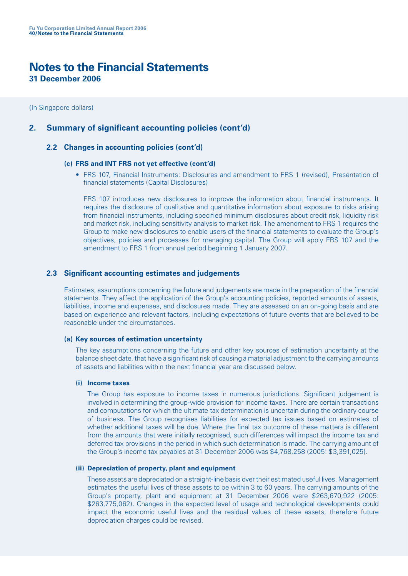(In Singapore dollars)

### **2. Summary of significant accounting policies (cont'd)**

#### **2.2 Changes in accounting policies (cont'd)**

#### **(c) FRS and INT FRS not yet effective (cont'd)**

• FRS 107, Financial Instruments: Disclosures and amendment to FRS 1 (revised), Presentation of financial statements (Capital Disclosures)

FRS 107 introduces new disclosures to improve the information about financial instruments. It requires the disclosure of qualitative and quantitative information about exposure to risks arising from financial instruments, including specified minimum disclosures about credit risk, liquidity risk and market risk, including sensitivity analysis to market risk. The amendment to FRS 1 requires the Group to make new disclosures to enable users of the financial statements to evaluate the Group's objectives, policies and processes for managing capital. The Group will apply FRS 107 and the amendment to FRS 1 from annual period beginning 1 January 2007.

#### **2.3 Significant accounting estimates and judgements**

Estimates, assumptions concerning the future and judgements are made in the preparation of the financial statements. They affect the application of the Group's accounting policies, reported amounts of assets, liabilities, income and expenses, and disclosures made. They are assessed on an on-going basis and are based on experience and relevant factors, including expectations of future events that are believed to be reasonable under the circumstances.

#### **(a) Key sources of estimation uncertainty**

The key assumptions concerning the future and other key sources of estimation uncertainty at the balance sheet date, that have a significant risk of causing a material adjustment to the carrying amounts of assets and liabilities within the next financial year are discussed below.

#### **(i) Income taxes**

The Group has exposure to income taxes in numerous jurisdictions. Significant judgement is involved in determining the group-wide provision for income taxes. There are certain transactions and computations for which the ultimate tax determination is uncertain during the ordinary course of business. The Group recognises liabilities for expected tax issues based on estimates of whether additional taxes will be due. Where the final tax outcome of these matters is different from the amounts that were initially recognised, such differences will impact the income tax and deferred tax provisions in the period in which such determination is made. The carrying amount of the Group's income tax payables at 31 December 2006 was \$4,768,258 (2005: \$3,391,025).

#### **(ii) Depreciation of property, plant and equipment**

These assets are depreciated on a straight-line basis over their estimated useful lives. Management estimates the useful lives of these assets to be within 3 to 60 years. The carrying amounts of the Group's property, plant and equipment at 31 December 2006 were \$263,670,922 (2005: \$263,775,062). Changes in the expected level of usage and technological developments could impact the economic useful lives and the residual values of these assets, therefore future depreciation charges could be revised.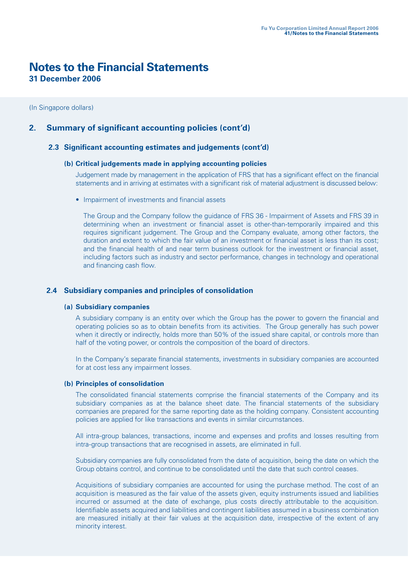(In Singapore dollars)

### **2. Summary of significant accounting policies (cont'd)**

#### **2.3 Significant accounting estimates and judgements (cont'd)**

#### **(b) Critical judgements made in applying accounting policies**

Judgement made by management in the application of FRS that has a significant effect on the financial statements and in arriving at estimates with a significant risk of material adjustment is discussed below:

• Impairment of investments and financial assets

The Group and the Company follow the guidance of FRS 36 - Impairment of Assets and FRS 39 in determining when an investment or financial asset is other-than-temporarily impaired and this requires significant judgement. The Group and the Company evaluate, among other factors, the duration and extent to which the fair value of an investment or financial asset is less than its cost; and the financial health of and near term business outlook for the investment or financial asset, including factors such as industry and sector performance, changes in technology and operational and financing cash flow.

#### **2.4 Subsidiary companies and principles of consolidation**

#### **(a) Subsidiary companies**

A subsidiary company is an entity over which the Group has the power to govern the financial and operating policies so as to obtain benefits from its activities. The Group generally has such power when it directly or indirectly, holds more than 50% of the issued share capital, or controls more than half of the voting power, or controls the composition of the board of directors.

In the Company's separate financial statements, investments in subsidiary companies are accounted for at cost less any impairment losses.

#### **(b) Principles of consolidation**

The consolidated financial statements comprise the financial statements of the Company and its subsidiary companies as at the balance sheet date. The financial statements of the subsidiary companies are prepared for the same reporting date as the holding company. Consistent accounting policies are applied for like transactions and events in similar circumstances.

All intra-group balances, transactions, income and expenses and profits and losses resulting from intra-group transactions that are recognised in assets, are eliminated in full.

Subsidiary companies are fully consolidated from the date of acquisition, being the date on which the Group obtains control, and continue to be consolidated until the date that such control ceases.

Acquisitions of subsidiary companies are accounted for using the purchase method. The cost of an acquisition is measured as the fair value of the assets given, equity instruments issued and liabilities incurred or assumed at the date of exchange, plus costs directly attributable to the acquisition. Identifiable assets acquired and liabilities and contingent liabilities assumed in a business combination are measured initially at their fair values at the acquisition date, irrespective of the extent of any minority interest.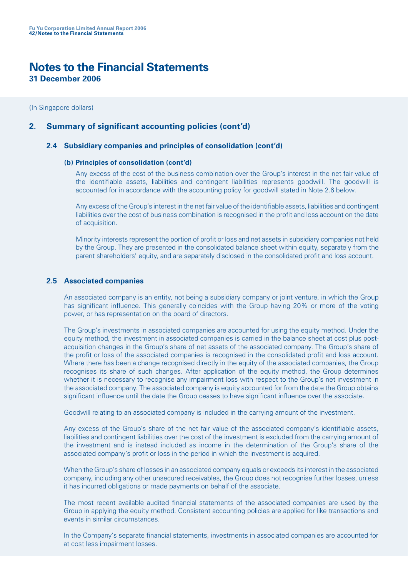(In Singapore dollars)

### **2. Summary of significant accounting policies (cont'd)**

#### **2.4 Subsidiary companies and principles of consolidation (cont'd)**

#### **(b) Principles of consolidation (cont'd)**

Any excess of the cost of the business combination over the Group's interest in the net fair value of the identifiable assets, liabilities and contingent liabilities represents goodwill. The goodwill is accounted for in accordance with the accounting policy for goodwill stated in Note 2.6 below.

Any excess of the Group's interest in the net fair value of the identifiable assets, liabilities and contingent liabilities over the cost of business combination is recognised in the profit and loss account on the date of acquisition.

Minority interests represent the portion of profit or loss and net assets in subsidiary companies not held by the Group. They are presented in the consolidated balance sheet within equity, separately from the parent shareholders' equity, and are separately disclosed in the consolidated profit and loss account.

#### **2.5 Associated companies**

An associated company is an entity, not being a subsidiary company or joint venture, in which the Group has significant influence. This generally coincides with the Group having 20% or more of the voting power, or has representation on the board of directors.

The Group's investments in associated companies are accounted for using the equity method. Under the equity method, the investment in associated companies is carried in the balance sheet at cost plus postacquisition changes in the Group's share of net assets of the associated company. The Group's share of the profit or loss of the associated companies is recognised in the consolidated profit and loss account. Where there has been a change recognised directly in the equity of the associated companies, the Group recognises its share of such changes. After application of the equity method, the Group determines whether it is necessary to recognise any impairment loss with respect to the Group's net investment in the associated company. The associated company is equity accounted for from the date the Group obtains significant influence until the date the Group ceases to have significant influence over the associate.

Goodwill relating to an associated company is included in the carrying amount of the investment.

Any excess of the Group's share of the net fair value of the associated company's identifiable assets, liabilities and contingent liabilities over the cost of the investment is excluded from the carrying amount of the investment and is instead included as income in the determination of the Group's share of the associated company's profit or loss in the period in which the investment is acquired.

When the Group's share of losses in an associated company equals or exceeds its interest in the associated company, including any other unsecured receivables, the Group does not recognise further losses, unless it has incurred obligations or made payments on behalf of the associate.

The most recent available audited financial statements of the associated companies are used by the Group in applying the equity method. Consistent accounting policies are applied for like transactions and events in similar circumstances.

In the Company's separate financial statements, investments in associated companies are accounted for at cost less impairment losses.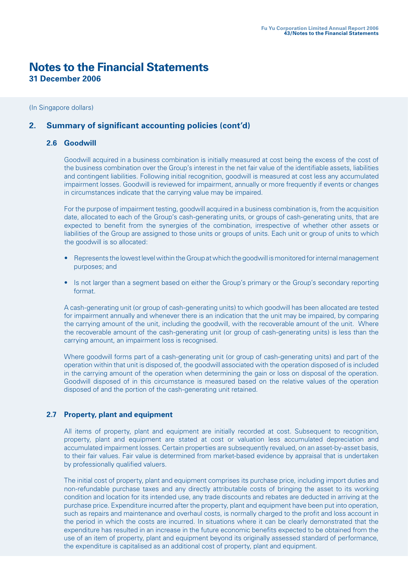#### (In Singapore dollars)

### **2. Summary of significant accounting policies (cont'd)**

#### **2.6 Goodwill**

Goodwill acquired in a business combination is initially measured at cost being the excess of the cost of the business combination over the Group's interest in the net fair value of the identifiable assets, liabilities and contingent liabilities. Following initial recognition, goodwill is measured at cost less any accumulated impairment losses. Goodwill is reviewed for impairment, annually or more frequently if events or changes in circumstances indicate that the carrying value may be impaired.

For the purpose of impairment testing, goodwill acquired in a business combination is, from the acquisition date, allocated to each of the Group's cash-generating units, or groups of cash-generating units, that are expected to benefit from the synergies of the combination, irrespective of whether other assets or liabilities of the Group are assigned to those units or groups of units. Each unit or group of units to which the goodwill is so allocated:

- Represents the lowest level within the Group at which the goodwill is monitored for internal management purposes; and
- Is not larger than a segment based on either the Group's primary or the Group's secondary reporting format.

A cash-generating unit (or group of cash-generating units) to which goodwill has been allocated are tested for impairment annually and whenever there is an indication that the unit may be impaired, by comparing the carrying amount of the unit, including the goodwill, with the recoverable amount of the unit. Where the recoverable amount of the cash-generating unit (or group of cash-generating units) is less than the carrying amount, an impairment loss is recognised.

Where goodwill forms part of a cash-generating unit (or group of cash-generating units) and part of the operation within that unit is disposed of, the goodwill associated with the operation disposed of is included in the carrying amount of the operation when determining the gain or loss on disposal of the operation. Goodwill disposed of in this circumstance is measured based on the relative values of the operation disposed of and the portion of the cash-generating unit retained.

#### **2.7 Property, plant and equipment**

All items of property, plant and equipment are initially recorded at cost. Subsequent to recognition, property, plant and equipment are stated at cost or valuation less accumulated depreciation and accumulated impairment losses. Certain properties are subsequently revalued, on an asset-by-asset basis, to their fair values. Fair value is determined from market-based evidence by appraisal that is undertaken by professionally qualified valuers.

The initial cost of property, plant and equipment comprises its purchase price, including import duties and non-refundable purchase taxes and any directly attributable costs of bringing the asset to its working condition and location for its intended use, any trade discounts and rebates are deducted in arriving at the purchase price. Expenditure incurred after the property, plant and equipment have been put into operation, such as repairs and maintenance and overhaul costs, is normally charged to the profit and loss account in the period in which the costs are incurred. In situations where it can be clearly demonstrated that the expenditure has resulted in an increase in the future economic benefits expected to be obtained from the use of an item of property, plant and equipment beyond its originally assessed standard of performance, the expenditure is capitalised as an additional cost of property, plant and equipment.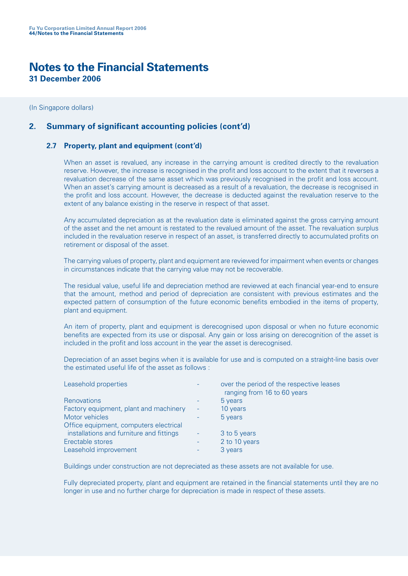(In Singapore dollars)

### **2. Summary of significant accounting policies (cont'd)**

#### **2.7 Property, plant and equipment (cont'd)**

When an asset is revalued, any increase in the carrying amount is credited directly to the revaluation reserve. However, the increase is recognised in the profit and loss account to the extent that it reverses a revaluation decrease of the same asset which was previously recognised in the profit and loss account. When an asset's carrying amount is decreased as a result of a revaluation, the decrease is recognised in the profit and loss account. However, the decrease is deducted against the revaluation reserve to the extent of any balance existing in the reserve in respect of that asset.

Any accumulated depreciation as at the revaluation date is eliminated against the gross carrying amount of the asset and the net amount is restated to the revalued amount of the asset. The revaluation surplus included in the revaluation reserve in respect of an asset, is transferred directly to accumulated profits on retirement or disposal of the asset.

The carrying values of property, plant and equipment are reviewed for impairment when events or changes in circumstances indicate that the carrying value may not be recoverable.

The residual value, useful life and depreciation method are reviewed at each financial year-end to ensure that the amount, method and period of depreciation are consistent with previous estimates and the expected pattern of consumption of the future economic benefits embodied in the items of property, plant and equipment.

An item of property, plant and equipment is derecognised upon disposal or when no future economic benefits are expected from its use or disposal. Any gain or loss arising on derecognition of the asset is included in the profit and loss account in the year the asset is derecognised.

Depreciation of an asset begins when it is available for use and is computed on a straight-line basis over the estimated useful life of the asset as follows :

| Leasehold properties                     |   | over the period of the respective leases<br>ranging from 16 to 60 years |
|------------------------------------------|---|-------------------------------------------------------------------------|
| <b>Renovations</b>                       |   | 5 years                                                                 |
| Factory equipment, plant and machinery   | ۰ | 10 years                                                                |
| Motor vehicles                           |   | 5 years                                                                 |
| Office equipment, computers electrical   |   |                                                                         |
| installations and furniture and fittings |   | 3 to 5 years                                                            |
| Erectable stores                         |   | 2 to 10 years                                                           |
| Leasehold improvement                    | - | 3 years                                                                 |

Buildings under construction are not depreciated as these assets are not available for use.

Fully depreciated property, plant and equipment are retained in the financial statements until they are no longer in use and no further charge for depreciation is made in respect of these assets.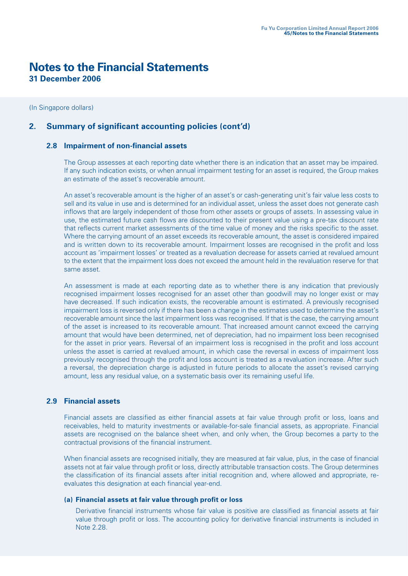(In Singapore dollars)

### **2. Summary of significant accounting policies (cont'd)**

#### **2.8 Impairment of non-financial assets**

The Group assesses at each reporting date whether there is an indication that an asset may be impaired. If any such indication exists, or when annual impairment testing for an asset is required, the Group makes an estimate of the asset's recoverable amount.

An asset's recoverable amount is the higher of an asset's or cash-generating unit's fair value less costs to sell and its value in use and is determined for an individual asset, unless the asset does not generate cash inflows that are largely independent of those from other assets or groups of assets. In assessing value in use, the estimated future cash flows are discounted to their present value using a pre-tax discount rate that reflects current market assessments of the time value of money and the risks specific to the asset. Where the carrying amount of an asset exceeds its recoverable amount, the asset is considered impaired and is written down to its recoverable amount. Impairment losses are recognised in the profit and loss account as 'impairment losses' or treated as a revaluation decrease for assets carried at revalued amount to the extent that the impairment loss does not exceed the amount held in the revaluation reserve for that same asset.

An assessment is made at each reporting date as to whether there is any indication that previously recognised impairment losses recognised for an asset other than goodwill may no longer exist or may have decreased. If such indication exists, the recoverable amount is estimated. A previously recognised impairment loss is reversed only if there has been a change in the estimates used to determine the asset's recoverable amount since the last impairment loss was recognised. If that is the case, the carrying amount of the asset is increased to its recoverable amount. That increased amount cannot exceed the carrying amount that would have been determined, net of depreciation, had no impairment loss been recognised for the asset in prior years. Reversal of an impairment loss is recognised in the profit and loss account unless the asset is carried at revalued amount, in which case the reversal in excess of impairment loss previously recognised through the profit and loss account is treated as a revaluation increase. After such a reversal, the depreciation charge is adjusted in future periods to allocate the asset's revised carrying amount, less any residual value, on a systematic basis over its remaining useful life.

### **2.9 Financial assets**

Financial assets are classified as either financial assets at fair value through profit or loss, loans and receivables, held to maturity investments or available-for-sale financial assets, as appropriate. Financial assets are recognised on the balance sheet when, and only when, the Group becomes a party to the contractual provisions of the financial instrument.

When financial assets are recognised initially, they are measured at fair value, plus, in the case of financial assets not at fair value through profit or loss, directly attributable transaction costs. The Group determines the classification of its financial assets after initial recognition and, where allowed and appropriate, reevaluates this designation at each financial year-end.

#### **(a) Financial assets at fair value through profit or loss**

Derivative financial instruments whose fair value is positive are classified as financial assets at fair value through profit or loss. The accounting policy for derivative financial instruments is included in Note 2.28.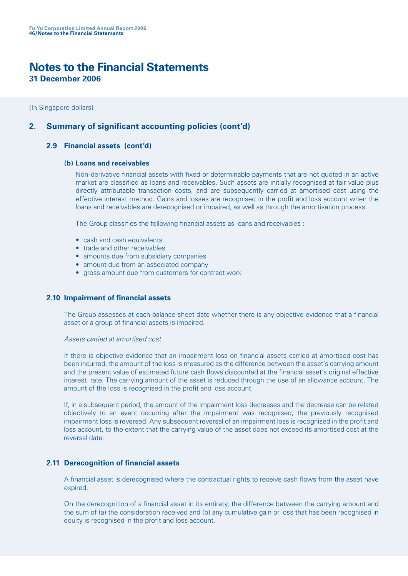(In Singapore dollars)

### **2. Summary of significant accounting policies (cont'd)**

#### **2.9 Financial assets (cont'd)**

#### **(b) Loans and receivables**

Non-derivative financial assets with fixed or determinable payments that are not quoted in an active market are classified as loans and receivables. Such assets are initially recognised at fair value plus directly attributable transaction costs, and are subsequently carried at amortised cost using the effective interest method. Gains and losses are recognised in the profit and loss account when the loans and receivables are derecognised or impaired, as well as through the amortisation process.

The Group classifies the following financial assets as loans and receivables :

- cash and cash equivalents
- trade and other receivables
- amounts due from subsidiary companies
- amount due from an associated company
- gross amount due from customers for contract work

#### **2.10 Impairment of financial assets**

The Group assesses at each balance sheet date whether there is any objective evidence that a financial asset or a group of financial assets is impaired.

#### *Assets carried at amortised cost*

If there is objective evidence that an impairment loss on financial assets carried at amortised cost has been incurred, the amount of the loss is measured as the difference between the asset's carrying amount and the present value of estimated future cash flows discounted at the financial asset's original effective interest rate. The carrying amount of the asset is reduced through the use of an allowance account. The amount of the loss is recognised in the profit and loss account.

If, in a subsequent period, the amount of the impairment loss decreases and the decrease can be related objectively to an event occurring after the impairment was recognised, the previously recognised impairment loss is reversed. Any subsequent reversal of an impairment loss is recognised in the profit and loss account, to the extent that the carrying value of the asset does not exceed its amortised cost at the reversal date.

#### **2.11 Derecognition of financial assets**

A financial asset is derecognised where the contractual rights to receive cash flows from the asset have expired.

On the derecognition of a financial asset in its entirety, the difference between the carrying amount and the sum of (a) the consideration received and (b) any cumulative gain or loss that has been recognised in equity is recognised in the profit and loss account.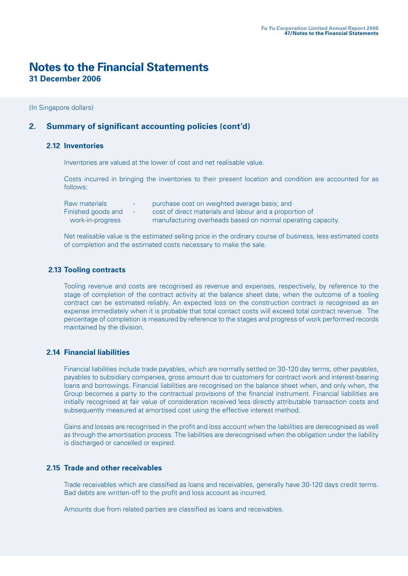(In Singapore dollars)

### **2. Summary of significant accounting policies (cont'd)**

### **2.12 Inventories**

Inventories are valued at the lower of cost and net realisable value.

Costs incurred in bringing the inventories to their present location and condition are accounted for as follows:

| Raw materials      | <b>Service</b>                 | purchase cost on weighted average basis; and                |
|--------------------|--------------------------------|-------------------------------------------------------------|
| Finished goods and | <b>Contract Contract State</b> | cost of direct materials and labour and a proportion of     |
| work-in-progress   |                                | manufacturing overheads based on normal operating capacity. |

Net realisable value is the estimated selling price in the ordinary course of business, less estimated costs of completion and the estimated costs necessary to make the sale.

#### **2.13 Tooling contracts**

Tooling revenue and costs are recognised as revenue and expenses, respectively, by reference to the stage of completion of the contract activity at the balance sheet date, when the outcome of a tooling contract can be estimated reliably. An expected loss on the construction contract is recognised as an expense immediately when it is probable that total contact costs will exceed total contract revenue. The percentage of completion is measured by reference to the stages and progress of work performed records maintained by the division.

### **2.14 Financial liabilities**

Financial liabilities include trade payables, which are normally settled on 30-120 day terms, other payables, payables to subsidiary companies, gross amount due to customers for contract work and interest-bearing loans and borrowings. Financial liabilities are recognised on the balance sheet when, and only when, the Group becomes a party to the contractual provisions of the financial instrument. Financial liabilities are initially recognised at fair value of consideration received less directly attributable transaction costs and subsequently measured at amortised cost using the effective interest method.

Gains and losses are recognised in the profit and loss account when the liabilities are derecognised as well as through the amortisation process. The liabilities are derecognised when the obligation under the liability is discharged or cancelled or expired.

### **2.15 Trade and other receivables**

Trade receivables which are classified as loans and receivables, generally have 30-120 days credit terms. Bad debts are written-off to the profit and loss account as incurred.

Amounts due from related parties are classified as loans and receivables.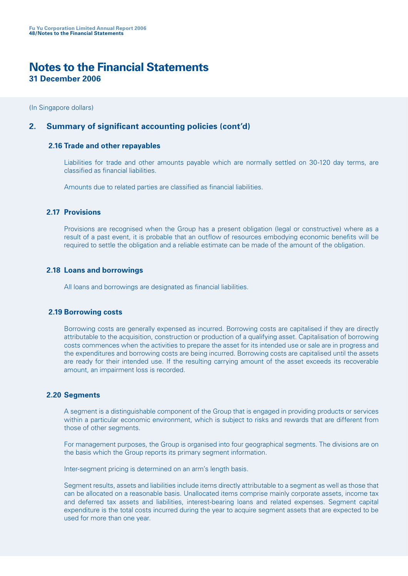(In Singapore dollars)

### **2. Summary of significant accounting policies (cont'd)**

#### **2.16 Trade and other repayables**

Liabilities for trade and other amounts payable which are normally settled on 30-120 day terms, are classified as financial liabilities.

Amounts due to related parties are classified as financial liabilities.

#### **2.17 Provisions**

Provisions are recognised when the Group has a present obligation (legal or constructive) where as a result of a past event, it is probable that an outflow of resources embodying economic benefits will be required to settle the obligation and a reliable estimate can be made of the amount of the obligation.

#### **2.18 Loans and borrowings**

All loans and borrowings are designated as financial liabilities.

#### **2.19 Borrowing costs**

Borrowing costs are generally expensed as incurred. Borrowing costs are capitalised if they are directly attributable to the acquisition, construction or production of a qualifying asset. Capitalisation of borrowing costs commences when the activities to prepare the asset for its intended use or sale are in progress and the expenditures and borrowing costs are being incurred. Borrowing costs are capitalised until the assets are ready for their intended use. If the resulting carrying amount of the asset exceeds its recoverable amount, an impairment loss is recorded.

#### **2.20 Segments**

A segment is a distinguishable component of the Group that is engaged in providing products or services within a particular economic environment, which is subject to risks and rewards that are different from those of other segments.

For management purposes, the Group is organised into four geographical segments. The divisions are on the basis which the Group reports its primary segment information.

Inter-segment pricing is determined on an arm's length basis.

Segment results, assets and liabilities include items directly attributable to a segment as well as those that can be allocated on a reasonable basis. Unallocated items comprise mainly corporate assets, income tax and deferred tax assets and liabilities, interest-bearing loans and related expenses. Segment capital expenditure is the total costs incurred during the year to acquire segment assets that are expected to be used for more than one year.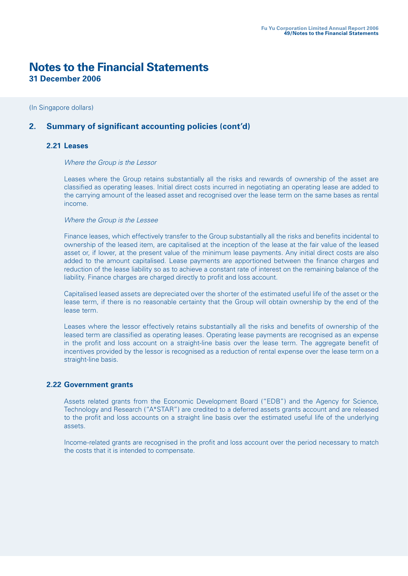(In Singapore dollars)

### **2. Summary of significant accounting policies (cont'd)**

### **2.21 Leases**

#### *Where the Group is the Lessor*

Leases where the Group retains substantially all the risks and rewards of ownership of the asset are classified as operating leases. Initial direct costs incurred in negotiating an operating lease are added to the carrying amount of the leased asset and recognised over the lease term on the same bases as rental income.

#### *Where the Group is the Lessee*

Finance leases, which effectively transfer to the Group substantially all the risks and benefits incidental to ownership of the leased item, are capitalised at the inception of the lease at the fair value of the leased asset or, if lower, at the present value of the minimum lease payments. Any initial direct costs are also added to the amount capitalised. Lease payments are apportioned between the finance charges and reduction of the lease liability so as to achieve a constant rate of interest on the remaining balance of the liability. Finance charges are charged directly to profit and loss account.

Capitalised leased assets are depreciated over the shorter of the estimated useful life of the asset or the lease term, if there is no reasonable certainty that the Group will obtain ownership by the end of the lease term.

Leases where the lessor effectively retains substantially all the risks and benefits of ownership of the leased term are classified as operating leases. Operating lease payments are recognised as an expense in the profit and loss account on a straight-line basis over the lease term. The aggregate benefit of incentives provided by the lessor is recognised as a reduction of rental expense over the lease term on a straight-line basis.

#### **2.22 Government grants**

Assets related grants from the Economic Development Board ("EDB") and the Agency for Science, Technology and Research ("A\*STAR") are credited to a deferred assets grants account and are released to the profit and loss accounts on a straight line basis over the estimated useful life of the underlying assets.

Income-related grants are recognised in the profit and loss account over the period necessary to match the costs that it is intended to compensate.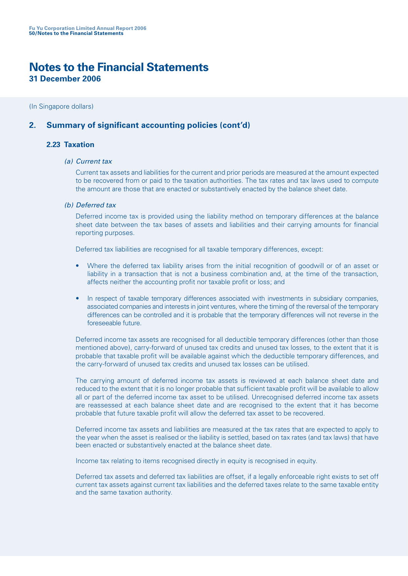#### (In Singapore dollars)

### **2. Summary of significant accounting policies (cont'd)**

#### **2.23 Taxation**

#### *(a) Current tax*

Current tax assets and liabilities for the current and prior periods are measured at the amount expected to be recovered from or paid to the taxation authorities. The tax rates and tax laws used to compute the amount are those that are enacted or substantively enacted by the balance sheet date.

#### *(b) Deferred tax*

Deferred income tax is provided using the liability method on temporary differences at the balance sheet date between the tax bases of assets and liabilities and their carrying amounts for financial reporting purposes.

Deferred tax liabilities are recognised for all taxable temporary differences, except:

- Where the deferred tax liability arises from the initial recognition of goodwill or of an asset or liability in a transaction that is not a business combination and, at the time of the transaction, affects neither the accounting profit nor taxable profit or loss; and
- In respect of taxable temporary differences associated with investments in subsidiary companies, associated companies and interests in joint ventures, where the timing of the reversal of the temporary differences can be controlled and it is probable that the temporary differences will not reverse in the foreseeable future.

Deferred income tax assets are recognised for all deductible temporary differences (other than those mentioned above), carry-forward of unused tax credits and unused tax losses, to the extent that it is probable that taxable profit will be available against which the deductible temporary differences, and the carry-forward of unused tax credits and unused tax losses can be utilised.

The carrying amount of deferred income tax assets is reviewed at each balance sheet date and reduced to the extent that it is no longer probable that sufficient taxable profit will be available to allow all or part of the deferred income tax asset to be utilised. Unrecognised deferred income tax assets are reassessed at each balance sheet date and are recognised to the extent that it has become probable that future taxable profit will allow the deferred tax asset to be recovered.

Deferred income tax assets and liabilities are measured at the tax rates that are expected to apply to the year when the asset is realised or the liability is settled, based on tax rates (and tax laws) that have been enacted or substantively enacted at the balance sheet date.

Income tax relating to items recognised directly in equity is recognised in equity.

Deferred tax assets and deferred tax liabilities are offset, if a legally enforceable right exists to set off current tax assets against current tax liabilities and the deferred taxes relate to the same taxable entity and the same taxation authority.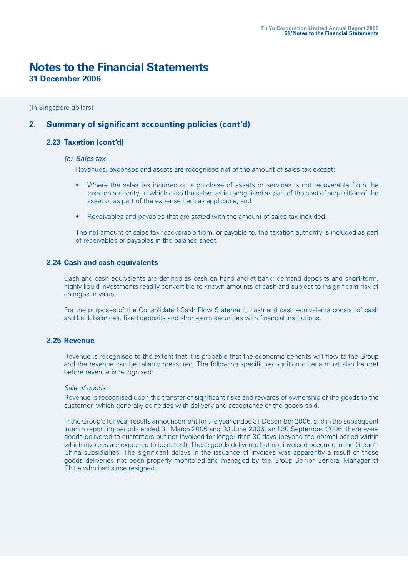#### (In Singapore dollars)

### **2. Summary of significant accounting policies (cont'd)**

#### **2.23 Taxation (cont'd)**

#### *(c) Sales tax*

Revenues, expenses and assets are recognised net of the amount of sales tax except:

- Where the sales tax incurred on a purchase of assets or services is not recoverable from the taxation authority, in which case the sales tax is recognised as part of the cost of acquisition of the asset or as part of the expense item as applicable; and
- Receivables and payables that are stated with the amount of sales tax included.

The net amount of sales tax recoverable from, or payable to, the taxation authority is included as part of receivables or payables in the balance sheet.

#### **2.24 Cash and cash equivalents**

Cash and cash equivalents are defined as cash on hand and at bank, demand deposits and short-term, highly liquid investments readily convertible to known amounts of cash and subject to insignificant risk of changes in value.

For the purposes of the Consolidated Cash Flow Statement, cash and cash equivalents consist of cash and bank balances, fixed deposits and short-term securities with financial institutions.

### **2.25 Revenue**

Revenue is recognised to the extent that it is probable that the economic benefits will flow to the Group and the revenue can be reliably measured. The following specific recognition criteria must also be met before revenue is recognised:

#### *Sale of goods*

Revenue is recognised upon the transfer of significant risks and rewards of ownership of the goods to the customer, which generally coincides with delivery and acceptance of the goods sold.

In the Group's full year results announcement for the year ended 31 December 2005, and in the subsequent interim reporting periods ended 31 March 2006 and 30 June 2006, and 30 September 2006, there were goods delivered to customers but not invoiced for longer than 30 days (beyond the normal period within which invoices are expected to be raised). These goods delivered but not invoiced occurred in the Group's China subsidiaries. The significant delays in the issuance of invoices was apparently a result of these goods deliveries not been properly monitored and managed by the Group Senior General Manager of China who had since resigned.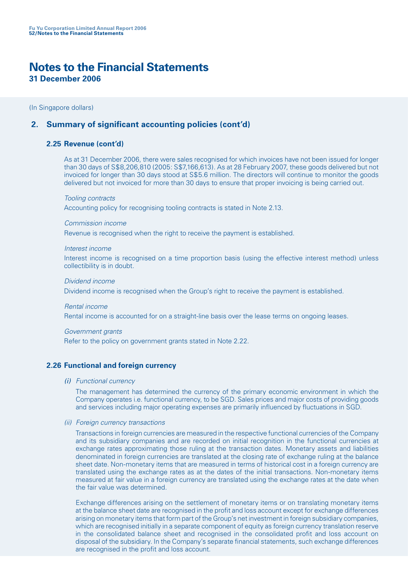(In Singapore dollars)

### **2. Summary of significant accounting policies (cont'd)**

#### **2.25 Revenue (cont'd)**

As at 31 December 2006, there were sales recognised for which invoices have not been issued for longer than 30 days of S\$8,206,810 (2005: S\$7,166,613). As at 28 February 2007, these goods delivered but not invoiced for longer than 30 days stood at S\$5.6 million. The directors will continue to monitor the goods delivered but not invoiced for more than 30 days to ensure that proper invoicing is being carried out.

#### *Tooling contracts*

Accounting policy for recognising tooling contracts is stated in Note 2.13.

#### *Commission income*

Revenue is recognised when the right to receive the payment is established.

#### *Interest income*

Interest income is recognised on a time proportion basis (using the effective interest method) unless collectibility is in doubt.

#### *Dividend income*

Dividend income is recognised when the Group's right to receive the payment is established.

#### *Rental income*

Rental income is accounted for on a straight-line basis over the lease terms on ongoing leases.

#### *Government grants*

Refer to the policy on government grants stated in Note 2.22.

#### **2.26 Functional and foreign currency**

#### *(i) Functional currency*

The management has determined the currency of the primary economic environment in which the Company operates i.e. functional currency, to be SGD. Sales prices and major costs of providing goods and services including major operating expenses are primarily influenced by fluctuations in SGD.

#### *(ii) Foreign currency transactions*

Transactions in foreign currencies are measured in the respective functional currencies of the Company and its subsidiary companies and are recorded on initial recognition in the functional currencies at exchange rates approximating those ruling at the transaction dates. Monetary assets and liabilities denominated in foreign currencies are translated at the closing rate of exchange ruling at the balance sheet date. Non-monetary items that are measured in terms of historical cost in a foreign currency are translated using the exchange rates as at the dates of the initial transactions. Non-monetary items measured at fair value in a foreign currency are translated using the exchange rates at the date when the fair value was determined.

Exchange differences arising on the settlement of monetary items or on translating monetary items at the balance sheet date are recognised in the profit and loss account except for exchange differences arising on monetary items that form part of the Group's net investment in foreign subsidiary companies, which are recognised initially in a separate component of equity as foreign currency translation reserve in the consolidated balance sheet and recognised in the consolidated profit and loss account on disposal of the subsidiary. In the Company's separate financial statements, such exchange differences are recognised in the profit and loss account.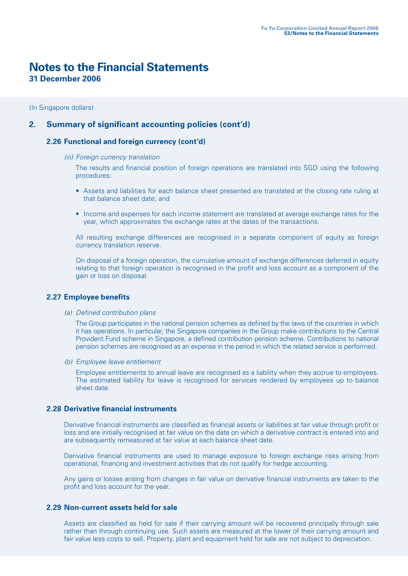(In Singapore dollars)

### **2. Summary of significant accounting policies (cont'd)**

#### **2.26 Functional and foreign currency (cont'd)**

*(iii) Foreign currency translation*

The results and financial position of foreign operations are translated into SGD using the following procedures:

- • Assets and liabilities for each balance sheet presented are translated at the closing rate ruling at that balance sheet date; and
- Income and expenses for each income statement are translated at average exchange rates for the year, which approximates the exchange rates at the dates of the transactions.

All resulting exchange differences are recognised in a separate component of equity as foreign currency translation reserve.

On disposal of a foreign operation, the cumulative amount of exchange differences deferred in equity relating to that foreign operation is recognised in the profit and loss account as a component of the gain or loss on disposal.

#### **2.27 Employee benefits**

#### *(a) Defined contribution plans*

The Group participates in the national pension schemes as defined by the laws of the countries in which it has operations. In particular, the Singapore companies in the Group make contributions to the Central Provident Fund scheme in Singapore, a defined contribution pension scheme. Contributions to national pension schemes are recognised as an expense in the period in which the related service is performed.

*(b) Employee leave entitlement*

Employee entitlements to annual leave are recognised as a liability when they accrue to employees. The estimated liability for leave is recognised for services rendered by employees up to balance sheet date.

#### **2.28 Derivative financial instruments**

Derivative financial instruments are classified as financial assets or liabilities at fair value through profit or loss and are initially recognised at fair value on the date on which a derivative contract is entered into and are subsequently remeasured at fair value at each balance sheet date.

Derivative financial instruments are used to manage exposure to foreign exchange risks arising from operational, financing and investment activities that do not qualify for hedge accounting.

Any gains or losses arising from changes in fair value on derivative financial instruments are taken to the profit and loss account for the year.

#### **2.29 Non-current assets held for sale**

Assets are classified as held for sale if their carrying amount will be recovered principally through sale rather than through continuing use. Such assets are measured at the lower of their carrying amount and fair value less costs to sell. Property, plant and equipment held for sale are not subject to depreciation.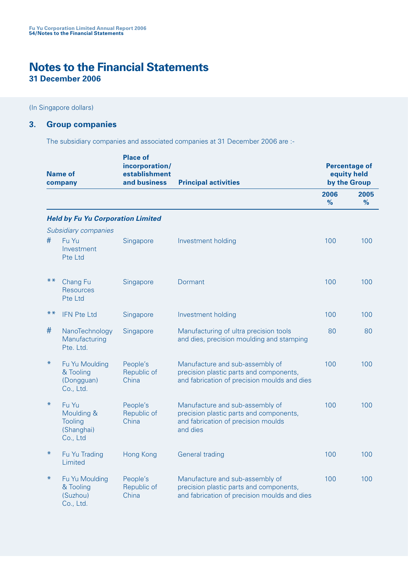(In Singapore dollars)

### **3. Group companies**

The subsidiary companies and associated companies at 31 December 2006 are :-

| <b>Name of</b><br>company |                                                          | <b>Place of</b><br>incorporation/<br>establishment<br>and business | <b>Principal activities</b>                                                                                                   | <b>Percentage of</b><br>equity held<br>by the Group |              |  |
|---------------------------|----------------------------------------------------------|--------------------------------------------------------------------|-------------------------------------------------------------------------------------------------------------------------------|-----------------------------------------------------|--------------|--|
|                           |                                                          |                                                                    |                                                                                                                               | 2006<br>$\frac{9}{6}$                               | 2005<br>$\%$ |  |
|                           | <b>Held by Fu Yu Corporation Limited</b>                 |                                                                    |                                                                                                                               |                                                     |              |  |
|                           | Subsidiary companies                                     |                                                                    |                                                                                                                               |                                                     |              |  |
| #                         | Fu Yu<br>Investment<br>Pte Ltd                           | Singapore                                                          | Investment holding                                                                                                            | 100                                                 | 100          |  |
| $* *$                     | Chang Fu<br><b>Resources</b><br>Pte Ltd                  | Singapore                                                          | Dormant                                                                                                                       | 100                                                 | 100          |  |
| $* *$                     | <b>IFN Pte Ltd</b>                                       | Singapore                                                          | Investment holding                                                                                                            | 100                                                 | 100          |  |
| #                         | NanoTechnology<br>Manufacturing<br>Pte. Ltd.             | Singapore                                                          | Manufacturing of ultra precision tools<br>and dies, precision moulding and stamping                                           | 80                                                  | 80           |  |
| $\ast$                    | Fu Yu Moulding<br>& Tooling<br>(Dongguan)<br>Co., Ltd.   | People's<br>Republic of<br>China                                   | Manufacture and sub-assembly of<br>precision plastic parts and components,<br>and fabrication of precision moulds and dies    | 100                                                 | 100          |  |
| $\ast$                    | Fu Yu<br>Moulding &<br>Tooling<br>(Shanghai)<br>Co., Ltd | People's<br>Republic of<br>China                                   | Manufacture and sub-assembly of<br>precision plastic parts and components,<br>and fabrication of precision moulds<br>and dies | 100                                                 | 100          |  |
| $\ast$                    | Fu Yu Trading<br>Limited                                 | Hong Kong                                                          | <b>General trading</b>                                                                                                        | 100                                                 | 100          |  |
| $\ast$                    | Fu Yu Moulding<br>& Tooling<br>(Suzhou)<br>Co., Ltd.     | People's<br>Republic of<br>China                                   | Manufacture and sub-assembly of<br>precision plastic parts and components,<br>and fabrication of precision moulds and dies    | 100                                                 | 100          |  |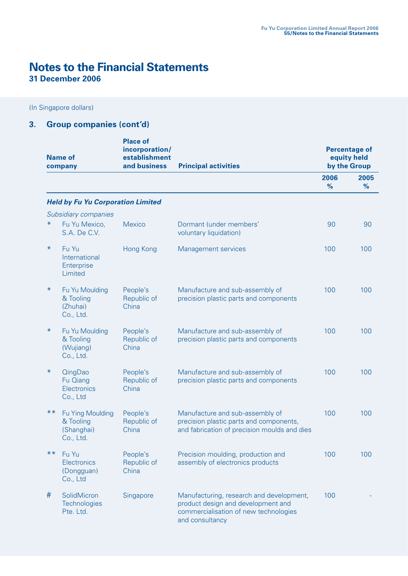(In Singapore dollars)

## **3. Group companies (cont'd)**

| <b>Name of</b><br>company |                                                          | <b>Place of</b><br>incorporation/<br>establishment<br>and business<br><b>Principal activities</b> |                                                                                                                                            | <b>Percentage of</b><br>equity held<br>by the Group |              |  |
|---------------------------|----------------------------------------------------------|---------------------------------------------------------------------------------------------------|--------------------------------------------------------------------------------------------------------------------------------------------|-----------------------------------------------------|--------------|--|
|                           |                                                          |                                                                                                   |                                                                                                                                            | 2006<br>$\%$                                        | 2005<br>$\%$ |  |
|                           | <b>Held by Fu Yu Corporation Limited</b>                 |                                                                                                   |                                                                                                                                            |                                                     |              |  |
|                           | Subsidiary companies                                     |                                                                                                   |                                                                                                                                            |                                                     |              |  |
| $\ast$                    | Fu Yu Mexico,<br>S.A. De C.V.                            | <b>Mexico</b>                                                                                     | Dormant (under members'<br>voluntary liquidation)                                                                                          | 90                                                  | 90           |  |
| $\ast$                    | Fu Yu<br>International<br>Enterprise<br>Limited          | Hong Kong                                                                                         | Management services                                                                                                                        | 100                                                 | 100          |  |
| $\ast$                    | Fu Yu Moulding<br>& Tooling<br>(Zhuhai)<br>Co., Ltd.     | People's<br>Republic of<br>China                                                                  | Manufacture and sub-assembly of<br>precision plastic parts and components                                                                  | 100                                                 | 100          |  |
| $\ast$                    | Fu Yu Moulding<br>& Tooling<br>(Wujiang)<br>Co., Ltd.    | People's<br>Republic of<br>China                                                                  | Manufacture and sub-assembly of<br>precision plastic parts and components                                                                  | 100                                                 | 100          |  |
| $\ast$                    | QingDao<br>Fu Qiang<br>Electronics<br>Co., Ltd           | People's<br>Republic of<br>China                                                                  | Manufacture and sub-assembly of<br>precision plastic parts and components                                                                  | 100                                                 | 100          |  |
| $**$                      | Fu Ying Moulding<br>& Tooling<br>(Shanghai)<br>Co., Ltd. | People's<br>Republic of<br>China                                                                  | Manufacture and sub-assembly of<br>precision plastic parts and components,<br>and fabrication of precision moulds and dies                 | 100                                                 | 100          |  |
| $* *$                     | Fu Yu<br><b>Electronics</b><br>(Dongguan)<br>Co., Ltd    | People's<br>Republic of<br>China                                                                  | Precision moulding, production and<br>assembly of electronics products                                                                     | 100                                                 | 100          |  |
| #                         | SolidMicron<br>Technologies<br>Pte. Ltd.                 | Singapore                                                                                         | Manufacturing, research and development,<br>product design and development and<br>commercialisation of new technologies<br>and consultancy | 100                                                 |              |  |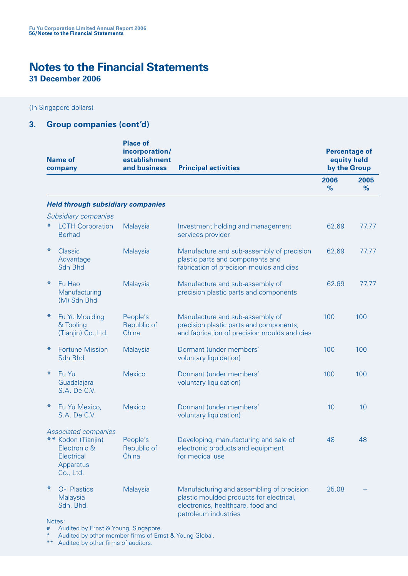(In Singapore dollars)

## **3. Group companies (cont'd)**

| <b>Name of</b><br>company |                                                                                                    | <b>Place of</b><br>incorporation/<br>establishment<br>and business<br><b>Principal activities</b> |                                                                                                                                                    | <b>Percentage of</b><br>equity held<br>by the Group |              |
|---------------------------|----------------------------------------------------------------------------------------------------|---------------------------------------------------------------------------------------------------|----------------------------------------------------------------------------------------------------------------------------------------------------|-----------------------------------------------------|--------------|
|                           |                                                                                                    |                                                                                                   |                                                                                                                                                    | 2006<br>$\%$                                        | 2005<br>$\%$ |
|                           | <b>Held through subsidiary companies</b>                                                           |                                                                                                   |                                                                                                                                                    |                                                     |              |
|                           | Subsidiary companies                                                                               |                                                                                                   |                                                                                                                                                    |                                                     |              |
| $\ast$                    | <b>LCTH Corporation</b><br><b>Berhad</b>                                                           | Malaysia                                                                                          | Investment holding and management<br>services provider                                                                                             | 62.69                                               | 77.77        |
| $\ast$                    | Classic<br>Advantage<br>Sdn Bhd                                                                    | Malaysia                                                                                          | Manufacture and sub-assembly of precision<br>plastic parts and components and<br>fabrication of precision moulds and dies                          | 62.69                                               | 77.77        |
| $\ast$                    | Fu Hao<br>Manufacturing<br>(M) Sdn Bhd                                                             | Malaysia                                                                                          | Manufacture and sub-assembly of<br>precision plastic parts and components                                                                          | 62.69                                               | 77.77        |
| $\ast$                    | Fu Yu Moulding<br>& Tooling<br>(Tianjin) Co., Ltd.                                                 | People's<br>Republic of<br>China                                                                  | Manufacture and sub-assembly of<br>precision plastic parts and components,<br>and fabrication of precision moulds and dies                         | 100                                                 | 100          |
| $\ast$                    | <b>Fortune Mission</b><br>Sdn Bhd                                                                  | Malaysia                                                                                          | Dormant (under members'<br>voluntary liquidation)                                                                                                  | 100                                                 | 100          |
| $\ast$                    | Fu Yu<br>Guadalajara<br>S.A. De C.V.                                                               | <b>Mexico</b>                                                                                     | Dormant (under members'<br>voluntary liquidation)                                                                                                  | 100                                                 | 100          |
| $\ast$                    | Fu Yu Mexico,<br>S.A. De C.V.                                                                      | <b>Mexico</b>                                                                                     | Dormant (under members'<br>voluntary liquidation)                                                                                                  | 10                                                  | 10           |
|                           | Associated companies<br>** Kodon (Tianjin)<br>Electronic &<br>Electrical<br>Apparatus<br>Co., Ltd. | People's<br>Republic of<br>China                                                                  | Developing, manufacturing and sale of<br>electronic products and equipment<br>for medical use                                                      | 48                                                  | 48           |
| $\ast$                    | <b>O-I Plastics</b><br>Malaysia<br>Sdn. Bhd.                                                       | Malaysia                                                                                          | Manufacturing and assembling of precision<br>plastic moulded products for electrical,<br>electronics, healthcare, food and<br>petroleum industries | 25.08                                               |              |

Notes:

# Audited by Ernst & Young, Singapore.

\* Audited by other member firms of Ernst & Young Global.

\*\* Audited by other firms of auditors.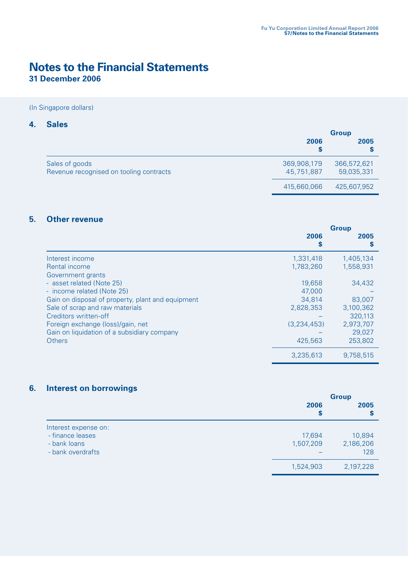#### (In Singapore dollars)

## **4. Sales**

|                                                           |                           | <b>Group</b>              |
|-----------------------------------------------------------|---------------------------|---------------------------|
|                                                           | 2006<br>S                 | 2005                      |
| Sales of goods<br>Revenue recognised on tooling contracts | 369,908,179<br>45,751,887 | 366,572,621<br>59,035,331 |
|                                                           | 415,660,066               | 425,607,952               |

### **5. Other revenue**

|                                                   |               | <b>Group</b> |
|---------------------------------------------------|---------------|--------------|
|                                                   | 2006<br>S     | 2005<br>S    |
| Interest income                                   | 1,331,418     | 1,405,134    |
| Rental income                                     | 1,783,260     | 1,558,931    |
| Government grants                                 |               |              |
| - asset related (Note 25)                         | 19,658        | 34,432       |
| - income related (Note 25)                        | 47,000        |              |
| Gain on disposal of property, plant and equipment | 34,814        | 83,007       |
| Sale of scrap and raw materials                   | 2,828,353     | 3,100,362    |
| Creditors written-off                             |               | 320,113      |
| Foreign exchange (loss)/gain, net                 | (3, 234, 453) | 2,973,707    |
| Gain on liquidation of a subsidiary company       |               | 29,027       |
| Others                                            | 425,563       | 253,802      |
|                                                   | 3,235,613     | 9,758,515    |

## **6. Interest on borrowings**

|                      | <b>Group</b> |           |  |
|----------------------|--------------|-----------|--|
|                      | 2006<br>S    | 2005<br>æ |  |
| Interest expense on: |              |           |  |
| - finance leases     | 17,694       | 10,894    |  |
| - bank loans         | 1,507,209    | 2,186,206 |  |
| - bank overdrafts    |              | 128       |  |
|                      | 1,524,903    | 2,197,228 |  |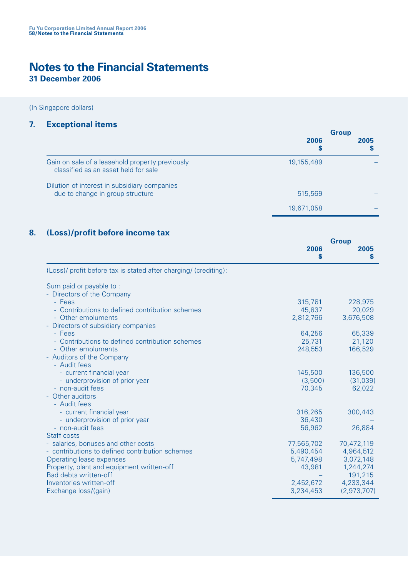(In Singapore dollars)

## **7. Exceptional items**

|                                                                                         | <b>Group</b> |      |  |
|-----------------------------------------------------------------------------------------|--------------|------|--|
|                                                                                         | 2006         | 2005 |  |
| Gain on sale of a leasehold property previously<br>classified as an asset held for sale | 19,155,489   |      |  |
| Dilution of interest in subsidiary companies<br>due to change in group structure        | 515,569      |      |  |
|                                                                                         | 19,671,058   |      |  |

## **8. (Loss)/profit before income tax**

|                                                                  | 2006       | <b>Group</b><br>2005 |
|------------------------------------------------------------------|------------|----------------------|
| (Loss)/ profit before tax is stated after charging/ (crediting): | S          | \$                   |
| Sum paid or payable to:                                          |            |                      |
| - Directors of the Company                                       |            |                      |
| - Fees                                                           | 315,781    | 228,975              |
| - Contributions to defined contribution schemes                  | 45,837     | 20,029               |
| - Other emoluments                                               | 2,812,766  | 3,676,508            |
| - Directors of subsidiary companies                              |            |                      |
| - Fees                                                           | 64,256     | 65,339               |
| - Contributions to defined contribution schemes                  | 25,731     | 21,120               |
| - Other emoluments                                               | 248,553    | 166,529              |
| - Auditors of the Company                                        |            |                      |
| - Audit fees                                                     |            |                      |
| - current financial year                                         | 145,500    | 136,500              |
| - underprovision of prior year                                   | (3,500)    | (31,039)             |
| - non-audit fees                                                 | 70,345     | 62,022               |
| - Other auditors                                                 |            |                      |
| - Audit fees                                                     |            |                      |
| - current financial year                                         | 316,265    | 300,443              |
| - underprovision of prior year                                   | 36,430     |                      |
| - non-audit fees<br>Staff costs                                  | 56,962     | 26,884               |
| - salaries, bonuses and other costs                              | 77,565,702 | 70,472,119           |
| - contributions to defined contribution schemes                  | 5,490,454  | 4,964,512            |
| Operating lease expenses                                         | 5,747,498  | 3,072,148            |
| Property, plant and equipment written-off                        | 43,981     | 1,244,274            |
| Bad debts written-off                                            |            | 191,215              |
| Inventories written-off                                          | 2,452,672  | 4,233,344            |
| Exchange loss/(gain)                                             | 3,234,453  | (2,973,707)          |
|                                                                  |            |                      |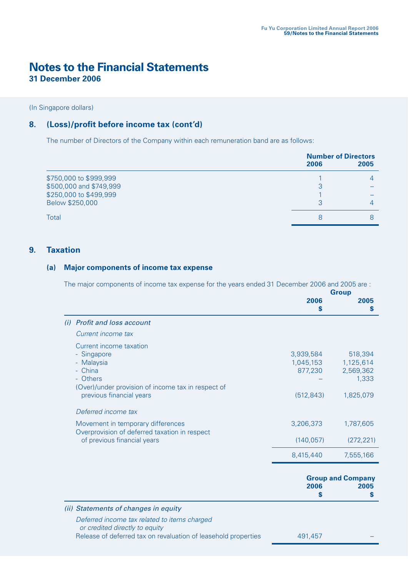(In Singapore dollars)

## **8. (Loss)/profit before income tax (cont'd)**

The number of Directors of the Company within each remuneration band are as follows:

|                         | <b>Number of Directors</b><br>2006 | 2005 |
|-------------------------|------------------------------------|------|
| \$750,000 to \$999,999  |                                    |      |
| \$500,000 and \$749,999 | 3                                  |      |
| \$250,000 to \$499,999  |                                    |      |
| Below \$250,000         | 3                                  |      |
| Total                   |                                    |      |

### **9. Taxation**

### **(a) Major components of income tax expense**

The major components of income tax expense for the years ended 31 December 2006 and 2005 are :

|                                                                                                                                                               | <b>Group</b>                                    |                                                         |
|---------------------------------------------------------------------------------------------------------------------------------------------------------------|-------------------------------------------------|---------------------------------------------------------|
|                                                                                                                                                               | 2006<br>S                                       | 2005<br>S                                               |
| (i) Profit and loss account                                                                                                                                   |                                                 |                                                         |
| Current income tax                                                                                                                                            |                                                 |                                                         |
| Current income taxation<br>- Singapore<br>- Malaysia<br>- China<br>- Others<br>(Over)/under provision of income tax in respect of<br>previous financial years | 3,939,584<br>1,045,153<br>877,230<br>(512, 843) | 518,394<br>1,125,614<br>2,569,362<br>1,333<br>1,825,079 |
| Deferred income tax                                                                                                                                           |                                                 |                                                         |
| Movement in temporary differences<br>Overprovision of deferred taxation in respect                                                                            | 3,206,373                                       | 1,787,605                                               |
| of previous financial years                                                                                                                                   | (140, 057)                                      | (272, 221)                                              |
|                                                                                                                                                               | 8,415,440                                       | 7,555,166                                               |

|                                                                                                                                                  | Group and Company<br>2006 | 2005 |
|--------------------------------------------------------------------------------------------------------------------------------------------------|---------------------------|------|
| (ii) Statements of changes in equity                                                                                                             |                           |      |
| Deferred income tax related to items charged<br>or credited directly to equity<br>Release of deferred tax on revaluation of leasehold properties | 491.457                   |      |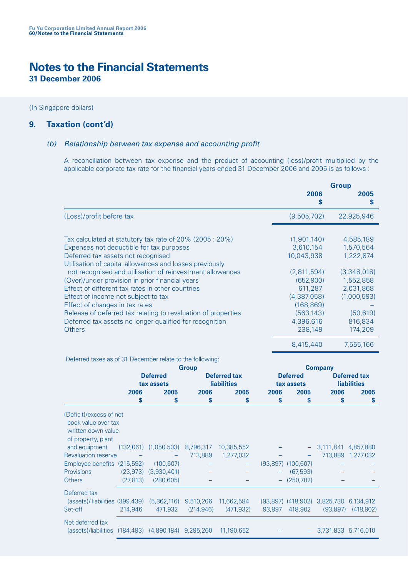(In Singapore dollars)

## **9. Taxation (cont'd)**

#### *(b) Relationship between tax expense and accounting profit*

A reconciliation between tax expense and the product of accounting (loss)/profit multiplied by the applicable corporate tax rate for the financial years ended 31 December 2006 and 2005 is as follows :

|                                                                                                                                                                                                                                                                                                                                                                                                                                                                                                                     | 2006                                                                                                                    | <b>Group</b><br>2005<br>S                                                                                |
|---------------------------------------------------------------------------------------------------------------------------------------------------------------------------------------------------------------------------------------------------------------------------------------------------------------------------------------------------------------------------------------------------------------------------------------------------------------------------------------------------------------------|-------------------------------------------------------------------------------------------------------------------------|----------------------------------------------------------------------------------------------------------|
| (Loss)/profit before tax                                                                                                                                                                                                                                                                                                                                                                                                                                                                                            | (9,505,702)                                                                                                             | 22,925,946                                                                                               |
| Tax calculated at statutory tax rate of 20% (2005 : 20%)<br>Expenses not deductible for tax purposes<br>Deferred tax assets not recognised<br>Utilisation of capital allowances and losses previously<br>not recognised and utilisation of reinvestment allowances<br>(Over)/under provision in prior financial years<br>Effect of different tax rates in other countries<br>Effect of income not subject to tax<br>Effect of changes in tax rates<br>Release of deferred tax relating to revaluation of properties | (1,901,140)<br>3,610,154<br>10,043,938<br>(2,811,594)<br>(652,900)<br>611,287<br>(4,387,058)<br>(168, 869)<br>(563,143) | 4,585,189<br>1,570,564<br>1,222,874<br>(3,348,018)<br>1,552,858<br>2,031,868<br>(1,000,593)<br>(50, 619) |
| Deferred tax assets no longer qualified for recognition<br><b>Others</b>                                                                                                                                                                                                                                                                                                                                                                                                                                            | 4,396,616<br>238,149                                                                                                    | 816,834<br>174,209                                                                                       |
|                                                                                                                                                                                                                                                                                                                                                                                                                                                                                                                     | 8,415,440                                                                                                               | 7,555,166                                                                                                |

Deferred taxes as of 31 December relate to the following:

|                                                                                            |                               | <b>Group</b>                        |                                           |                          |                               | <b>Company</b>         |                                                     |           |  |
|--------------------------------------------------------------------------------------------|-------------------------------|-------------------------------------|-------------------------------------------|--------------------------|-------------------------------|------------------------|-----------------------------------------------------|-----------|--|
|                                                                                            | <b>Deferred</b><br>tax assets |                                     | <b>Deferred tax</b><br><b>liabilities</b> |                          | <b>Deferred</b><br>tax assets |                        | <b>Deferred tax</b><br><b>liabilities</b>           |           |  |
|                                                                                            | 2006                          | 2005                                | 2006                                      | 2005                     | 2006                          | 2005                   | 2006                                                | 2005      |  |
|                                                                                            | \$                            | S                                   | \$                                        | S                        | \$                            | $\mathbf{s}$           | \$                                                  | S         |  |
| (Deficit)/excess of net<br>book value over tax<br>written down value<br>of property, plant |                               |                                     |                                           |                          |                               |                        |                                                     |           |  |
| and equipment                                                                              |                               | $(132,061)$ $(1,050,503)$ 8,796,317 |                                           | 10,385,552               |                               |                        | $-3,111,841$                                        | 4,857,880 |  |
| <b>Revaluation reserve</b>                                                                 |                               |                                     | 713,889                                   | 1,277,032                |                               | $\equiv$               | 713,889                                             | 1,277,032 |  |
| Employee benefits (215,592)                                                                |                               | (100, 607)                          |                                           |                          |                               | $(93,897)$ $(100,607)$ |                                                     |           |  |
| <b>Provisions</b>                                                                          | (23, 973)                     | (3,930,401)                         |                                           |                          |                               | (67, 593)              |                                                     |           |  |
| <b>Others</b>                                                                              | (27, 813)                     | (280, 605)                          |                                           |                          | $\qquad \qquad -$             | (250, 702)             |                                                     |           |  |
| Deferred tax<br>(assets)/liabilities (399,439)<br>Set-off                                  | 214,946                       | (5,362,116)<br>471,932              | 9,510,206<br>(214, 946)                   | 11,662,584<br>(471, 932) | 93,897                        | 418,902                | (93,897) (418,902) 3,825,730 6,134,912<br>(93, 897) | (418,902) |  |
| Net deferred tax<br>(assets)/liabilities                                                   |                               | (184,493) (4,890,184) 9,295,260     |                                           | 11,190,652               |                               |                        | 3,731,833 5,716,010                                 |           |  |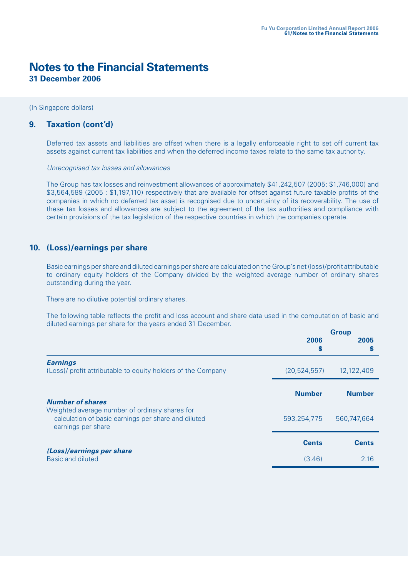(In Singapore dollars)

### **9. Taxation (cont'd)**

Deferred tax assets and liabilities are offset when there is a legally enforceable right to set off current tax assets against current tax liabilities and when the deferred income taxes relate to the same tax authority.

*Unrecognised tax losses and allowances*

The Group has tax losses and reinvestment allowances of approximately \$41,242,507 (2005: \$1,746,000) and \$3,564,589 (2005 : \$1,197,110) respectively that are available for offset against future taxable profits of the companies in which no deferred tax asset is recognised due to uncertainty of its recoverability. The use of these tax losses and allowances are subject to the agreement of the tax authorities and compliance with certain provisions of the tax legislation of the respective countries in which the companies operate.

#### **10. (Loss)/earnings per share**

Basic earnings per share and diluted earnings per share are calculated on the Group's net (loss)/profit attributable to ordinary equity holders of the Company divided by the weighted average number of ordinary shares outstanding during the year.

There are no dilutive potential ordinary shares.

The following table reflects the profit and loss account and share data used in the computation of basic and diluted earnings per share for the years ended 31 December.

|                                                                                                                             | <b>Group</b>   |               |  |
|-----------------------------------------------------------------------------------------------------------------------------|----------------|---------------|--|
|                                                                                                                             | 2006<br>S      | 2005<br>S     |  |
| <b>Earnings</b><br>(Loss)/ profit attributable to equity holders of the Company                                             | (20, 524, 557) | 12,122,409    |  |
| <b>Number of shares</b>                                                                                                     | <b>Number</b>  | <b>Number</b> |  |
| Weighted average number of ordinary shares for<br>calculation of basic earnings per share and diluted<br>earnings per share | 593,254,775    | 560,747,664   |  |
|                                                                                                                             | <b>Cents</b>   | <b>Cents</b>  |  |
| (Loss)/earnings per share<br>Basic and diluted                                                                              | (3.46)         | 2.16          |  |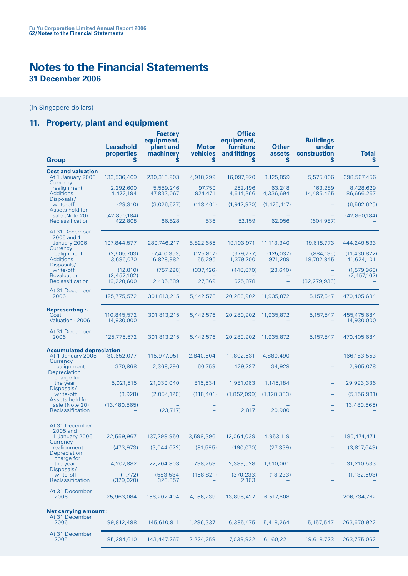(In Singapore dollars)

## **11. Property, plant and equipment**

| <b>Group</b>                                                     | <b>Leasehold</b><br>properties<br>S | <b>Factory</b><br>equipment,<br>plant and<br>machinery<br>S | <b>Motor</b><br>vehicles<br>S | <b>Office</b><br>equipment,<br>furniture<br>and fittings<br>\$ | <b>Other</b><br>assets<br>S | <b>Buildings</b><br>under<br>construction<br>S | <b>Total</b><br>\$           |
|------------------------------------------------------------------|-------------------------------------|-------------------------------------------------------------|-------------------------------|----------------------------------------------------------------|-----------------------------|------------------------------------------------|------------------------------|
| <b>Cost and valuation</b><br>At 1 January 2006                   | 133,536,469                         | 230,313,903                                                 | 4,918,299                     | 16,097,920                                                     | 8,125,859                   | 5,575,006                                      | 398,567,456                  |
| Currency<br>realignment<br><b>Additions</b>                      | 2,292,600<br>14,472,194             | 5,559,246<br>47,833,067                                     | 97,750<br>924,471             | 252,496<br>4,614,366                                           | 63,248<br>4,336,694         | 163,289<br>14,485,465                          | 8,428,629<br>86,666,257      |
| Disposals/<br>write-off<br>Assets held for                       | (29, 310)                           | (3,026,527)                                                 | (118, 401)                    | (1,912,970)                                                    | (1, 475, 417)               |                                                | (6, 562, 625)                |
| sale (Note 20)<br>Reclassification                               | (42, 850, 184)<br>422,808           | 66,528                                                      | 536                           | 52,159                                                         | 62,956                      | (604, 987)                                     | (42, 850, 184)               |
| At 31 December<br>2005 and 1<br>January 2006<br>Currency         | 107,844,577                         | 280,746,217                                                 | 5,822,655                     | 19,103,971                                                     | 11,113,340                  | 19,618,773                                     | 444,249,533                  |
| realignment<br><b>Additions</b>                                  | (2,505,703)<br>3,686,070            | (7, 410, 353)<br>16,828,982                                 | (125, 817)<br>55,295          | (379, 777)<br>1,379,700                                        | (125, 037)<br>971,209       | (884, 135)<br>18,702,845                       | (11, 430, 822)<br>41,624,101 |
| Disposals/<br>write-off<br>Revaluation                           | (12, 810)<br>(2,457,162)            | (757, 220)                                                  | (337, 426)                    | (448, 870)                                                     | (23, 640)                   |                                                | (1.579.966)<br>(2,457,162)   |
| Reclassification                                                 | 19,220,600                          | 12,405,589                                                  | 27,869                        | 625,878                                                        | $\overline{\phantom{m}}$    | (32, 279, 936)                                 |                              |
| At 31 December<br>2006                                           | 125,775,572                         | 301,813,215                                                 | 5,442,576                     | 20,280,902 11,935,872                                          |                             | 5,157,547                                      | 470,405,684                  |
| <b>Representing:-</b><br>Cost<br>Valuation - 2006                | 110,845,572<br>14,930,000           | 301,813,215                                                 | 5,442,576                     | 20,280,902 11,935,872                                          |                             | 5,157,547                                      | 455,475,684<br>14,930,000    |
| At 31 December<br>2006                                           | 125,775,572                         | 301,813,215                                                 | 5,442,576                     | 20,280,902 11,935,872                                          |                             | 5,157,547                                      | 470,405,684                  |
| <b>Accumulated depreciation</b><br>At 1 January 2005<br>Currency | 30,652,077                          | 115,977,951                                                 | 2,840,504                     | 11,802,531                                                     | 4,880,490                   |                                                | 166,153,553                  |
| realignment<br>Depreciation                                      | 370,868                             | 2,368,796                                                   | 60,759                        | 129,727                                                        | 34,928                      |                                                | 2,965,078                    |
| charge for<br>the year<br>Disposals/                             | 5,021,515                           | 21,030,040                                                  | 815,534                       | 1,981,063                                                      | 1,145,184                   |                                                | 29,993,336                   |
| write-off<br>Assets held for                                     | (3,928)                             | (2,054,120)                                                 | (118, 401)                    | (1,852,099)                                                    | (1, 128, 383)               |                                                | (5, 156, 931)                |
| sale (Note 20)<br>Reclassification                               | (13, 480, 565)                      | (23, 717)                                                   |                               | 2,817                                                          | 20,900                      |                                                | (13, 480, 565)               |
| At 31 December<br>2005 and<br>1 January 2006                     | 22,559,967                          | 137,298,950                                                 | 3,598,396                     | 12,064,039                                                     | 4,953,119                   |                                                | 180,474,471                  |
| Currency<br>realignment<br>Depreciation                          | (473, 973)                          | (3,044,672)                                                 | (81, 595)                     | (190, 070)                                                     | (27, 339)                   |                                                | (3,817,649)                  |
| charge for<br>the year                                           | 4,207,882                           | 22,204,803                                                  | 798,259                       | 2,389,528                                                      | 1,610,061                   |                                                | 31,210,533                   |
| Disposals/<br>write-off<br>Reclassification                      | (1,772)<br>(329, 020)               | (583, 534)<br>326,857                                       | (158, 821)                    | (370, 233)<br>2,163                                            | (18, 233)                   |                                                | (1, 132, 593)                |
| At 31 December<br>2006                                           | 25,963,084                          | 156,202,404                                                 | 4,156,239                     | 13,895,427                                                     | 6,517,608                   |                                                | 206,734,762                  |
| <b>Net carrying amount:</b><br>At 31 December                    |                                     |                                                             |                               |                                                                |                             |                                                |                              |
| 2006                                                             | 99,812,488                          | 145,610,811                                                 | 1,286,337                     | 6,385,475                                                      | 5,418,264                   | 5,157,547                                      | 263,670,922                  |
| At 31 December<br>2005                                           | 85,284,610                          | 143,447,267                                                 | 2,224,259                     | 7,039,932                                                      | 6,160,221                   | 19,618,773                                     | 263,775,062                  |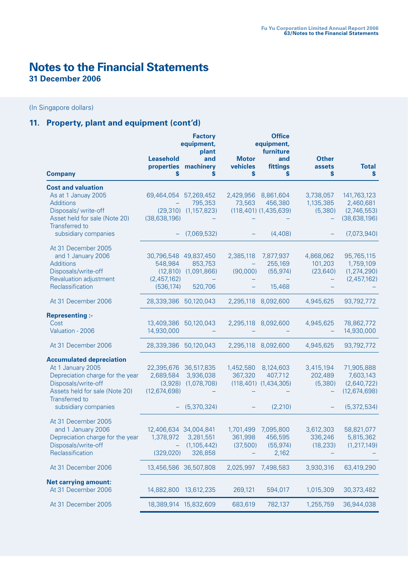#### (In Singapore dollars)

## **11. Property, plant and equipment (cont'd)**

|                                                  |                        | <b>Factory</b><br>equipment,<br>plant |                                | <b>Office</b><br>equipment,<br>furniture |                                        |                    |
|--------------------------------------------------|------------------------|---------------------------------------|--------------------------------|------------------------------------------|----------------------------------------|--------------------|
| <b>Company</b>                                   | <b>Leasehold</b><br>\$ | and<br>properties machinery<br>\$     | <b>Motor</b><br>vehicles<br>\$ | and<br>fittings<br>S                     | <b>Other</b><br>assets<br>$\mathbf{s}$ | <b>Total</b><br>\$ |
| <b>Cost and valuation</b>                        |                        |                                       |                                |                                          |                                        |                    |
| As at 1 Januay 2005                              | 69,464,054 57,269,452  |                                       |                                | 2,429,956 8,861,604                      | 3,738,057                              | 141,763,123        |
| <b>Additions</b>                                 |                        | 795,353                               | 73,563                         | 456,380                                  | 1,135,385                              | 2,460,681          |
| Disposals/write-off                              |                        | $(29,310)$ $(1,157,823)$              |                                | $(118,401)$ $(1,435,639)$                | (5,380)                                | (2,746,553)        |
| Asset held for sale (Note 20)<br>Transferred to  | (38, 638, 196)         |                                       |                                |                                          |                                        | (38, 638, 196)     |
| subsidiary companies                             |                        | (7,069,532)                           |                                | (4, 408)                                 |                                        | (7,073,940)        |
| At 31 December 2005                              |                        |                                       |                                |                                          |                                        |                    |
| and 1 January 2006                               | 30,796,548 49,837,450  |                                       | 2,385,118                      | 7,877,937                                | 4,868,062                              | 95,765,115         |
| <b>Additions</b>                                 | 548,984                | 853,753                               |                                | 255,169                                  | 101,203                                | 1,759,109          |
| Disposals/write-off                              |                        | $(12,810)$ $(1,091,866)$              | (90,000)                       | (55, 974)                                | (23, 640)                              | (1, 274, 290)      |
| Revaluation adjustment                           | (2,457,162)            |                                       |                                |                                          |                                        | (2,457,162)        |
| Reclassification                                 | (536, 174)             | 520,706                               |                                | 15,468                                   |                                        |                    |
| At 31 December 2006                              | 28,339,386 50,120,043  |                                       |                                | 2,295,118 8,092,600                      | 4,945,625                              | 93,792,772         |
| <b>Representing:-</b>                            |                        |                                       |                                |                                          |                                        |                    |
| Cost                                             | 13,409,386 50,120,043  |                                       |                                | 2,295,118 8,092,600                      | 4,945,625                              | 78,862,772         |
| Valuation - 2006                                 | 14,930,000             |                                       |                                |                                          |                                        | 14,930,000         |
| At 31 December 2006                              | 28,339,386 50,120,043  |                                       |                                | 2,295,118 8,092,600                      | 4,945,625                              | 93,792,772         |
| <b>Accumulated depreciation</b>                  |                        |                                       |                                |                                          |                                        |                    |
| At 1 January 2005                                | 22,395,676 36,517,835  |                                       | 1,452,580                      | 8,124,603                                | 3,415,194                              | 71,905,888         |
| Depreciation charge for the year                 | 2,689,584              | 3,936,038                             | 367,320                        | 407,712                                  | 202,489                                | 7,603,143          |
| Disposals/write-off                              |                        | $(3,928)$ $(1,078,708)$               |                                | $(118,401)$ $(1,434,305)$                | (5,380)                                | (2,640,722)        |
| Assets held for sale (Note 20)<br>Transferred to | (12,674,698)           |                                       |                                |                                          |                                        | (12,674,698)       |
| subsidiary companies                             |                        | (5,370,324)                           |                                | (2, 210)                                 |                                        | (5,372,534)        |
| At 31 December 2005                              |                        |                                       |                                |                                          |                                        |                    |
| and 1 January 2006                               | 12,406,634 34,004,841  |                                       | 1,701,499                      | 7,095,800                                | 3,612,303                              | 58,821,077         |
| Depreciation charge for the year                 | 1,378,972              | 3,281,551                             | 361,998                        | 456,595                                  | 336,246                                | 5,815,362          |
| Disposals/write-off                              |                        | (1, 105, 442)                         | (37,500)                       | (55, 974)                                | (18, 233)                              | (1, 217, 149)      |
| Reclassification                                 | (329, 020)             | 326,858                               |                                | 2,162                                    |                                        |                    |
| At 31 December 2006                              | 13,456,586 36,507,808  |                                       | 2,025,997                      | 7,498,583                                | 3,930,316                              | 63,419,290         |
| <b>Net carrying amount:</b>                      |                        |                                       |                                |                                          |                                        |                    |
| At 31 December 2006                              | 14,882,800             | 13,612,235                            | 269,121                        | 594,017                                  | 1,015,309                              | 30,373,482         |
| At 31 December 2005                              |                        | 18,389,914 15,832,609                 | 683,619                        | 782,137                                  | 1,255,759                              | 36,944,038         |
|                                                  |                        |                                       |                                |                                          |                                        |                    |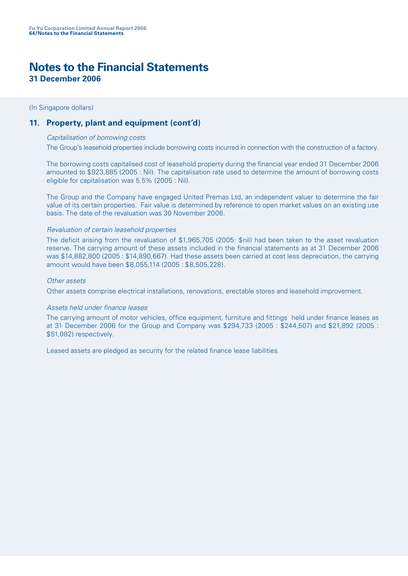#### (In Singapore dollars)

### **11. Property, plant and equipment (cont'd)**

#### *Capitalisation of borrowing costs*

The Group's leasehold properties include borrowing costs incurred in connection with the construction of a factory.

The borrowing costs capitalised cost of leasehold property during the financial year ended 31 December 2006 amounted to \$923,885 (2005 : Nil). The capitalisation rate used to determine the amount of borrowing costs eligible for capitalisation was 5.5% (2005 : Nil).

The Group and the Company have engaged United Premas Ltd, an independent valuer to determine the fair value of its certain properties. Fair value is determined by reference to open market values on an existing use basis. The date of the revaluation was 30 November 2006.

#### *Revaluation of certain leasehold properties*

The deficit arising from the revaluation of \$1,965,705 (2005: \$nil) had been taken to the asset revaluation reserve. The carrying amount of these assets included in the financial statements as at 31 December 2006 was \$14,882,800 (2005 : \$14,890,667). Had these assets been carried at cost less depreciation, the carrying amount would have been \$8,055,114 (2005 : \$8,505,228).

#### *Other assets*

Other assets comprise electrical installations, renovations, erectable stores and leasehold improvement.

#### *Assets held under finance leases*

The carrying amount of motor vehicles, office equipment, furniture and fittings held under finance leases as at 31 December 2006 for the Group and Company was \$294,733 (2005 : \$244,507) and \$21,892 (2005 : \$51,082) respectively.

Leased assets are pledged as security for the related finance lease liabilities.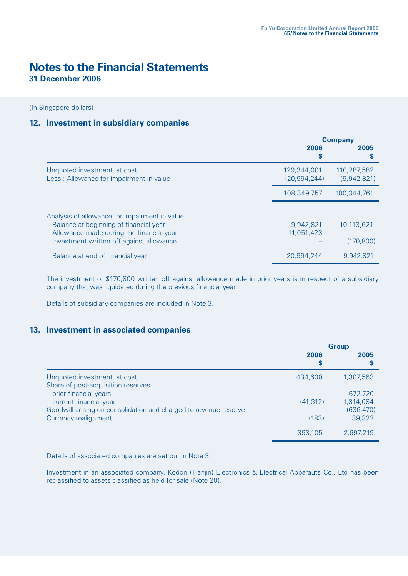(In Singapore dollars)

### **12. Investment in subsidiary companies**

|                                                                                                                                                                                   | <b>Company</b>                |                            |  |
|-----------------------------------------------------------------------------------------------------------------------------------------------------------------------------------|-------------------------------|----------------------------|--|
|                                                                                                                                                                                   | 2006<br>S                     | 2005<br>S                  |  |
| Unquoted investment, at cost<br>Less : Allowance for impairment in value                                                                                                          | 129,344,001<br>(20, 994, 244) | 110,287,582<br>(9,942,821) |  |
|                                                                                                                                                                                   | 108.349.757                   | 100.344.761                |  |
| Analysis of allowance for impairment in value :<br>Balance at beginning of financial year<br>Allowance made during the financial year<br>Investment written off against allowance | 9,942,821<br>11,051,423       | 10,113,621<br>(170.800)    |  |
| Balance at end of financial year                                                                                                                                                  | 20.994.244                    | 9.942.821                  |  |

The investment of \$170,800 written off against allowance made in prior years is in respect of a subsidiary company that was liquidated during the previous financial year.

Details of subsidiary companies are included in Note 3.

### **13. Investment in associated companies**

|                                                                                          | <b>Group</b> |                      |
|------------------------------------------------------------------------------------------|--------------|----------------------|
|                                                                                          | 2006<br>S    | 2005<br>S            |
| Unquoted investment, at cost<br>Share of post-acquisition reserves                       | 434,600      | 1,307,563            |
| - prior financial years<br>- current financial year                                      | (41, 312)    | 672,720<br>1,314,084 |
| Goodwill arising on consolidation and charged to revenue reserve<br>Currency realignment | (183)        | (636, 470)<br>39,322 |
|                                                                                          | 393,105      | 2,697,219            |

Details of associated companies are set out in Note 3.

Investment in an associated company, Kodon (Tianjin) Electronics & Electrical Apparauts Co., Ltd has been reclassified to assets classified as held for sale (Note 20).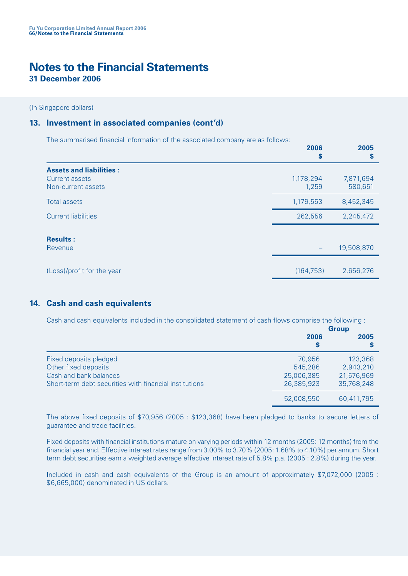(In Singapore dollars)

### **13. Investment in associated companies (cont'd)**

The summarised financial information of the associated company are as follows:

|                                | 2006<br>S  | 2005<br>S  |
|--------------------------------|------------|------------|
| <b>Assets and liabilities:</b> |            |            |
| Current assets                 | 1,178,294  | 7,871,694  |
| Non-current assets             | 1,259      | 580,651    |
| <b>Total assets</b>            | 1,179,553  | 8,452,345  |
| <b>Current liabilities</b>     | 262,556    | 2,245,472  |
| <b>Results:</b>                |            |            |
| Revenue                        |            | 19,508,870 |
|                                |            |            |
| (Loss)/profit for the year     | (164, 753) | 2,656,276  |

### **14. Cash and cash equivalents**

Cash and cash equivalents included in the consolidated statement of cash flows comprise the following :

|                                                                                                                                    |                                               | <b>Group</b>                                     |  |  |
|------------------------------------------------------------------------------------------------------------------------------------|-----------------------------------------------|--------------------------------------------------|--|--|
|                                                                                                                                    | 2006<br>S                                     | 2005                                             |  |  |
| Fixed deposits pledged<br>Other fixed deposits<br>Cash and bank balances<br>Short-term debt securities with financial institutions | 70.956<br>545,286<br>25,006,385<br>26,385,923 | 123,368<br>2,943,210<br>21,576,969<br>35,768,248 |  |  |
|                                                                                                                                    | 52,008,550                                    | 60,411,795                                       |  |  |

The above fixed deposits of \$70,956 (2005 : \$123,368) have been pledged to banks to secure letters of guarantee and trade facilities. 

Fixed deposits with financial institutions mature on varying periods within 12 months (2005: 12 months) from the financial year end. Effective interest rates range from 3.00% to 3.70% (2005: 1.68% to 4.10%) per annum. Short term debt securities earn a weighted average effective interest rate of 5.8% p.a. (2005 : 2.8%) during the year.

Included in cash and cash equivalents of the Group is an amount of approximately \$7,072,000 (2005 : \$6,665,000) denominated in US dollars.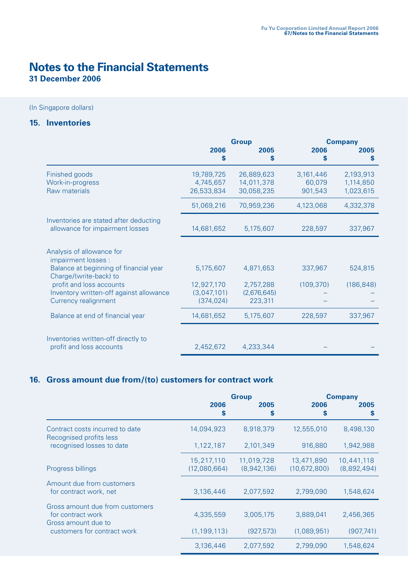(In Singapore dollars)

### **15. Inventories**

|                                                                                             | <b>Group</b>                            |                                        |                                | <b>Company</b>                      |
|---------------------------------------------------------------------------------------------|-----------------------------------------|----------------------------------------|--------------------------------|-------------------------------------|
|                                                                                             | 2006<br>S                               | 2005<br>S                              | 2006<br>S                      | 2005<br>S                           |
| Finished goods<br>Work-in-progress<br>Raw materials                                         | 19,789,725<br>4,745,657<br>26,533,834   | 26,889,623<br>14,011,378<br>30,058,235 | 3,161,446<br>60,079<br>901,543 | 2,193,913<br>1,114,850<br>1,023,615 |
|                                                                                             | 51,069,216                              | 70,959,236                             | 4,123,068                      | 4,332,378                           |
| Inventories are stated after deducting<br>allowance for impairment losses                   | 14,681,652                              | 5,175,607                              | 228,597                        | 337,967                             |
| Analysis of allowance for<br>impairment losses :                                            |                                         |                                        |                                |                                     |
| Balance at beginning of financial year<br>Charge/(write-back) to                            | 5,175,607                               | 4,871,653                              | 337,967                        | 524,815                             |
| profit and loss accounts<br>Inventory written-off against allowance<br>Currency realignment | 12,927,170<br>(3,047,101)<br>(374, 024) | 2,757,288<br>(2,676,645)<br>223,311    | (109, 370)                     | (186, 848)                          |
| Balance at end of financial year                                                            | 14,681,652                              | 5,175,607                              | 228,597                        | 337,967                             |
| Inventories written-off directly to<br>profit and loss accounts                             | 2,452,672                               | 4,233,344                              |                                |                                     |

## **16. Gross amount due from/(to) customers for contract work**

|                                                            | <b>Group</b>               |                           |                              | <b>Company</b>            |
|------------------------------------------------------------|----------------------------|---------------------------|------------------------------|---------------------------|
|                                                            | 2006<br>S                  | 2005<br>S                 | 2006<br>S                    | 2005<br>S                 |
| Contract costs incurred to date<br>Recognised profits less | 14,094,923                 | 8,918,379                 | 12,555,010                   | 8,498,130                 |
| recognised losses to date                                  | 1,122,187                  | 2,101,349                 | 916,880                      | 1,942,988                 |
| Progress billings                                          | 15,217,110<br>(12,080,664) | 11,019,728<br>(8,942,136) | 13,471,890<br>(10, 672, 800) | 10,441,118<br>(8,892,494) |
| Amount due from customers<br>for contract work, net        | 3,136,446                  | 2,077,592                 | 2,799,090                    | 1,548,624                 |
| Gross amount due from customers<br>for contract work       | 4,335,559                  | 3,005,175                 | 3,889,041                    | 2,456,365                 |
| Gross amount due to<br>customers for contract work         | (1, 199, 113)              | (927, 573)                | (1,089,951)                  | (907, 741)                |
|                                                            | 3,136,446                  | 2,077,592                 | 2,799,090                    | 1,548,624                 |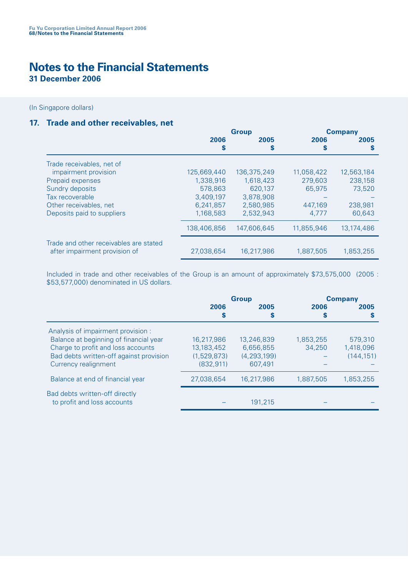(In Singapore dollars)

## **17. Trade and other receivables, net**

|                                                                         | <b>Group</b> |             |            | <b>Company</b> |
|-------------------------------------------------------------------------|--------------|-------------|------------|----------------|
|                                                                         | 2006         | 2005        | 2006       | 2005           |
|                                                                         | S            | S           | S          | S              |
| Trade receivables, net of                                               |              |             |            |                |
| impairment provision                                                    | 125.669.440  | 136.375.249 | 11,058,422 | 12,563,184     |
| Prepaid expenses                                                        | 1,338,916    | 1,618,423   | 279,603    | 238,158        |
| Sundry deposits                                                         | 578,863      | 620.137     | 65,975     | 73.520         |
| Tax recoverable                                                         | 3,409,197    | 3,878,908   |            |                |
| Other receivables, net                                                  | 6,241,857    | 2,580,985   | 447.169    | 238,981        |
| Deposits paid to suppliers                                              | 1.168.583    | 2.532.943   | 4.777      | 60.643         |
|                                                                         | 138,406,856  | 147,606,645 | 11.855.946 | 13,174,486     |
| Trade and other receivables are stated<br>after impairment provision of | 27,038,654   | 16,217,986  | 1,887,505  | 1,853,255      |

Included in trade and other receivables of the Group is an amount of approximately \$73,575,000 (2005 : \$53,577,000) denominated in US dollars.

|                                                                                                                                                                                       | <b>Group</b>                                          |                                                     | <b>Company</b>      |                                    |
|---------------------------------------------------------------------------------------------------------------------------------------------------------------------------------------|-------------------------------------------------------|-----------------------------------------------------|---------------------|------------------------------------|
|                                                                                                                                                                                       | 2006<br>S                                             | 2005<br>S                                           | 2006<br>S           | 2005<br>S                          |
| Analysis of impairment provision :<br>Balance at beginning of financial year<br>Charge to profit and loss accounts<br>Bad debts written-off against provision<br>Currency realignment | 16,217,986<br>13,183,452<br>(1,529,873)<br>(832, 911) | 13,246,839<br>6,656,855<br>(4, 293, 199)<br>607,491 | 1,853,255<br>34,250 | 579,310<br>1,418,096<br>(144, 151) |
| Balance at end of financial year                                                                                                                                                      | 27,038,654                                            | 16,217,986                                          | 1,887,505           | 1.853.255                          |
| Bad debts written-off directly<br>to profit and loss accounts                                                                                                                         |                                                       | 191.215                                             |                     |                                    |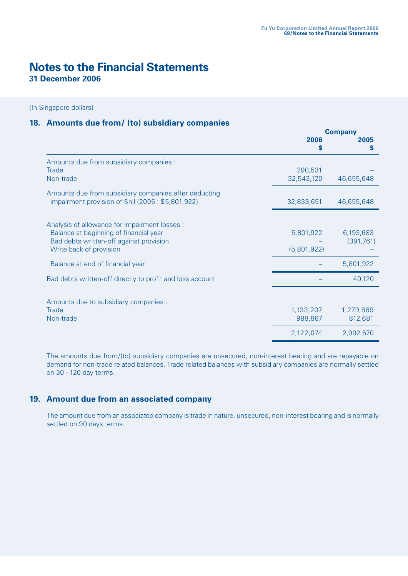(In Singapore dollars)

### **18. Amounts due from/ (to) subsidiary companies**

|                                                                                                                                                               | <b>Company</b>                    |                                   |
|---------------------------------------------------------------------------------------------------------------------------------------------------------------|-----------------------------------|-----------------------------------|
|                                                                                                                                                               | 2006<br>S                         | 2005<br>S                         |
| Amounts due from subsidiary companies :<br>Trade<br>Non-trade                                                                                                 | 290,531<br>32,543,120             | 46,655,648                        |
| Amounts due from subsidiary companies after deducting<br>impairment provision of \$nil (2005: \$5,801,922)                                                    | 32,833,651                        | 46,655,648                        |
| Analysis of allowance for impairment losses :<br>Balance at beginning of financial year<br>Bad debts written-off against provision<br>Write back of provision | 5,801,922<br>(5,801,922)          | 6,193,683<br>(391, 761)           |
| Balance at end of financial year                                                                                                                              |                                   | 5,801,922                         |
| Bad debts written-off directly to profit and loss account                                                                                                     |                                   | 40,120                            |
| Amounts due to subsidiary companies :<br>Trade<br>Non-trade                                                                                                   | 1,133,207<br>988,867<br>2,122,074 | 1,279,889<br>812,681<br>2,092,570 |

The amounts due from/(to) subsidiary companies are unsecured, non-interest bearing and are repayable on demand for non-trade related balances. Trade related balances with subsidiary companies are normally settled on 30 - 120 day terms.

### **19. Amount due from an associated company**

The amount due from an associated company is trade in nature, unsecured, non-interest bearing and is normally settled on 90 days terms.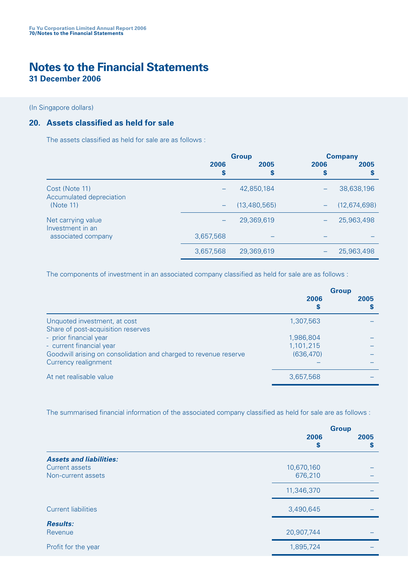(In Singapore dollars)

### **20. Assets classified as held for sale**

The assets classified as held for sale are as follows :

|                                            | <b>Group</b> |                | <b>Company</b> |                |
|--------------------------------------------|--------------|----------------|----------------|----------------|
|                                            | 2006<br>S    | 2005<br>S      | 2006<br>S      | 2005<br>S      |
| Cost (Note 11)<br>Accumulated depreciation |              | 42,850,184     |                | 38,638,196     |
| (Note 11)                                  | -            | (13, 480, 565) |                | (12, 674, 698) |
| Net carrying value<br>Investment in an     |              | 29,369,619     |                | 25,963,498     |
| associated company                         | 3,657,568    |                |                |                |
|                                            | 3,657,568    | 29,369,619     |                | 25,963,498     |

The components of investment in an associated company classified as held for sale are as follows :

|                                                                    |            | <b>Group</b> |  |  |
|--------------------------------------------------------------------|------------|--------------|--|--|
|                                                                    | 2006<br>S  | 2005         |  |  |
| Unquoted investment, at cost<br>Share of post-acquisition reserves | 1,307,563  |              |  |  |
| - prior financial year                                             | 1,986,804  |              |  |  |
| - current financial year                                           | 1,101,215  |              |  |  |
| Goodwill arising on consolidation and charged to revenue reserve   | (636, 470) |              |  |  |
| <b>Currency realignment</b>                                        |            |              |  |  |
| At net realisable value                                            | 3,657,568  |              |  |  |
|                                                                    |            |              |  |  |

The summarised financial information of the associated company classified as held for sale are as follows :

|                                | <b>Group</b>     |           |  |
|--------------------------------|------------------|-----------|--|
|                                | 2006<br><b>S</b> | 2005<br>S |  |
| <b>Assets and liabilities:</b> |                  |           |  |
| Current assets                 | 10,670,160       |           |  |
| Non-current assets             | 676,210          |           |  |
|                                | 11,346,370       |           |  |
| <b>Current liabilities</b>     | 3,490,645        |           |  |
| <b>Results:</b>                |                  |           |  |
| Revenue                        | 20,907,744       |           |  |
| Profit for the year            | 1,895,724        |           |  |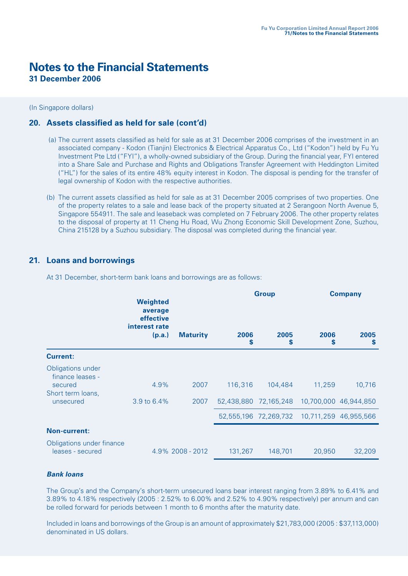(In Singapore dollars)

## **20. Assets classified as held for sale (cont'd)**

- (a) The current assets classified as held for sale as at 31 December 2006 comprises of the investment in an associated company - Kodon (Tianjin) Electronics & Electrical Apparatus Co., Ltd ("Kodon") held by Fu Yu Investment Pte Ltd ("FYI"), a wholly-owned subsidiary of the Group. During the financial year, FYI entered into a Share Sale and Purchase and Rights and Obligations Transfer Agreement with Heddington Limited ("HL") for the sales of its entire 48% equity interest in Kodon. The disposal is pending for the transfer of legal ownership of Kodon with the respective authorities.
- (b) The current assets classified as held for sale as at 31 December 2005 comprises of two properties. One of the property relates to a sale and lease back of the property situated at 2 Serangoon North Avenue 5, Singapore 554911. The sale and leaseback was completed on 7 February 2006. The other property relates to the disposal of property at 11 Cheng Hu Road, Wu Zhong Economic Skill Development Zone, Suzhou, China 215128 by a Suzhou subsidiary. The disposal was completed during the financial year.

### **21. Loans and borrowings**

At 31 December, short-term bank loans and borrowings are as follows:

|                                               | Weighted<br>average<br>effective<br>interest rate |                  |            | <b>Group</b>          |           | <b>Company</b>        |
|-----------------------------------------------|---------------------------------------------------|------------------|------------|-----------------------|-----------|-----------------------|
|                                               | (p.a.)                                            | <b>Maturity</b>  | 2006<br>\$ | 2005<br>S             | 2006<br>S | 2005<br>S             |
| <b>Current:</b>                               |                                                   |                  |            |                       |           |                       |
| Obligations under<br>finance leases -         |                                                   |                  |            |                       |           |                       |
| secured<br>Short term loans,                  | 4.9%                                              | 2007             | 116,316    | 104,484               | 11,259    | 10,716                |
| unsecured                                     | 3.9 to $6.4\%$                                    | 2007             | 52,438,880 | 72,165,248            |           | 10,700,000 46,944,850 |
|                                               |                                                   |                  |            | 52,555,196 72,269,732 |           | 10,711,259 46,955,566 |
| Non-current:                                  |                                                   |                  |            |                       |           |                       |
| Obligations under finance<br>leases - secured |                                                   | 4.9% 2008 - 2012 | 131,267    | 148,701               | 20,950    | 32,209                |

### *Bank loans*

The Group's and the Company's short-term unsecured loans bear interest ranging from 3.89% to 6.41% and 3.89% to 4.18% respectively (2005 : 2.52% to 6.00% and 2.52% to 4.90% respectively) per annum and can be rolled forward for periods between 1 month to 6 months after the maturity date.

Included in loans and borrowings of the Group is an amount of approximately \$21,783,000 (2005 : \$37,113,000) denominated in US dollars.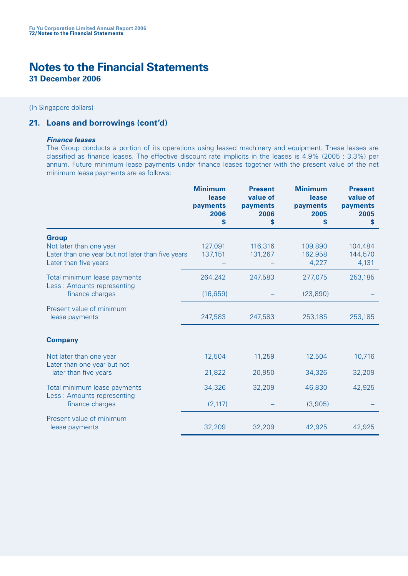(In Singapore dollars)

### **21. Loans and borrowings (cont'd)**

#### *Finance leases*

The Group conducts a portion of its operations using leased machinery and equipment. These leases are classified as finance leases. The effective discount rate implicits in the leases is 4.9% (2005 : 3.3%) per annum. Future minimum lease payments under finance leases together with the present value of the net minimum lease payments are as follows:

|                                                                                                                       | <b>Minimum</b><br>lease<br>payments<br>2006<br>S | <b>Present</b><br>value of<br>payments<br>2006<br>S | <b>Minimum</b><br>lease<br>payments<br>2005<br>S | <b>Present</b><br>value of<br>payments<br>2005<br>\$ |
|-----------------------------------------------------------------------------------------------------------------------|--------------------------------------------------|-----------------------------------------------------|--------------------------------------------------|------------------------------------------------------|
| <b>Group</b><br>Not later than one year<br>Later than one year but not later than five years<br>Later than five years | 127,091<br>137,151                               | 116,316<br>131,267                                  | 109,890<br>162,958<br>4,227                      | 104,484<br>144,570<br>4,131                          |
| Total minimum lease payments<br>Less: Amounts representing<br>finance charges                                         | 264,242<br>(16, 659)                             | 247,583                                             | 277,075<br>(23,890)                              | 253,185                                              |
| Present value of minimum<br>lease payments                                                                            | 247,583                                          | 247,583                                             | 253,185                                          | 253,185                                              |
| <b>Company</b>                                                                                                        |                                                  |                                                     |                                                  |                                                      |
| Not later than one year<br>Later than one year but not                                                                | 12,504                                           | 11,259                                              | 12,504                                           | 10,716                                               |
| later than five years                                                                                                 | 21,822                                           | 20,950                                              | 34,326                                           | 32,209                                               |
| Total minimum lease payments<br>Less: Amounts representing                                                            | 34,326                                           | 32,209                                              | 46,830                                           | 42,925                                               |
| finance charges                                                                                                       | (2, 117)                                         |                                                     | (3,905)                                          |                                                      |
| Present value of minimum<br>lease payments                                                                            | 32,209                                           | 32,209                                              | 42,925                                           | 42,925                                               |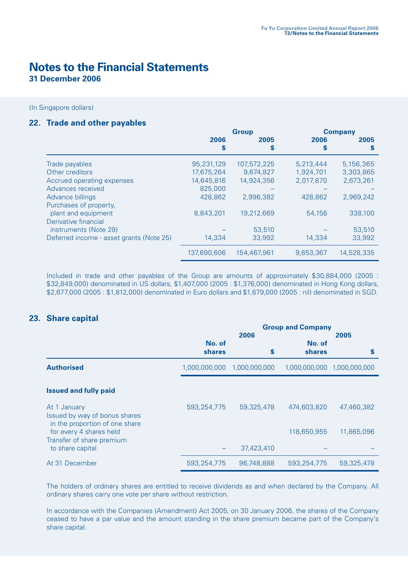(In Singapore dollars)

### **22. Trade and other payables**

|                                                                   | <b>Group</b>             |                          |                        | <b>Company</b>         |
|-------------------------------------------------------------------|--------------------------|--------------------------|------------------------|------------------------|
|                                                                   | 2006<br>S                | 2005<br>S                | 2006<br>S              | 2005<br>S              |
| Trade payables<br>Other creditors                                 | 95,231,129<br>17,675,264 | 107,572,225<br>9,674,827 | 5,213,444<br>1,924,701 | 5,156,365<br>3.303.865 |
| Accrued operating expenses<br>Advances received                   | 14,645,816<br>825,000    | 14,924,356               | 2,017,870              | 2,673,261              |
| Advance billings<br>Purchases of property,                        | 428,862                  | 2,996,382                | 428,862                | 2,969,242              |
| plant and equipment<br>Derivative financial                       | 8,843,201                | 19,212,669               | 54.156                 | 338,100                |
| instruments (Note 29)<br>Deferred income - asset grants (Note 25) | 14,334                   | 53,510<br>33,992         | 14,334                 | 53,510<br>33,992       |
|                                                                   | 137,690,606              | 154,467,961              | 9,653,367              | 14,528,335             |

Included in trade and other payables of the Group are amounts of approximately \$30,884,000 (2005 : \$32,849,000) denominated in US dollars, \$1,407,000 (2005 : \$1,376,000) denominated in Hong Kong dollars, \$2,677,000 (2005 : \$1,812,000) denominated in Euro dollars and \$1,679,000 (2005 : nil) denominated in SGD.

## **23. Share capital**

|                                                                                 | <b>Group and Company</b> |               |                         |                             |
|---------------------------------------------------------------------------------|--------------------------|---------------|-------------------------|-----------------------------|
|                                                                                 |                          | 2006          |                         | 2005                        |
|                                                                                 | No. of<br><b>shares</b>  | \$            | No. of<br><b>shares</b> | S                           |
| <b>Authorised</b>                                                               | 1,000,000,000            | 1,000,000,000 |                         | 1,000,000,000 1,000,000,000 |
| <b>Issued and fully paid</b>                                                    |                          |               |                         |                             |
| At 1 January<br>Issued by way of bonus shares<br>in the proportion of one share | 593,254,775              | 59,325,478    | 474,603,820             | 47,460,382                  |
| for every 4 shares held<br>Transfer of share premium                            |                          |               | 118,650,955             | 11,865,096                  |
| to share capital                                                                |                          | 37,423,410    |                         |                             |
| At 31 December                                                                  | 593,254,775              | 96,748,888    | 593,254,775             | 59,325,478                  |

The holders of ordinary shares are entitled to receive dividends as and when declared by the Company. All ordinary shares carry one vote per share without restriction.

In accordance with the Companies (Amendment) Act 2005, on 30 January 2006, the shares of the Company ceased to have a par value and the amount standing in the share premium became part of the Company's share capital.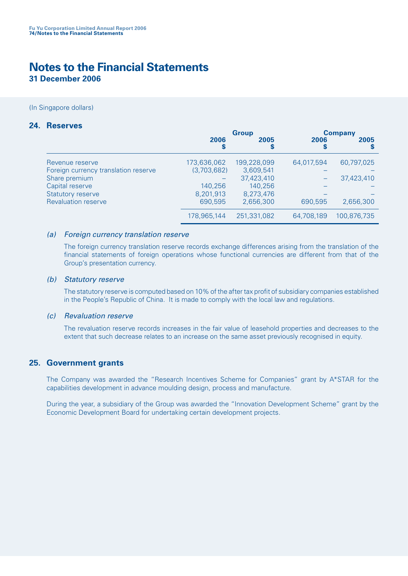(In Singapore dollars)

### **24. Reserves**

|                                                         | <b>Group</b>               |                          |            |             | <b>Company</b> |
|---------------------------------------------------------|----------------------------|--------------------------|------------|-------------|----------------|
|                                                         | 2006                       | 2005<br>S                | 2006       | 2005        |                |
| Revenue reserve<br>Foreign currency translation reserve | 173,636,062<br>(3,703,682) | 199,228,099<br>3,609,541 | 64,017,594 | 60,797,025  |                |
| Share premium                                           |                            | 37,423,410               |            | 37,423,410  |                |
| Capital reserve<br><b>Statutory reserve</b>             | 140,256<br>8,201,913       | 140,256<br>8,273,476     |            |             |                |
| <b>Revaluation reserve</b>                              | 690,595                    | 2,656,300                | 690,595    | 2,656,300   |                |
|                                                         | 178,965,144                | 251,331,082              | 64,708,189 | 100,876,735 |                |

#### *(a) Foreign currency translation reserve*

The foreign currency translation reserve records exchange differences arising from the translation of the financial statements of foreign operations whose functional currencies are different from that of the Group's presentation currency.

#### *(b) Statutory reserve*

The statutory reserve is computed based on 10% of the after tax profit of subsidiary companies established in the People's Republic of China. It is made to comply with the local law and regulations.

#### *(c) Revaluation reserve*

The revaluation reserve records increases in the fair value of leasehold properties and decreases to the extent that such decrease relates to an increase on the same asset previously recognised in equity.

### **25. Government grants**

The Company was awarded the "Research Incentives Scheme for Companies" grant by A\*STAR for the capabilities development in advance moulding design, process and manufacture.

During the year, a subsidiary of the Group was awarded the "Innovation Development Scheme" grant by the Economic Development Board for undertaking certain development projects.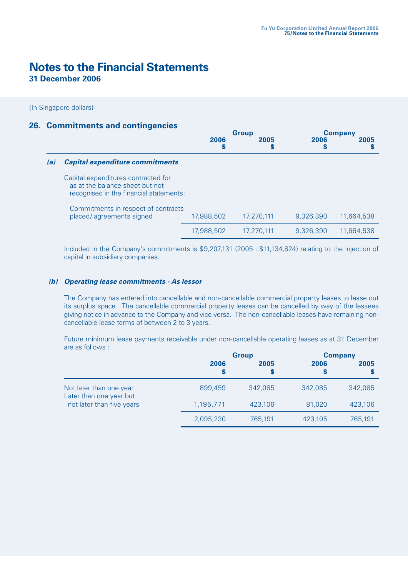(In Singapore dollars)

# **26. Commitments and contingencies**

|     |                                                                                                                   |                  |            | <b>Group</b> |            |  | <b>Company</b> |
|-----|-------------------------------------------------------------------------------------------------------------------|------------------|------------|--------------|------------|--|----------------|
|     |                                                                                                                   | 2006<br><b>S</b> | 2005<br>S  | 2006<br>S    | 2005<br>S  |  |                |
| (a) | <b>Capital expenditure commitments</b>                                                                            |                  |            |              |            |  |                |
|     | Capital expenditures contracted for<br>as at the balance sheet but not<br>recognised in the financial statements: |                  |            |              |            |  |                |
|     | Commitments in respect of contracts<br>placed/agreements signed                                                   | 17,988,502       | 17,270,111 | 9,326,390    | 11,664,538 |  |                |
|     |                                                                                                                   | 17,988,502       | 17,270,111 | 9,326,390    | 11.664.538 |  |                |

Included in the Company's commitments is \$9,207,131 (2005 : \$11,134,824) relating to the injection of capital in subsidiary companies.

### *(b) Operating lease commitments - As lessor*

The Company has entered into cancellable and non-cancellable commercial property leases to lease out its surplus space. The cancellable commercial property leases can be cancelled by way of the lessees giving notice in advance to the Company and vice versa. The non-cancellable leases have remaining noncancellable lease terms of between 2 to 3 years.

Future minimum lease payments receivable under non-cancellable operating leases as at 31 December are as follows :

|                                                    |           | <b>Group</b>     | <b>Company</b> |         |
|----------------------------------------------------|-----------|------------------|----------------|---------|
|                                                    | 2006<br>S | 2005<br><b>S</b> | 2006           | 2005    |
| Not later than one year<br>Later than one year but | 899,459   | 342,085          | 342.085        | 342,085 |
| not later than five years                          | 1,195,771 | 423,106          | 81,020         | 423,106 |
|                                                    | 2,095,230 | 765,191          | 423,105        | 765,191 |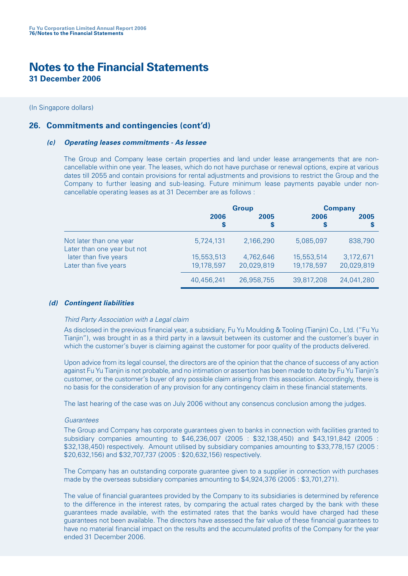(In Singapore dollars)

### **26. Commitments and contingencies (cont'd)**

#### *(c) Operating leases commitments - As lessee*

The Group and Company lease certain properties and land under lease arrangements that are noncancellable within one year. The leases, which do not have purchase or renewal options, expire at various dates till 2055 and contain provisions for rental adjustments and provisions to restrict the Group and the Company to further leasing and sub-leasing. Future minimum lease payments payable under noncancellable operating leases as at 31 December are as follows :

|                                                        |            | <b>Group</b> |            |            |  | <b>Company</b> |
|--------------------------------------------------------|------------|--------------|------------|------------|--|----------------|
|                                                        | 2006<br>S  | 2005<br>S    | 2006<br>S  | 2005       |  |                |
| Not later than one year<br>Later than one year but not | 5,724,131  | 2,166,290    | 5,085,097  | 838,790    |  |                |
| later than five years                                  | 15,553,513 | 4,762,646    | 15,553,514 | 3,172,671  |  |                |
| Later than five years                                  | 19,178,597 | 20,029,819   | 19,178,597 | 20,029,819 |  |                |
|                                                        | 40,456,241 | 26,958,755   | 39,817,208 | 24,041,280 |  |                |

#### *(d) Contingent liabilities*

#### *Third Party Association with a Legal claim*

As disclosed in the previous financial year, a subsidiary, Fu Yu Moulding & Tooling (Tianjin) Co., Ltd. ("Fu Yu Tianjin"), was brought in as a third party in a lawsuit between its customer and the customer's buyer in which the customer's buyer is claiming against the customer for poor quality of the products delivered.

Upon advice from its legal counsel, the directors are of the opinion that the chance of success of any action against Fu Yu Tianjin is not probable, and no intimation or assertion has been made to date by Fu Yu Tianjin's customer, or the customer's buyer of any possible claim arising from this association. Accordingly, there is no basis for the consideration of any provision for any contingency claim in these financial statements.

The last hearing of the case was on July 2006 without any consencus conclusion among the judges.

#### *Guarantees*

The Group and Company has corporate guarantees given to banks in connection with facilities granted to subsidiary companies amounting to \$46,236,007 (2005 : \$32,138,450) and \$43,191,842 (2005 : \$32,138,450) respectively. Amount utilised by subsidiary companies amounting to \$33,778,157 (2005 : \$20,632,156) and \$32,707,737 (2005 : \$20,632,156) respectively.

The Company has an outstanding corporate guarantee given to a supplier in connection with purchases made by the overseas subsidiary companies amounting to \$4,924,376 (2005 : \$3,701,271).

The value of financial guarantees provided by the Company to its subsidiaries is determined by reference to the difference in the interest rates, by comparing the actual rates charged by the bank with these guarantees made available, with the estimated rates that the banks would have charged had these guarantees not been available. The directors have assessed the fair value of these financial guarantees to have no material financial impact on the results and the accumulated profits of the Company for the year ended 31 December 2006.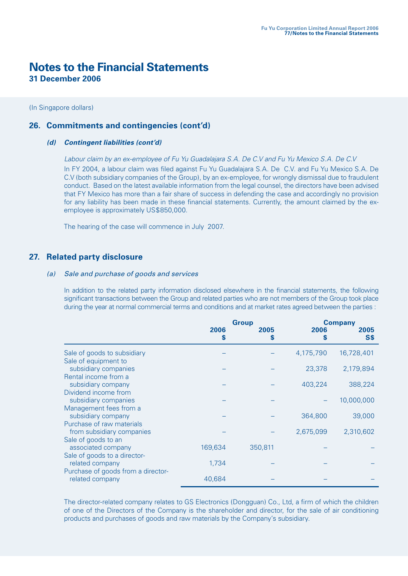(In Singapore dollars)

### **26. Commitments and contingencies (cont'd)**

### *(d) Contingent liabilities (cont'd)*

Labour claim by an ex-employee of Fu Yu Guadalajara S.A. De C.V and Fu Yu Mexico S.A. De C.V

In FY 2004, a labour claim was filed against Fu Yu Guadalajara S.A. De C.V. and Fu Yu Mexico S.A. De C.V (both subsidiary companies of the Group), by an ex-employee, for wrongly dismissal due to fraudulent conduct. Based on the latest available information from the legal counsel, the directors have been advised that FY Mexico has more than a fair share of success in defending the case and accordingly no provision for any liability has been made in these financial statements. Currently, the amount claimed by the exemployee is approximately US\$850,000.

The hearing of the case will commence in July 2007.

### **27. Related party disclosure**

### *(a) Sale and purchase of goods and services*

In addition to the related party information disclosed elsewhere in the financial statements, the following significant transactions between the Group and related parties who are not members of the Group took place during the year at normal commercial terms and conditions and at market rates agreed between the parties :

|                                                        |           | <b>Group</b> |           | <b>Company</b> |
|--------------------------------------------------------|-----------|--------------|-----------|----------------|
|                                                        | 2006<br>S | 2005<br>S    | 2006<br>S | 2005<br>S\$    |
| Sale of goods to subsidiary                            |           |              | 4,175,790 | 16,728,401     |
| Sale of equipment to<br>subsidiary companies           |           |              | 23,378    | 2,179,894      |
| Rental income from a<br>subsidiary company             |           |              | 403,224   | 388,224        |
| Dividend income from<br>subsidiary companies           |           |              |           | 10,000,000     |
| Management fees from a<br>subsidiary company           |           |              | 364,800   | 39,000         |
| Purchase of raw materials<br>from subsidiary companies |           |              | 2,675,099 | 2,310,602      |
| Sale of goods to an<br>associated company              | 169,634   | 350,811      |           |                |
| Sale of goods to a director-                           |           |              |           |                |
| related company<br>Purchase of goods from a director-  | 1,734     |              |           |                |
| related company                                        | 40,684    |              |           |                |

The director-related company relates to GS Electronics (Dongguan) Co., Ltd, a firm of which the children of one of the Directors of the Company is the shareholder and director, for the sale of air conditioning products and purchases of goods and raw materials by the Company's subsidiary.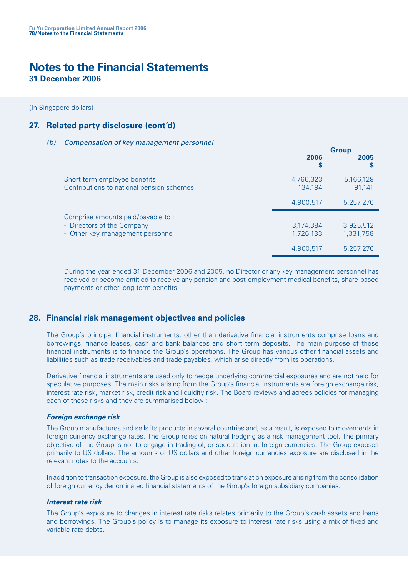(In Singapore dollars)

### **27. Related party disclosure (cont'd)**

#### *(b) Compensation of key management personnel*

|                                                                                                     | <b>Group</b>           |                        |  |
|-----------------------------------------------------------------------------------------------------|------------------------|------------------------|--|
|                                                                                                     | 2006<br>S              | 2005<br>S              |  |
| Short term employee benefits<br>Contributions to national pension schemes                           | 4,766,323<br>134,194   | 5,166,129<br>91,141    |  |
|                                                                                                     | 4,900,517              | 5,257,270              |  |
| Comprise amounts paid/payable to:<br>- Directors of the Company<br>- Other key management personnel | 3,174,384<br>1,726,133 | 3,925,512<br>1,331,758 |  |
|                                                                                                     | 4,900,517              | 5,257,270              |  |

During the year ended 31 December 2006 and 2005, no Director or any key management personnel has received or become entitled to receive any pension and post-employment medical benefits, share-based payments or other long-term benefits.

### **28. Financial risk management objectives and policies**

The Group's principal financial instruments, other than derivative financial instruments comprise loans and borrowings, finance leases, cash and bank balances and short term deposits. The main purpose of these financial instruments is to finance the Group's operations. The Group has various other financial assets and liabilities such as trade receivables and trade payables, which arise directly from its operations.

Derivative financial instruments are used only to hedge underlying commercial exposures and are not held for speculative purposes. The main risks arising from the Group's financial instruments are foreign exchange risk, interest rate risk, market risk, credit risk and liquidity risk. The Board reviews and agrees policies for managing each of these risks and they are summarised below :

#### *Foreign exchange risk*

The Group manufactures and sells its products in several countries and, as a result, is exposed to movements in foreign currency exchange rates. The Group relies on natural hedging as a risk management tool. The primary objective of the Group is not to engage in trading of, or speculation in, foreign currencies. The Group exposes primarily to US dollars. The amounts of US dollars and other foreign currencies exposure are disclosed in the relevant notes to the accounts.

In addition to transaction exposure, the Group is also exposed to translation exposure arising from the consolidation of foreign currency denominated financial statements of the Group's foreign subsidiary companies.

#### *Interest rate risk*

The Group's exposure to changes in interest rate risks relates primarily to the Group's cash assets and loans and borrowings. The Group's policy is to manage its exposure to interest rate risks using a mix of fixed and variable rate debts.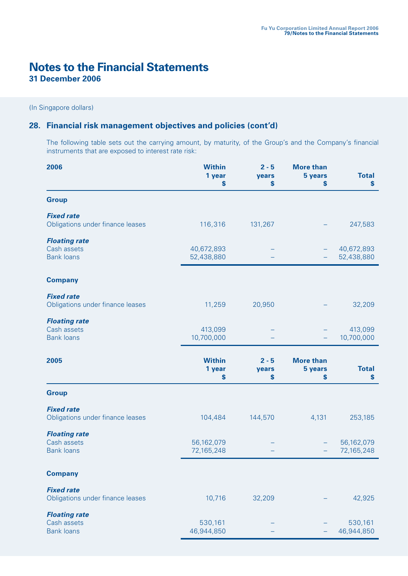(In Singapore dollars)

# **28. Financial risk management objectives and policies (cont'd)**

The following table sets out the carrying amount, by maturity, of the Group's and the Company's financial instruments that are exposed to interest rate risk:

| 2006                                                     | <b>Within</b><br>1 year<br>\$ | $2 - 5$<br>years<br>\$ | <b>More than</b><br>5 years<br>\$ | <b>Total</b><br>\$       |
|----------------------------------------------------------|-------------------------------|------------------------|-----------------------------------|--------------------------|
| <b>Group</b>                                             |                               |                        |                                   |                          |
| <b>Fixed rate</b><br>Obligations under finance leases    | 116,316                       | 131,267                |                                   | 247,583                  |
| <b>Floating rate</b><br>Cash assets<br><b>Bank loans</b> | 40,672,893<br>52,438,880      |                        |                                   | 40,672,893<br>52,438,880 |
| <b>Company</b>                                           |                               |                        |                                   |                          |
| <b>Fixed rate</b><br>Obligations under finance leases    | 11,259                        | 20,950                 |                                   | 32,209                   |
| <b>Floating rate</b><br>Cash assets<br><b>Bank loans</b> | 413,099<br>10,700,000         |                        |                                   | 413,099<br>10,700,000    |
| 2005                                                     | <b>Within</b><br>1 year<br>\$ | $2 - 5$<br>years<br>\$ | <b>More than</b><br>5 years<br>\$ | <b>Total</b><br>\$       |
| <b>Group</b>                                             |                               |                        |                                   |                          |
| <b>Fixed rate</b><br>Obligations under finance leases    | 104,484                       | 144,570                | 4,131                             | 253,185                  |
| <b>Floating rate</b><br>Cash assets<br><b>Bank loans</b> | 56,162,079<br>72,165,248      |                        |                                   | 56,162,079<br>72,165,248 |
| <b>Company</b>                                           |                               |                        |                                   |                          |
| <b>Fixed rate</b><br>Obligations under finance leases    | 10,716                        | 32,209                 |                                   | 42,925                   |
| <b>Floating rate</b><br>Cash assets<br><b>Bank loans</b> | 530,161<br>46,944,850         |                        |                                   | 530,161<br>46,944,850    |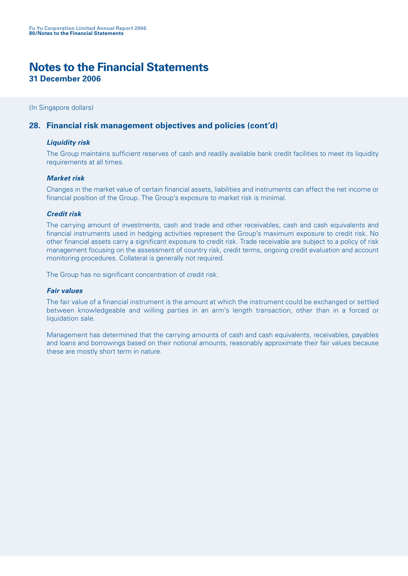(In Singapore dollars)

# **28. Financial risk management objectives and policies (cont'd)**

### *Liquidity risk*

The Group maintains sufficient reserves of cash and readily available bank credit facilities to meet its liquidity requirements at all times.

### *Market risk*

Changes in the market value of certain financial assets, liabilities and instruments can affect the net income or financial position of the Group. The Group's exposure to market risk is minimal.

### *Credit risk*

The carrying amount of investments, cash and trade and other receivables, cash and cash equivalents and financial instruments used in hedging activities represent the Group's maximum exposure to credit risk. No other financial assets carry a significant exposure to credit risk. Trade receivable are subject to a policy of risk management focusing on the assessment of country risk, credit terms, ongoing credit evaluation and account monitoring procedures. Collateral is generally not required.

The Group has no significant concentration of credit risk.

### *Fair values*

The fair value of a financial instrument is the amount at which the instrument could be exchanged or settled between knowledgeable and willing parties in an arm's length transaction, other than in a forced or liquidation sale.

Management has determined that the carrying amounts of cash and cash equivalents, receivables, payables and loans and borrowings based on their notional amounts, reasonably approximate their fair values because these are mostly short term in nature.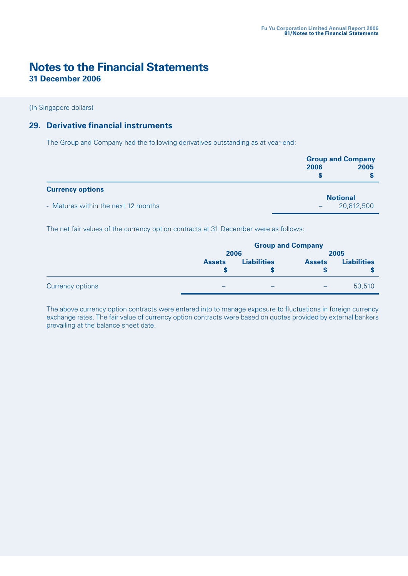(In Singapore dollars)

## **29. Derivative financial instruments**

The Group and Company had the following derivatives outstanding as at year-end:

|                                     |      | <b>Group and Company</b> |
|-------------------------------------|------|--------------------------|
|                                     | 2006 | 2005                     |
|                                     | S    |                          |
| <b>Currency options</b>             |      |                          |
|                                     |      | <b>Notional</b>          |
| - Matures within the next 12 months |      | 20,812,500               |

The net fair values of the currency option contracts at 31 December were as follows:

|                         | <b>Group and Company</b> |                          |                   |                           |
|-------------------------|--------------------------|--------------------------|-------------------|---------------------------|
|                         | 2005<br>2006             |                          |                   |                           |
|                         | <b>Assets</b><br>S       | <b>Liabilities</b><br>S  | <b>Assets</b>     | <b>Liabilities</b><br>CD. |
| <b>Currency options</b> | -                        | $\overline{\phantom{0}}$ | $\qquad \qquad -$ | 53,510                    |

The above currency option contracts were entered into to manage exposure to fluctuations in foreign currency exchange rates. The fair value of currency option contracts were based on quotes provided by external bankers prevailing at the balance sheet date.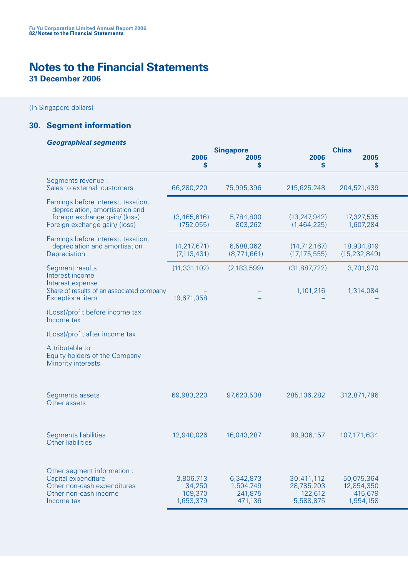(In Singapore dollars)

# **30. Segment information**

### *Geographical segments*

|                                                                                                                                         | 2006<br><b>S</b>                            | <b>Singapore</b><br>2005<br>S.               | 2006<br>S                                        | <b>China</b><br>2005<br><b>S</b>                 |
|-----------------------------------------------------------------------------------------------------------------------------------------|---------------------------------------------|----------------------------------------------|--------------------------------------------------|--------------------------------------------------|
| Segments revenue :<br>Sales to external customers                                                                                       | 66,280,220                                  | 75,995,396                                   | 215,625,248                                      | 204,521,439                                      |
| Earnings before interest, taxation,<br>depreciation, amortisation and<br>foreign exchange gain/ (loss)<br>Foreign exchange gain/ (loss) | (3,465,616)<br>(752, 055)                   | 5,784,800<br>803,262                         | (13, 247, 942)<br>(1,464,225)                    | 17,327,535<br>1,607,284                          |
| Earnings before interest, taxation,<br>depreciation and amortisation<br>Depreciation                                                    | (4, 217, 671)<br>(7, 113, 431)              | 6,588,062<br>(8,771,661)                     | (14, 712, 167)<br>(17, 175, 555)                 | 18,934,819<br>(15, 232, 849)                     |
| Segment results<br>Interest income<br>Interest expense<br>Share of results of an associated company<br><b>Exceptional item</b>          | (11, 331, 102)<br>19,671,058                | (2, 183, 599)                                | (31,887,722)<br>1,101,216                        | 3,701,970<br>1,314,084                           |
| (Loss)/profit before income tax<br>Income tax                                                                                           |                                             |                                              |                                                  |                                                  |
| (Loss)/profit after income tax                                                                                                          |                                             |                                              |                                                  |                                                  |
| Attributable to:<br>Equity holders of the Company<br>Minority interests                                                                 |                                             |                                              |                                                  |                                                  |
| Segments assets<br>Other assets                                                                                                         | 69,983,220                                  | 97,623,538                                   | 285,106,282                                      | 312,871,796                                      |
| Segments liabilities<br>Other liabilities                                                                                               | 12,940,026                                  | 16,043,287                                   | 99,906,157                                       | 107,171,634                                      |
| Other segment information :<br>Capital expenditure<br>Other non-cash expenditures<br>Other non-cash income<br>Income tax                | 3,806,713<br>34,250<br>109,370<br>1,653,379 | 6,342,873<br>1,504,749<br>241,875<br>471,136 | 30,411,112<br>28,785,203<br>122,612<br>5,588,875 | 50,075,364<br>12,854,350<br>415,679<br>1,954,158 |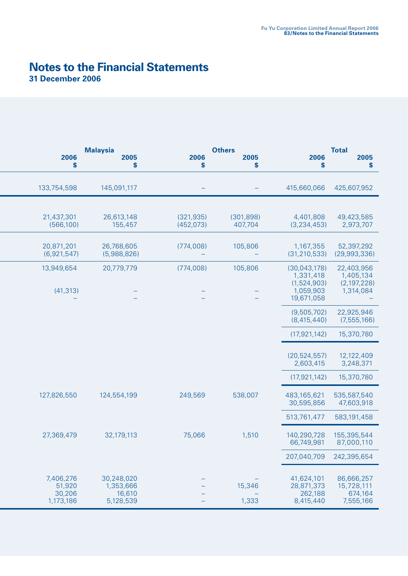| 2006<br>\$                                          | <b>Malaysia</b><br>2005<br>\$                  | 2006<br>\$                 | <b>Others</b><br>2005<br>\$                                  | 2006<br>\$                                                          | <b>Total</b><br>2005<br>$\mathbf{\$}$                                                  |
|-----------------------------------------------------|------------------------------------------------|----------------------------|--------------------------------------------------------------|---------------------------------------------------------------------|----------------------------------------------------------------------------------------|
| 133,754,598                                         | 145,091,117                                    |                            | $\overline{\phantom{m}}$                                     | 415,660,066                                                         | 425,607,952                                                                            |
| 21,437,301<br>(566, 100)                            | 26,613,148<br>155,457                          | (321, 935)<br>(452, 073)   | (301, 898)<br>407,704                                        | 4,401,808<br>(3, 234, 453)                                          | 49,423,585<br>2,973,707                                                                |
| 20,871,201<br>(6,921,547)                           | 26,768,605<br>(5,988,826)                      | (774,008)<br>$\rightarrow$ | 105,806<br>$\hspace{0.1mm}-\hspace{0.1mm}$                   | 1,167,355<br>(31, 210, 533)                                         | 52,397,292<br>(29,993,336)                                                             |
| 13,949,654<br>(41, 313)<br>$\overline{\phantom{m}}$ | 20,779,779                                     | (774,008)                  | 105,806<br>$\qquad \qquad \blacksquare$<br>$\qquad \qquad -$ | (30,043,178)<br>1,331,418<br>(1,524,903)<br>1,059,903<br>19,671,058 | 22,403,956<br>1,405,134<br>(2,197,228)<br>1,314,084<br>$\hspace{0.1mm}-\hspace{0.1mm}$ |
|                                                     |                                                |                            |                                                              | (9,505,702)<br>(8,415,440)                                          | 22,925,946<br>(7,555,166)                                                              |
|                                                     |                                                |                            |                                                              | (17, 921, 142)                                                      | 15,370,780                                                                             |
|                                                     |                                                |                            |                                                              | (20, 524, 557)<br>2,603,415                                         | 12,122,409<br>3,248,371                                                                |
|                                                     |                                                |                            |                                                              | (17, 921, 142)                                                      | 15,370,780                                                                             |
| 127,826,550                                         | 124,554,199                                    | 249,569                    | 538,007                                                      | 483,165,621<br>30,595,856                                           | 535,587,540<br>47,603,918                                                              |
|                                                     |                                                |                            |                                                              | 513,761,477                                                         | 583,191,458                                                                            |
| 27,369,479                                          | 32,179,113                                     | 75,066                     | 1,510                                                        | 140,290,728<br>66,749,981                                           | 155,395,544<br>87,000,110                                                              |
|                                                     |                                                |                            |                                                              | 207,040,709 242,395,654                                             |                                                                                        |
| 7,406,276<br>51,920<br>30,206<br>1,173,186          | 30,248,020<br>1,353,666<br>16,610<br>5,128,539 |                            | $\overline{\phantom{m}}$<br>15,346<br>$\rightarrow$<br>1,333 | 41,624,101<br>28,871,373<br>262,188<br>8,415,440                    | 86,666,257<br>15,728,111<br>674,164<br>7,555,166                                       |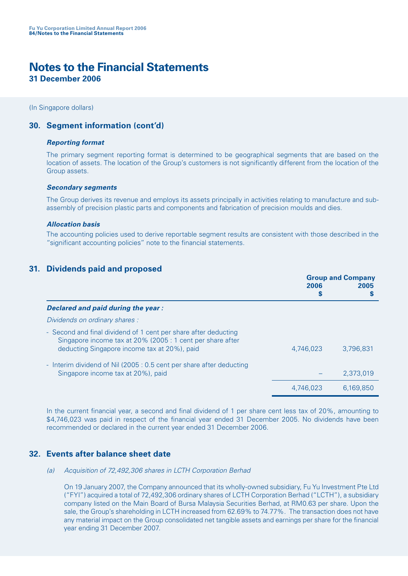(In Singapore dollars)

## **30. Segment information (cont'd)**

### *Reporting format*

The primary segment reporting format is determined to be geographical segments that are based on the location of assets. The location of the Group's customers is not significantly different from the location of the Group assets.

#### *Secondary segments*

**31. Dividends paid and proposed**

The Group derives its revenue and employs its assets principally in activities relating to manufacture and subassembly of precision plastic parts and components and fabrication of precision moulds and dies.

#### *Allocation basis*

The accounting policies used to derive reportable segment results are consistent with those described in the "significant accounting policies" note to the financial statements.

|                                                                                                                                                                               | <b>Group and Company</b> |           |
|-------------------------------------------------------------------------------------------------------------------------------------------------------------------------------|--------------------------|-----------|
|                                                                                                                                                                               | 2006<br>S                | 2005      |
| Declared and paid during the year:                                                                                                                                            |                          |           |
| Dividends on ordinary shares :                                                                                                                                                |                          |           |
| - Second and final dividend of 1 cent per share after deducting<br>Singapore income tax at 20% (2005 : 1 cent per share after<br>deducting Singapore income tax at 20%), paid | 4,746,023                | 3.796.831 |
| - Interim dividend of Nil (2005 : 0.5 cent per share after deducting<br>Singapore income tax at 20%), paid                                                                    |                          | 2.373.019 |
|                                                                                                                                                                               | 4.746.023                | 6.169.850 |

In the current financial year, a second and final dividend of 1 per share cent less tax of 20%, amounting to \$4,746,023 was paid in respect of the financial year ended 31 December 2005. No dividends have been recommended or declared in the current year ended 31 December 2006.

### **32. Events after balance sheet date**

### *(a) Acquisition of 72,492,306 shares in LCTH Corporation Berhad*

On 19 January 2007, the Company announced that its wholly-owned subsidiary, Fu Yu Investment Pte Ltd ("FYI") acquired a total of 72,492,306 ordinary shares of LCTH Corporation Berhad ("LCTH"), a subsidiary company listed on the Main Board of Bursa Malaysia Securities Berhad, at RM0.63 per share. Upon the sale, the Group's shareholding in LCTH increased from 62.69% to 74.77%. The transaction does not have any material impact on the Group consolidated net tangible assets and earnings per share for the financial year ending 31 December 2007.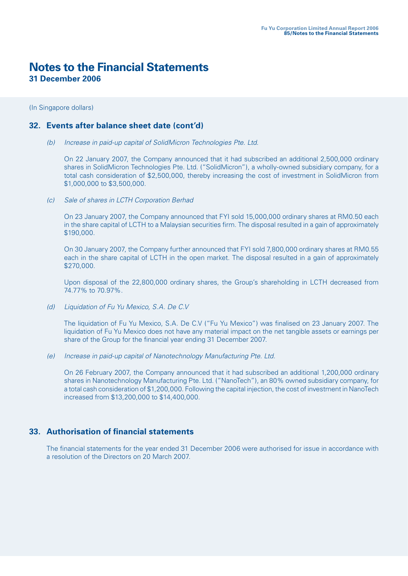(In Singapore dollars)

## **32. Events after balance sheet date (cont'd)**

*(b) Increase in paid-up capital of SolidMicron Technologies Pte. Ltd.*

On 22 January 2007, the Company announced that it had subscribed an additional 2,500,000 ordinary shares in SolidMicron Technologies Pte. Ltd. ("SolidMicron"), a wholly-owned subsidiary company, for a total cash consideration of \$2,500,000, thereby increasing the cost of investment in SolidMicron from \$1,000,000 to \$3,500,000.

*(c) Sale of shares in LCTH Corporation Berhad*

On 23 January 2007, the Company announced that FYI sold 15,000,000 ordinary shares at RM0.50 each in the share capital of LCTH to a Malaysian securities firm. The disposal resulted in a gain of approximately \$190,000.

On 30 January 2007, the Company further announced that FYI sold 7,800,000 ordinary shares at RM0.55 each in the share capital of LCTH in the open market. The disposal resulted in a gain of approximately \$270,000.

Upon disposal of the 22,800,000 ordinary shares, the Group's shareholding in LCTH decreased from 74.77% to 70.97%.

*(d) Liquidation of Fu Yu Mexico, S.A. De C.V*

The liquidation of Fu Yu Mexico, S.A. De C.V ("Fu Yu Mexico") was finalised on 23 January 2007. The liquidation of Fu Yu Mexico does not have any material impact on the net tangible assets or earnings per share of the Group for the financial year ending 31 December 2007.

*(e) Increase in paid-up capital of Nanotechnology Manufacturing Pte. Ltd.*

On 26 February 2007, the Company announced that it had subscribed an additional 1,200,000 ordinary shares in Nanotechnology Manufacturing Pte. Ltd. ("NanoTech"), an 80% owned subsidiary company, for a total cash consideration of \$1,200,000. Following the capital injection, the cost of investment in NanoTech increased from \$13,200,000 to \$14,400,000.

# **33. Authorisation of financial statements**

The financial statements for the year ended 31 December 2006 were authorised for issue in accordance with a resolution of the Directors on 20 March 2007.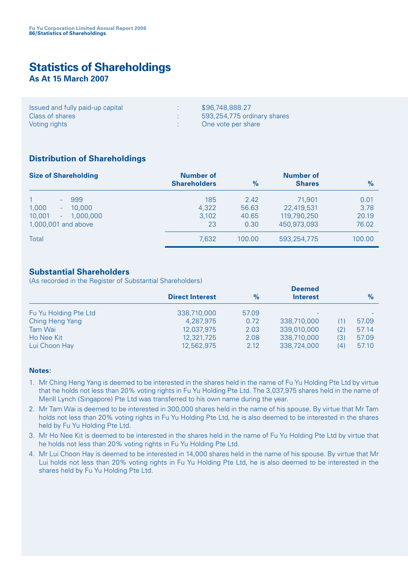# **Statistics of Shareholdings As At 15 March 2007**

| Issued and fully paid-up capital | \$96.748.888.27             |
|----------------------------------|-----------------------------|
| Class of shares                  | 593,254,775 ordinary shares |
| Voting rights                    | One vote per share          |

## **Distribution of Shareholdings**

| <b>Size of Shareholding</b>     | <b>Number of</b><br><b>Shareholders</b> | $\%$   | <b>Number of</b><br><b>Shares</b> | $\%$   |
|---------------------------------|-----------------------------------------|--------|-----------------------------------|--------|
|                                 |                                         |        |                                   |        |
| 999                             | 185                                     | 2.42   | 71.901                            | 0.01   |
| 1,000<br>10,000<br>$\sim$       | 4,322                                   | 56.63  | 22,419,531                        | 3.78   |
| 10,001<br>1.000.000<br>$\omega$ | 3,102                                   | 40.65  | 119,790,250                       | 20.19  |
| 1,000,001 and above             | 23                                      | 0.30   | 450,973,093                       | 76.02  |
| Total                           | 7,632                                   | 100.00 | 593,254,775                       | 100.00 |

## **Substantial Shareholders**

(As recorded in the Register of Substantial Shareholders)

| <b>Direct Interest</b> | $\%$  | <b>Interest</b> |               | $\%$  |
|------------------------|-------|-----------------|---------------|-------|
| 338,710,000            | 57.09 | -               |               |       |
| 4,287,975              | 0.72  | 338,710,000     |               | 57.09 |
| 12,037,975             | 2.03  | 339,010,000     | (2)           | 57.14 |
| 12,321,725             | 2.08  | 338,710,000     | (3)           | 57.09 |
| 12,562,975             | 2.12  | 338,724,000     | (4)           | 57.10 |
|                        |       |                 | <b>Deemed</b> |       |

### **Notes:**

- 1. Mr Ching Heng Yang is deemed to be interested in the shares held in the name of Fu Yu Holding Pte Ltd by virtue that he holds not less than 20% voting rights in Fu Yu Holding Pte Ltd. The 3,037,975 shares held in the name of Merill Lynch (Singapore) Pte Ltd was transferred to his own name during the year.
- 2. Mr Tam Wai is deemed to be interested in 300,000 shares held in the name of his spouse. By virtue that Mr Tam holds not less than 20% voting rights in Fu Yu Holding Pte Ltd, he is also deemed to be interested in the shares held by Fu Yu Holding Pte Ltd.
- 3. Mr Ho Nee Kit is deemed to be interested in the shares held in the name of Fu Yu Holding Pte Ltd by virtue that he holds not less than 20% voting rights in Fu Yu Holding Pte Ltd.
- 4. Mr Lui Choon Hay is deemed to be interested in 14,000 shares held in the name of his spouse. By virtue that Mr Lui holds not less than 20% voting rights in Fu Yu Holding Pte Ltd, he is also deemed to be interested in the shares held by Fu Yu Holding Pte Ltd.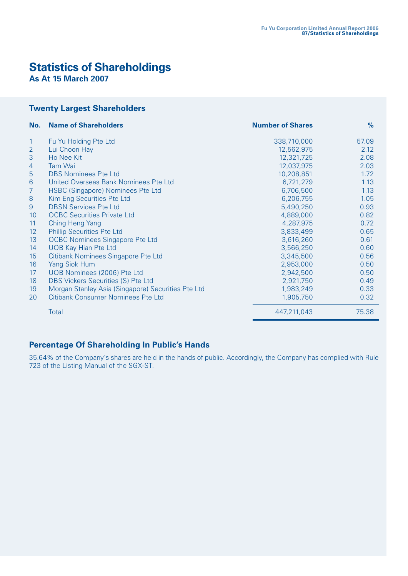# **Statistics of Shareholdings**

**As At 15 March 2007**

# **Twenty Largest Shareholders**

| No.               | <b>Name of Shareholders</b>                        | <b>Number of Shares</b> | $\%$  |
|-------------------|----------------------------------------------------|-------------------------|-------|
| $\mathbf{1}$      | Fu Yu Holding Pte Ltd                              | 338,710,000             | 57.09 |
| $\overline{2}$    | Lui Choon Hay                                      | 12,562,975              | 2.12  |
| 3                 | Ho Nee Kit                                         | 12,321,725              | 2.08  |
| $\overline{4}$    | <b>Tam Wai</b>                                     | 12,037,975              | 2.03  |
| 5                 | <b>DBS Nominees Pte Ltd</b>                        | 10,208,851              | 1.72  |
| $6\,$             | United Overseas Bank Nominees Pte Ltd              | 6,721,279               | 1.13  |
| 7                 | HSBC (Singapore) Nominees Pte Ltd                  | 6,706,500               | 1.13  |
| $8\,$             | Kim Eng Securities Pte Ltd                         | 6,206,755               | 1.05  |
| $\overline{9}$    | <b>DBSN Services Pte Ltd</b>                       | 5,490,250               | 0.93  |
| 10                | <b>OCBC Securities Private Ltd</b>                 | 4,889,000               | 0.82  |
| 11                | Ching Heng Yang                                    | 4,287,975               | 0.72  |
| $12 \overline{ }$ | <b>Phillip Securities Pte Ltd</b>                  | 3,833,499               | 0.65  |
| 13                | <b>OCBC Nominees Singapore Pte Ltd</b>             | 3,616,260               | 0.61  |
| 14                | <b>UOB Kay Hian Pte Ltd</b>                        | 3,566,250               | 0.60  |
| 15                | Citibank Nominees Singapore Pte Ltd                | 3,345,500               | 0.56  |
| 16                | Yang Siok Hum                                      | 2,953,000               | 0.50  |
| 17                | UOB Nominees (2006) Pte Ltd                        | 2,942,500               | 0.50  |
| 18                | DBS Vickers Securities (S) Pte Ltd                 | 2,921,750               | 0.49  |
| 19                | Morgan Stanley Asia (Singapore) Securities Pte Ltd | 1,983,249               | 0.33  |
| 20                | Citibank Consumer Nominees Pte Ltd                 | 1,905,750               | 0.32  |
|                   | <b>Total</b>                                       | 447,211,043             | 75.38 |

# **Percentage Of Shareholding In Public's Hands**

35.64% of the Company's shares are held in the hands of public. Accordingly, the Company has complied with Rule 723 of the Listing Manual of the SGX-ST.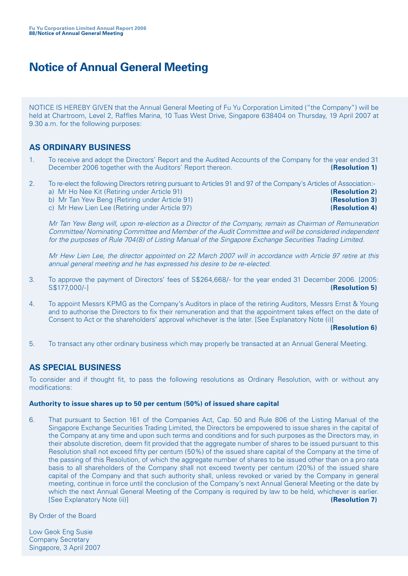# **Notice of Annual General Meeting**

NOTICE IS HEREBY GIVEN that the Annual General Meeting of Fu Yu Corporation Limited ("the Company") will be held at Chartroom, Level 2, Raffles Marina, 10 Tuas West Drive, Singapore 638404 on Thursday, 19 April 2007 at 9.30 a.m. for the following purposes:

# **AS ORDINARY BUSINESS**

- 1. To receive and adopt the Directors' Report and the Audited Accounts of the Company for the year ended 31 December 2006 together with the Auditors' Report thereon. **(Resolution 1) (Resolution 1)**
- 2. To re-elect the following Directors retiring pursuant to Articles 91 and 97 of the Company's Articles of Association:- a) Mr Ho Nee Kit (Retiring under Article 91) **(Resolution 2)**
	-
	- b) Mr Tan Yew Beng (Retiring under Article 91) **(Resolution 3)** c) Mr Hew Lien Lee (Retiring under Article 97) **(Resolution 4)**

Mr Tan Yew Beng will, upon re-election as a Director of the Company, remain as Chairman of Remuneration *Committee/ Nominating Committee and Member of the Audit Committee and will be considered independent for the purposes of Rule 704(8) of Listing Manual of the Singapore Exchange Securities Trading Limited.*

Mr Hew Lien Lee, the director appointed on 22 March 2007 will in accordance with Article 97 retire at this *annual general meeting and he has expressed his desire to be re-elected.*

- 3. To approve the payment of Directors' fees of S\$264,668/- for the year ended 31 December 2006. [2005: S\$177,000/-] **(Resolution 5)**
- 4. To appoint Messrs KPMG as the Company's Auditors in place of the retiring Auditors, Messrs Ernst & Young and to authorise the Directors to fix their remuneration and that the appointment takes effect on the date of Consent to Act or the shareholders' approval whichever is the later. [See Explanatory Note (i)]

**(Resolution 6)**

5. To transact any other ordinary business which may properly be transacted at an Annual General Meeting. 

# **AS SPECIAL BUSINESS**

To consider and if thought fit, to pass the following resolutions as Ordinary Resolution, with or without any modifications:

## **Authority to issue shares up to 50 per centum (50%) of issued share capital**

- 6. That pursuant to Section 161 of the Companies Act, Cap. 50 and Rule 806 of the Listing Manual of the Singapore Exchange Securities Trading Limited, the Directors be empowered to issue shares in the capital of the Company at any time and upon such terms and conditions and for such purposes as the Directors may, in their absolute discretion, deem fit provided that the aggregate number of shares to be issued pursuant to this Resolution shall not exceed fifty per centum (50%) of the issued share capital of the Company at the time of the passing of this Resolution, of which the aggregate number of shares to be issued other than on a pro rata basis to all shareholders of the Company shall not exceed twenty per centum (20%) of the issued share capital of the Company and that such authority shall, unless revoked or varied by the Company in general meeting, continue in force until the conclusion of the Company's next Annual General Meeting or the date by which the next Annual General Meeting of the Company is required by law to be held, whichever is earlier. [See Explanatory Note (ii)] **(Resolution 7)**
- By Order of the Board

Low Geok Eng Susie Company Secretary Singapore, 3 April 2007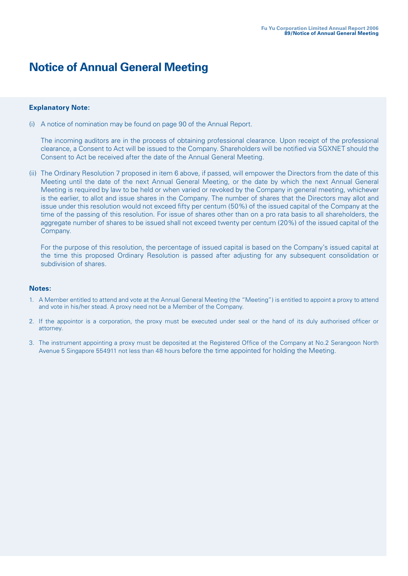# **Notice of Annual General Meeting**

### **Explanatory Note:**

(i) A notice of nomination may be found on page 90 of the Annual Report.

 The incoming auditors are in the process of obtaining professional clearance. Upon receipt of the professional clearance, a Consent to Act will be issued to the Company. Shareholders will be notified via SGXNET should the Consent to Act be received after the date of the Annual General Meeting.

(ii) The Ordinary Resolution 7 proposed in item 6 above, if passed, will empower the Directors from the date of this Meeting until the date of the next Annual General Meeting, or the date by which the next Annual General Meeting is required by law to be held or when varied or revoked by the Company in general meeting, whichever is the earlier, to allot and issue shares in the Company. The number of shares that the Directors may allot and issue under this resolution would not exceed fifty per centum (50%) of the issued capital of the Company at the time of the passing of this resolution. For issue of shares other than on a pro rata basis to all shareholders, the aggregate number of shares to be issued shall not exceed twenty per centum (20%) of the issued capital of the Company.

 For the purpose of this resolution, the percentage of issued capital is based on the Company's issued capital at the time this proposed Ordinary Resolution is passed after adjusting for any subsequent consolidation or subdivision of shares.

#### **Notes:**

- 1. A Member entitled to attend and vote at the Annual General Meeting (the "Meeting") is entitled to appoint a proxy to attend and vote in his/her stead. A proxy need not be a Member of the Company.
- 2. If the appointor is a corporation, the proxy must be executed under seal or the hand of its duly authorised officer or attorney.
- 3. The instrument appointing a proxy must be deposited at the Registered Office of the Company at No.2 Serangoon North Avenue 5 Singapore 554911 not less than 48 hours before the time appointed for holding the Meeting.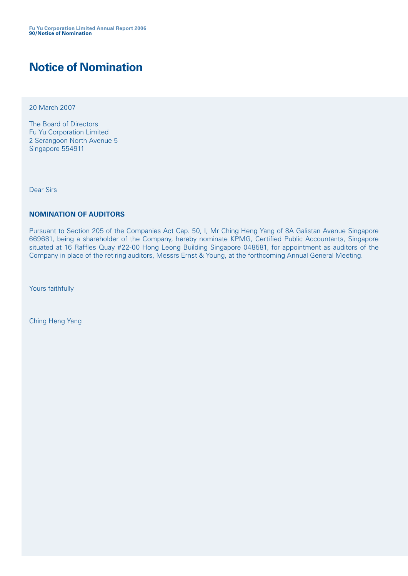# **Notice of Nomination**

20 March 2007

The Board of Directors Fu Yu Corporation Limited 2 Serangoon North Avenue 5 Singapore 554911

Dear Sirs

### **NOMINATION OF AUDITORS**

Pursuant to Section 205 of the Companies Act Cap. 50, I, Mr Ching Heng Yang of 8A Galistan Avenue Singapore 669681, being a shareholder of the Company, hereby nominate KPMG, Certified Public Accountants, Singapore situated at 16 Raffles Quay #22-00 Hong Leong Building Singapore 048581, for appointment as auditors of the Company in place of the retiring auditors, Messrs Ernst & Young, at the forthcoming Annual General Meeting.

Yours faithfully

Ching Heng Yang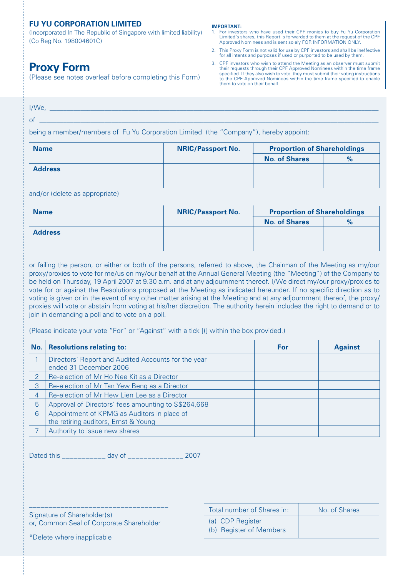### **FU YU CORPORATION LIMITED**

(Incorporated In The Republic of Singapore with limited liability) (Co Reg No. 198004601C)

# **Proxy Form**

(Please see notes overleaf before completing this Form)

#### **IMPORTANT:**

- 1. For investors who have used their CPF monies to buy Fu Yu Corporation Limited's shares, this Report is forwarded to them at the request of the CPF Approved Nominees and is sent solely FOR INFORMATION ONLY.
- 2. This Proxy Form is not valid for use by CPF investors and shall be ineffective for all intents and purposes if used or purported to be used by them.
- 3. CPF investors who wish to attend the Meeting as an observer must submit their requests through their CPF Approved Nominees within the time frame specified. If they also wish to vote, they must submit their voting instructions to the CPF Approved Nominees within the time frame specified to enable them to vote on their behalf.

I/We, \_\_\_\_\_\_\_\_\_\_\_\_\_\_\_\_\_\_\_\_\_\_\_\_\_\_\_\_\_\_\_\_\_\_\_\_\_\_\_\_\_\_\_\_\_\_\_\_\_\_\_\_\_\_\_\_\_\_\_\_\_\_\_\_\_\_\_\_\_\_\_\_\_\_\_\_\_\_\_\_\_\_\_\_\_\_\_\_\_\_\_\_\_\_\_\_

being a member/members of Fu Yu Corporation Limited (the "Company"), hereby appoint:

| <b>NRIC/Passport No.</b> | <b>Proportion of Shareholdings</b> |               |
|--------------------------|------------------------------------|---------------|
|                          | <b>No. of Shares</b>               | $\frac{9}{6}$ |
|                          |                                    |               |
|                          |                                    |               |
|                          |                                    |               |

of \_\_\_\_\_\_\_\_\_\_\_\_\_\_\_\_\_\_\_\_\_\_\_\_\_\_\_\_\_\_\_\_\_\_\_\_\_\_\_\_\_\_\_\_\_\_\_\_\_\_\_\_\_\_\_\_\_\_\_\_\_\_\_\_\_\_\_\_\_\_\_\_\_\_\_\_\_\_\_\_\_\_\_\_\_\_\_\_\_\_\_\_\_\_\_\_\_\_\_

and/or (delete as appropriate)

| <b>Name</b>    | <b>NRIC/Passport No.</b> | <b>Proportion of Shareholdings</b> |      |
|----------------|--------------------------|------------------------------------|------|
|                |                          | <b>No. of Shares</b>               | $\%$ |
| <b>Address</b> |                          |                                    |      |

or failing the person, or either or both of the persons, referred to above, the Chairman of the Meeting as my/our proxy/proxies to vote for me/us on my/our behalf at the Annual General Meeting (the "Meeting") of the Company to be held on Thursday, 19 April 2007 at 9.30 a.m. and at any adjournment thereof. I/We direct my/our proxy/proxies to vote for or against the Resolutions proposed at the Meeting as indicated hereunder. If no specific direction as to voting is given or in the event of any other matter arising at the Meeting and at any adjournment thereof, the proxy/ proxies will vote or abstain from voting at his/her discretion. The authority herein includes the right to demand or to join in demanding a poll and to vote on a poll.

(Please indicate your vote "For" or "Against" with a tick [(] within the box provided.)

|   | No.   Resolutions relating to:                                                      | For | <b>Against</b> |
|---|-------------------------------------------------------------------------------------|-----|----------------|
|   | Directors' Report and Audited Accounts for the year<br>ended 31 December 2006       |     |                |
|   | Re-election of Mr Ho Nee Kit as a Director                                          |     |                |
|   | Re-election of Mr Tan Yew Beng as a Director                                        |     |                |
|   | Re-election of Mr Hew Lien Lee as a Director                                        |     |                |
| 5 | Approval of Directors' fees amounting to S\$264,668                                 |     |                |
| 6 | Appointment of KPMG as Auditors in place of<br>the retiring auditors, Ernst & Young |     |                |
|   | Authority to issue new shares                                                       |     |                |

Dated this \_\_\_\_\_\_\_\_\_\_\_ day of \_\_\_\_\_\_\_\_\_\_\_\_\_\_ 2007

Signature of Shareholder(s) or, Common Seal of Corporate Shareholder

\_\_\_\_\_\_\_\_\_\_\_\_\_\_\_\_\_\_\_\_\_\_\_\_\_\_\_\_\_\_\_\_\_\_\_

\*Delete where inapplicable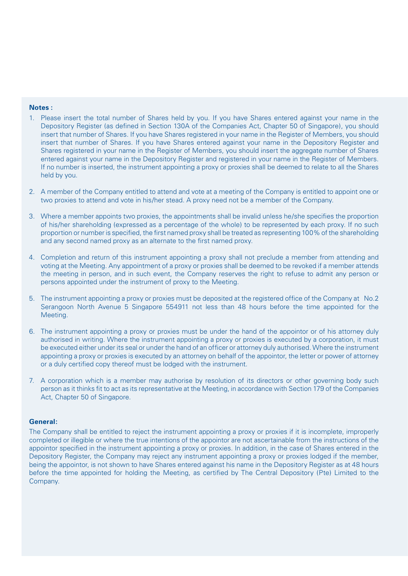### **Notes :**

- 1. Please insert the total number of Shares held by you. If you have Shares entered against your name in the Depository Register (as defined in Section 130A of the Companies Act, Chapter 50 of Singapore), you should insert that number of Shares. If you have Shares registered in your name in the Register of Members, you should insert that number of Shares. If you have Shares entered against your name in the Depository Register and Shares registered in your name in the Register of Members, you should insert the aggregate number of Shares entered against your name in the Depository Register and registered in your name in the Register of Members. If no number is inserted, the instrument appointing a proxy or proxies shall be deemed to relate to all the Shares held by you.
- 2. A member of the Company entitled to attend and vote at a meeting of the Company is entitled to appoint one or two proxies to attend and vote in his/her stead. A proxy need not be a member of the Company.
- 3. Where a member appoints two proxies, the appointments shall be invalid unless he/she specifies the proportion of his/her shareholding (expressed as a percentage of the whole) to be represented by each proxy. If no such proportion or number is specified, the first named proxy shall be treated as representing 100% of the shareholding and any second named proxy as an alternate to the first named proxy.
- 4. Completion and return of this instrument appointing a proxy shall not preclude a member from attending and voting at the Meeting. Any appointment of a proxy or proxies shall be deemed to be revoked if a member attends the meeting in person, and in such event, the Company reserves the right to refuse to admit any person or persons appointed under the instrument of proxy to the Meeting.
- 5. The instrument appointing a proxy or proxies must be deposited at the registered office of the Company at No.2 Serangoon North Avenue 5 Singapore 554911 not less than 48 hours before the time appointed for the Meeting.
- 6. The instrument appointing a proxy or proxies must be under the hand of the appointor or of his attorney duly authorised in writing. Where the instrument appointing a proxy or proxies is executed by a corporation, it must be executed either under its seal or under the hand of an officer or attorney duly authorised. Where the instrument appointing a proxy or proxies is executed by an attorney on behalf of the appointor, the letter or power of attorney or a duly certified copy thereof must be lodged with the instrument.
- 7. A corporation which is a member may authorise by resolution of its directors or other governing body such person as it thinks fit to act as its representative at the Meeting, in accordance with Section 179 of the Companies Act, Chapter 50 of Singapore.

### **General:**

The Company shall be entitled to reject the instrument appointing a proxy or proxies if it is incomplete, improperly completed or illegible or where the true intentions of the appointor are not ascertainable from the instructions of the appointor specified in the instrument appointing a proxy or proxies. In addition, in the case of Shares entered in the Depository Register, the Company may reject any instrument appointing a proxy or proxies lodged if the member, being the appointor, is not shown to have Shares entered against his name in the Depository Register as at 48 hours before the time appointed for holding the Meeting, as certified by The Central Depository (Pte) Limited to the Company.